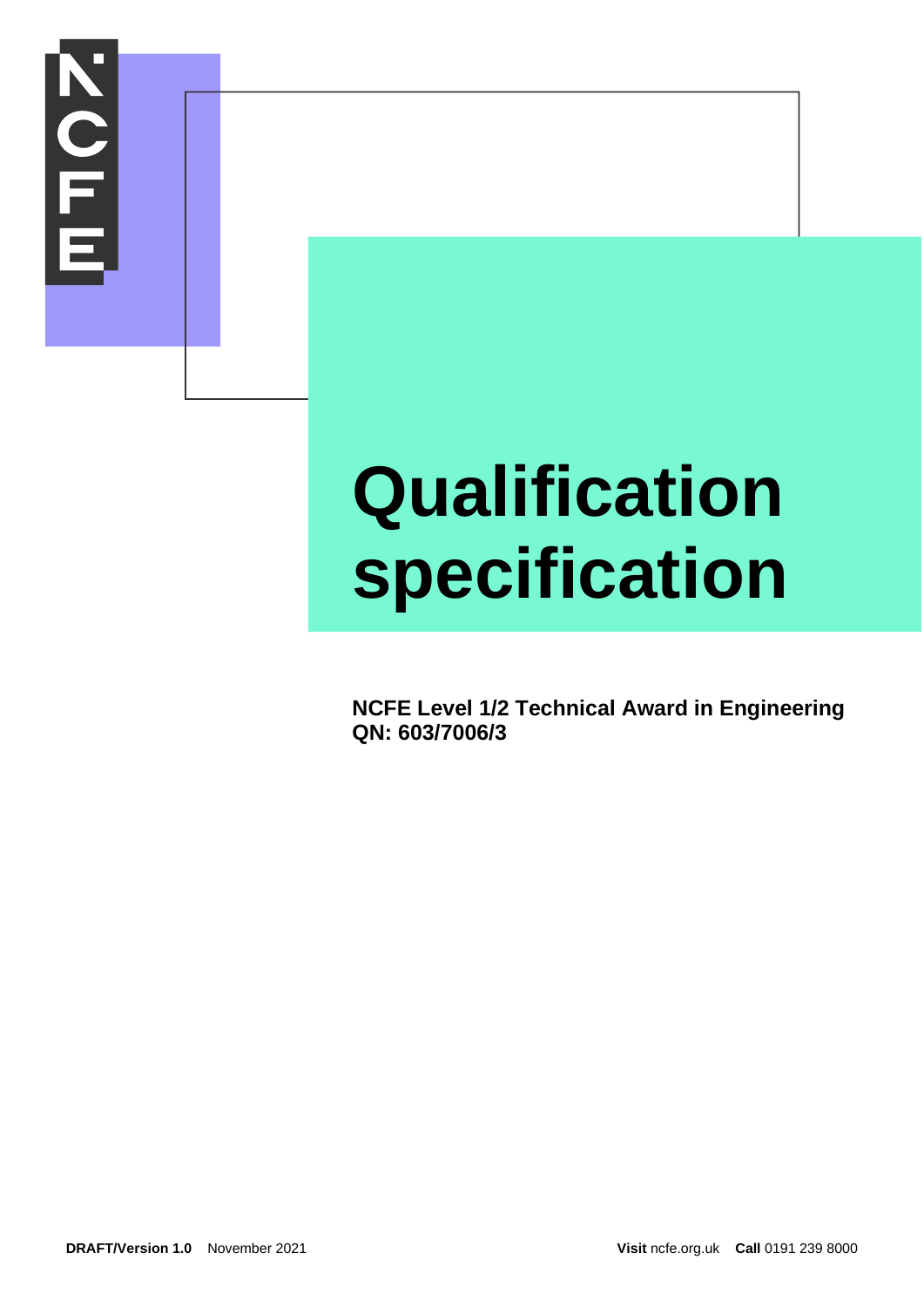

# **Qualification specification**

**NCFE Level 1/2 Technical Award in Engineering QN: 603/7006/3**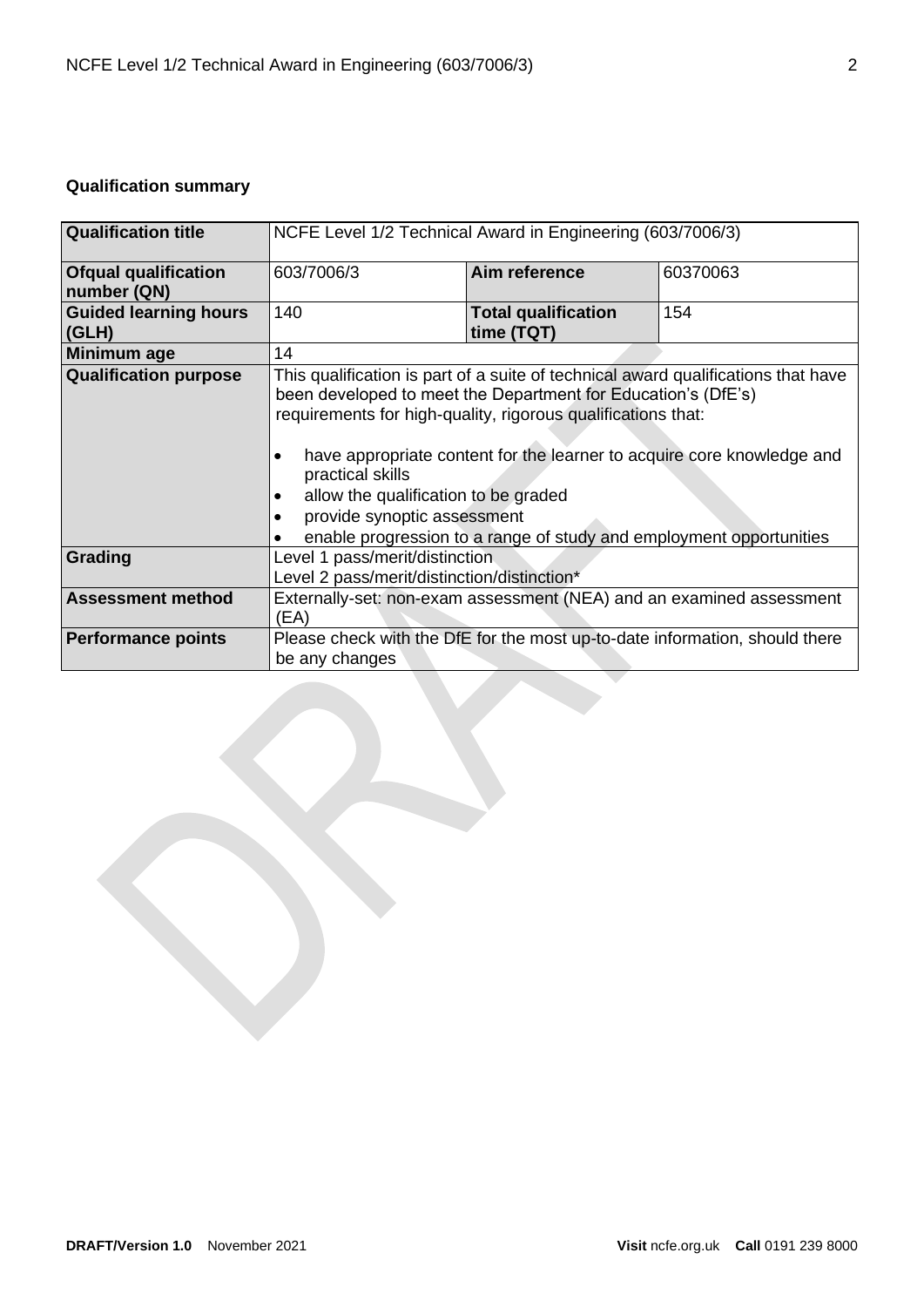# **Qualification summary**

| <b>Qualification title</b>                 | NCFE Level 1/2 Technical Award in Engineering (603/7006/3)                                                                                                                                                                                                                                                                                                                                                                                                     |                                                                             |          |
|--------------------------------------------|----------------------------------------------------------------------------------------------------------------------------------------------------------------------------------------------------------------------------------------------------------------------------------------------------------------------------------------------------------------------------------------------------------------------------------------------------------------|-----------------------------------------------------------------------------|----------|
| <b>Ofqual qualification</b><br>number (QN) | 603/7006/3                                                                                                                                                                                                                                                                                                                                                                                                                                                     | Aim reference                                                               | 60370063 |
| <b>Guided learning hours</b><br>(GLH)      | 140                                                                                                                                                                                                                                                                                                                                                                                                                                                            | <b>Total qualification</b><br>time (TQT)                                    | 154      |
| Minimum age                                | 14                                                                                                                                                                                                                                                                                                                                                                                                                                                             |                                                                             |          |
| <b>Qualification purpose</b>               | This qualification is part of a suite of technical award qualifications that have<br>been developed to meet the Department for Education's (DfE's)<br>requirements for high-quality, rigorous qualifications that:<br>have appropriate content for the learner to acquire core knowledge and<br>practical skills<br>allow the qualification to be graded<br>provide synoptic assessment<br>enable progression to a range of study and employment opportunities |                                                                             |          |
| Grading                                    | Level 1 pass/merit/distinction<br>Level 2 pass/merit/distinction/distinction*                                                                                                                                                                                                                                                                                                                                                                                  |                                                                             |          |
| <b>Assessment method</b>                   | (EA)                                                                                                                                                                                                                                                                                                                                                                                                                                                           | Externally-set: non-exam assessment (NEA) and an examined assessment        |          |
| <b>Performance points</b>                  | be any changes                                                                                                                                                                                                                                                                                                                                                                                                                                                 | Please check with the DfE for the most up-to-date information, should there |          |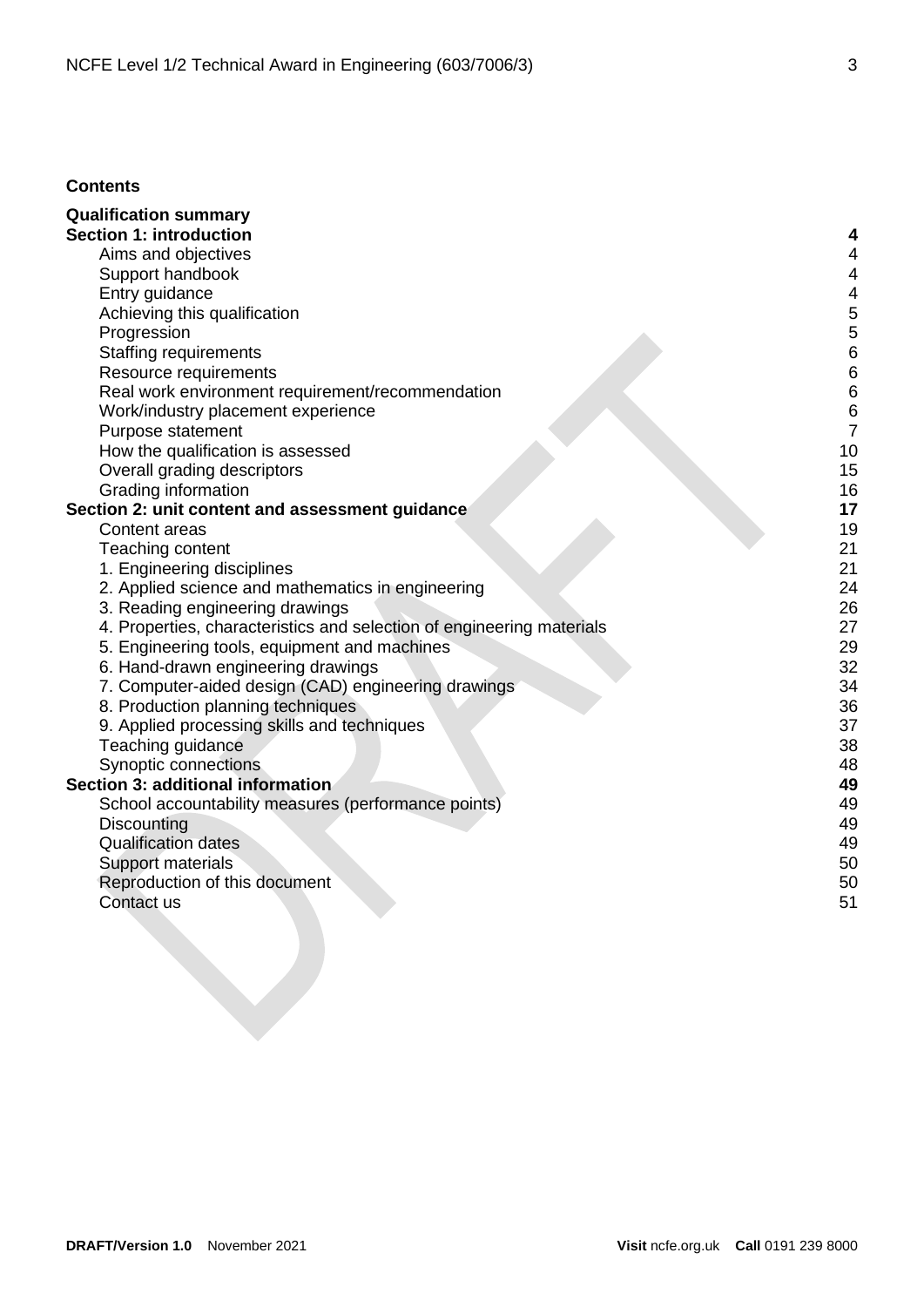# **Contents**

| <b>Qualification summary</b>                                          |    |
|-----------------------------------------------------------------------|----|
| <b>Section 1: introduction</b>                                        | 4  |
| Aims and objectives                                                   | 4  |
| Support handbook                                                      | 4  |
| Entry guidance                                                        | 4  |
| Achieving this qualification                                          | 5  |
| Progression                                                           | 5  |
| <b>Staffing requirements</b>                                          | 6  |
| Resource requirements                                                 | 6  |
| Real work environment requirement/recommendation                      | 6  |
| Work/industry placement experience                                    | 6  |
| Purpose statement                                                     | 7  |
| How the qualification is assessed                                     | 10 |
| Overall grading descriptors                                           | 15 |
| Grading information                                                   | 16 |
| Section 2: unit content and assessment guidance                       | 17 |
| Content areas                                                         | 19 |
| Teaching content                                                      | 21 |
| 1. Engineering disciplines                                            | 21 |
| 2. Applied science and mathematics in engineering                     | 24 |
| 3. Reading engineering drawings                                       | 26 |
| 4. Properties, characteristics and selection of engineering materials | 27 |
| 5. Engineering tools, equipment and machines                          | 29 |
| 6. Hand-drawn engineering drawings                                    | 32 |
| 7. Computer-aided design (CAD) engineering drawings                   | 34 |
| 8. Production planning techniques                                     | 36 |
| 9. Applied processing skills and techniques                           | 37 |
| Teaching guidance                                                     | 38 |
| Synoptic connections                                                  | 48 |
| Section 3: additional information                                     | 49 |
| School accountability measures (performance points)                   | 49 |
| Discounting                                                           | 49 |
| <b>Qualification dates</b>                                            | 49 |
| Support materials                                                     | 50 |
| Reproduction of this document                                         | 50 |
| Contact us                                                            | 51 |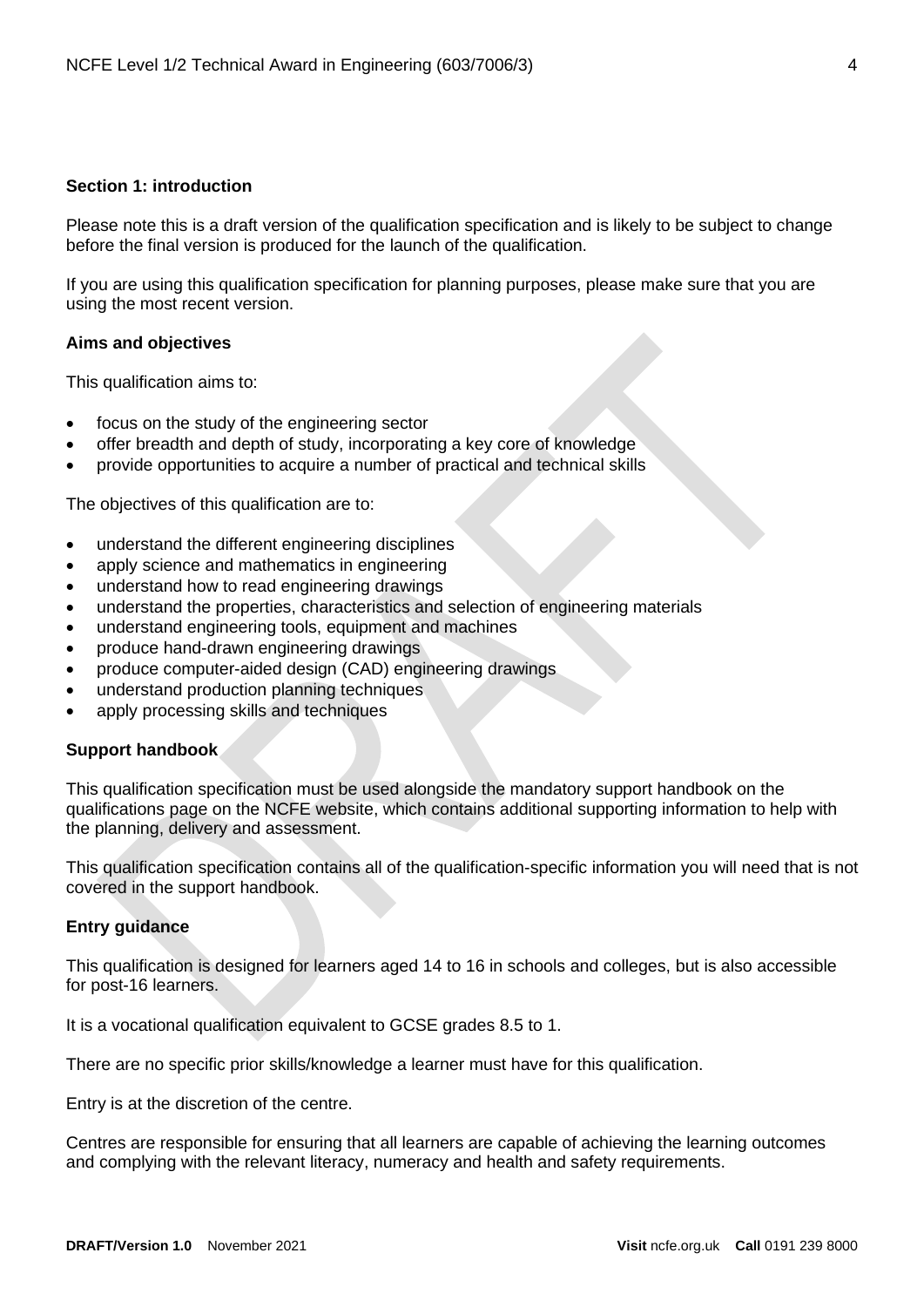## <span id="page-3-0"></span>**Section 1: introduction**

Please note this is a draft version of the qualification specification and is likely to be subject to change before the final version is produced for the launch of the qualification.

If you are using this qualification specification for planning purposes, please make sure that you are using the most recent version.

#### <span id="page-3-1"></span>**Aims and objectives**

This qualification aims to:

- focus on the study of the engineering sector
- offer breadth and depth of study, incorporating a key core of knowledge
- provide opportunities to acquire a number of practical and technical skills

The objectives of this qualification are to:

- understand the different engineering disciplines
- apply science and mathematics in engineering
- understand how to read engineering drawings
- understand the properties, characteristics and selection of engineering materials
- understand engineering tools, equipment and machines
- produce hand-drawn engineering drawings
- produce computer-aided design (CAD) engineering drawings
- understand production planning techniques
- apply processing skills and techniques

#### <span id="page-3-2"></span>**Support handbook**

This qualification specification must be used alongside the mandatory support handbook on the qualifications page on the NCFE website, which contains additional supporting information to help with the planning, delivery and assessment.

This qualification specification contains all of the qualification-specific information you will need that is not covered in the support handbook.

#### <span id="page-3-3"></span>**Entry guidance**

This qualification is designed for learners aged 14 to 16 in schools and colleges, but is also accessible for post-16 learners.

It is a vocational qualification equivalent to GCSE grades 8.5 to 1.

There are no specific prior skills/knowledge a learner must have for this qualification.

Entry is at the discretion of the centre.

Centres are responsible for ensuring that all learners are capable of achieving the learning outcomes and complying with the relevant literacy, numeracy and health and safety requirements.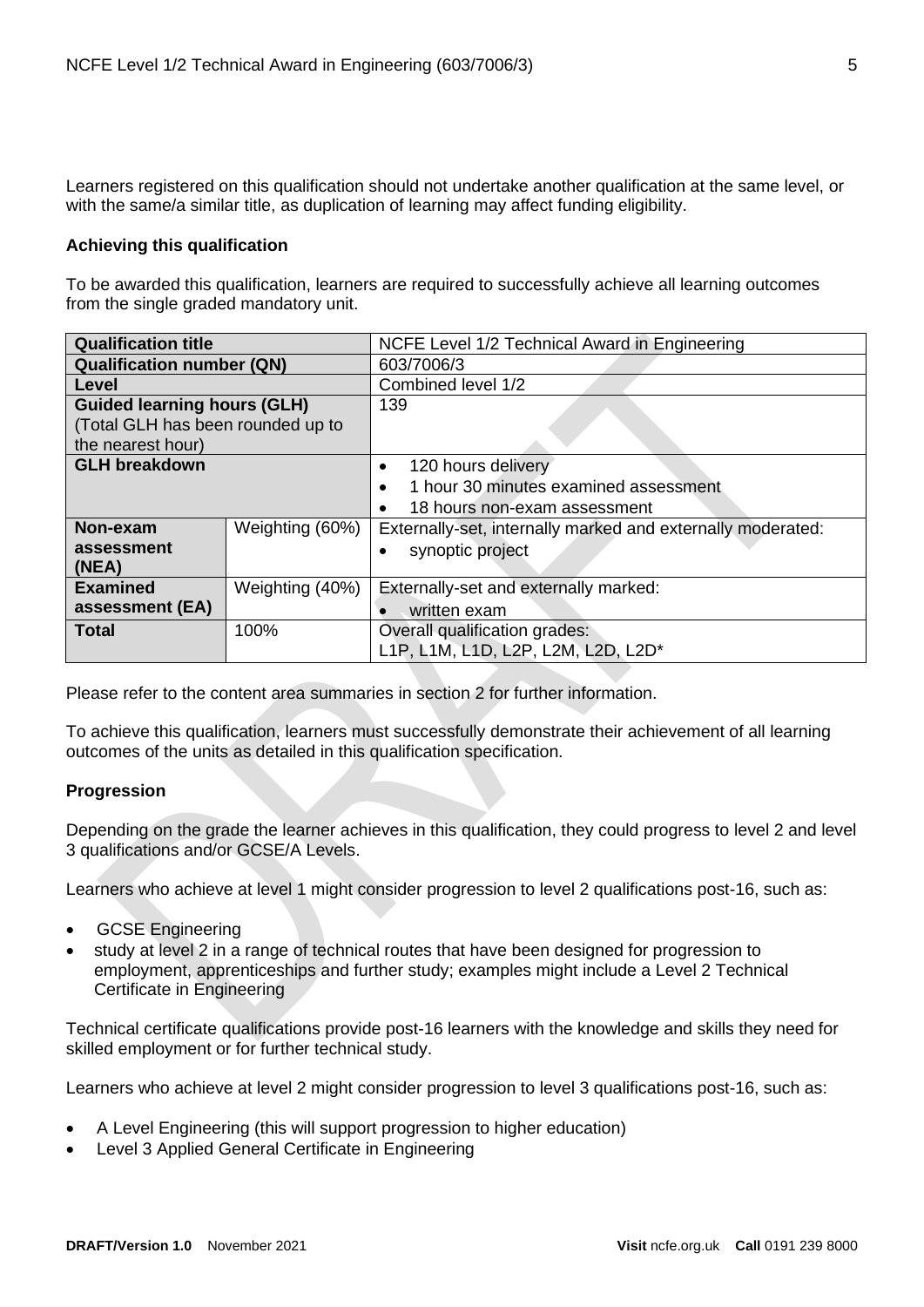Learners registered on this qualification should not undertake another qualification at the same level, or with the same/a similar title, as duplication of learning may affect funding eligibility.

# <span id="page-4-0"></span>**Achieving this qualification**

To be awarded this qualification, learners are required to successfully achieve all learning outcomes from the single graded mandatory unit.

| <b>Qualification title</b>                            |                 | NCFE Level 1/2 Technical Award in Engineering               |  |  |
|-------------------------------------------------------|-----------------|-------------------------------------------------------------|--|--|
| <b>Qualification number (QN)</b>                      |                 | 603/7006/3                                                  |  |  |
| Level                                                 |                 | Combined level 1/2                                          |  |  |
| <b>Guided learning hours (GLH)</b>                    |                 | 139                                                         |  |  |
| (Total GLH has been rounded up to                     |                 |                                                             |  |  |
| the nearest hour)                                     |                 |                                                             |  |  |
| <b>GLH breakdown</b>                                  |                 | 120 hours delivery<br>$\bullet$                             |  |  |
|                                                       |                 | 1 hour 30 minutes examined assessment<br>$\bullet$          |  |  |
|                                                       |                 | 18 hours non-exam assessment                                |  |  |
| Non-exam                                              | Weighting (60%) | Externally-set, internally marked and externally moderated: |  |  |
| assessment                                            |                 | synoptic project<br>$\bullet$                               |  |  |
| (NEA)                                                 |                 |                                                             |  |  |
| <b>Examined</b><br>Weighting (40%)                    |                 | Externally-set and externally marked:                       |  |  |
| assessment (EA)                                       |                 | written exam                                                |  |  |
| <b>Total</b><br>100%<br>Overall qualification grades: |                 |                                                             |  |  |
|                                                       |                 | L1P, L1M, L1D, L2P, L2M, L2D, L2D*                          |  |  |

Please refer to the content area summaries in section 2 for further information.

To achieve this qualification, learners must successfully demonstrate their achievement of all learning outcomes of the units as detailed in this qualification specification.

#### <span id="page-4-1"></span>**Progression**

Depending on the grade the learner achieves in this qualification, they could progress to level 2 and level 3 qualifications and/or GCSE/A Levels.

Learners who achieve at level 1 might consider progression to level 2 qualifications post-16, such as:

- GCSE Engineering
- study at level 2 in a range of technical routes that have been designed for progression to employment, apprenticeships and further study; examples might include a Level 2 Technical Certificate in Engineering

Technical certificate qualifications provide post-16 learners with the knowledge and skills they need for skilled employment or for further technical study.

Learners who achieve at level 2 might consider progression to level 3 qualifications post-16, such as:

- A Level Engineering (this will support progression to higher education)
- Level 3 Applied General Certificate in Engineering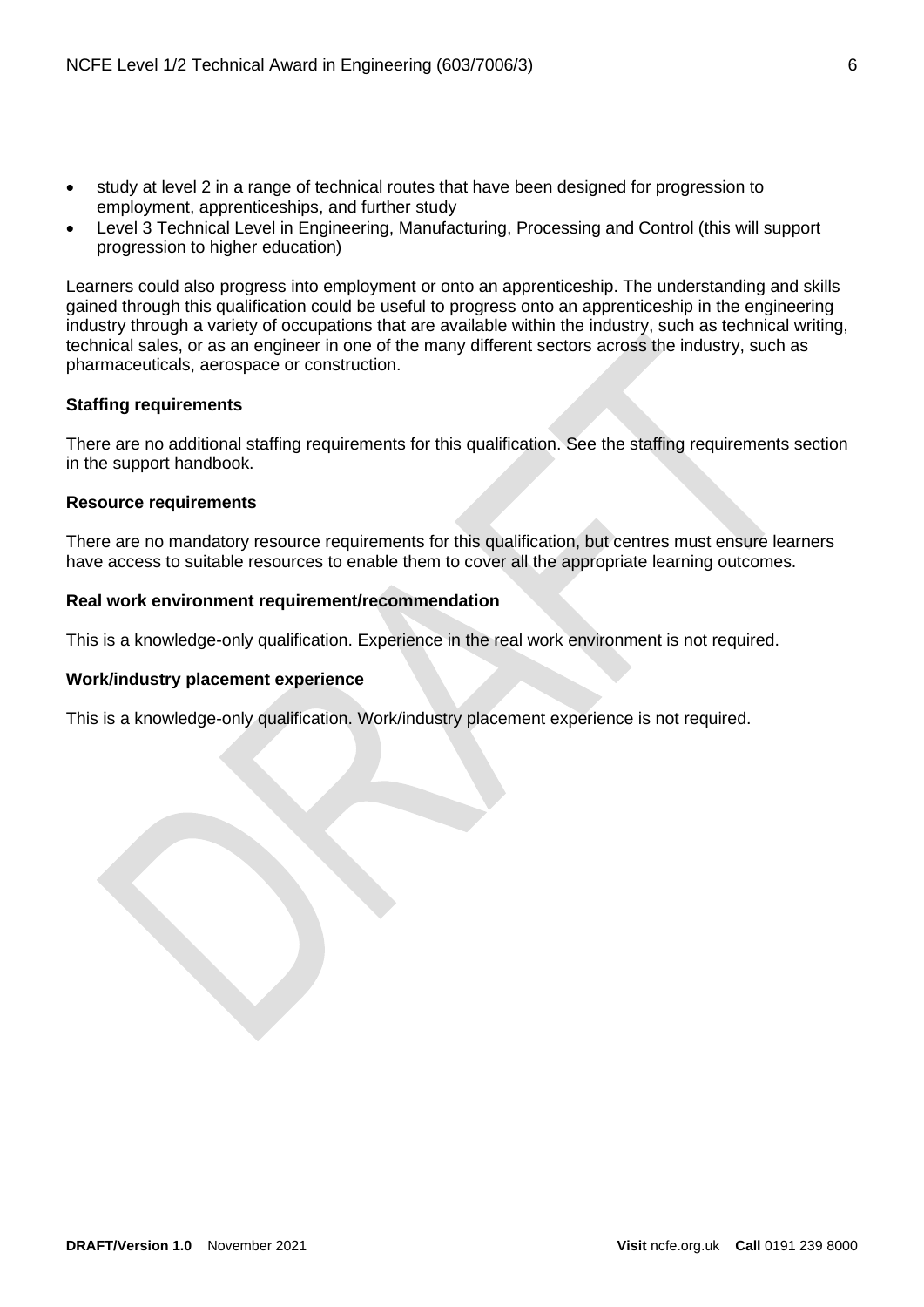- study at level 2 in a range of technical routes that have been designed for progression to employment, apprenticeships, and further study
- Level 3 Technical Level in Engineering, Manufacturing, Processing and Control (this will support progression to higher education)

Learners could also progress into employment or onto an apprenticeship. The understanding and skills gained through this qualification could be useful to progress onto an apprenticeship in the engineering industry through a variety of occupations that are available within the industry, such as technical writing, technical sales, or as an engineer in one of the many different sectors across the industry, such as pharmaceuticals, aerospace or construction.

## <span id="page-5-0"></span>**Staffing requirements**

There are no additional staffing requirements for this qualification. See the staffing requirements section in the support handbook.

#### <span id="page-5-1"></span>**Resource requirements**

There are no mandatory resource requirements for this qualification, but centres must ensure learners have access to suitable resources to enable them to cover all the appropriate learning outcomes.

## <span id="page-5-2"></span>**Real work environment requirement/recommendation**

This is a knowledge-only qualification. Experience in the real work environment is not required.

# <span id="page-5-3"></span>**Work/industry placement experience**

This is a knowledge-only qualification. Work/industry placement experience is not required.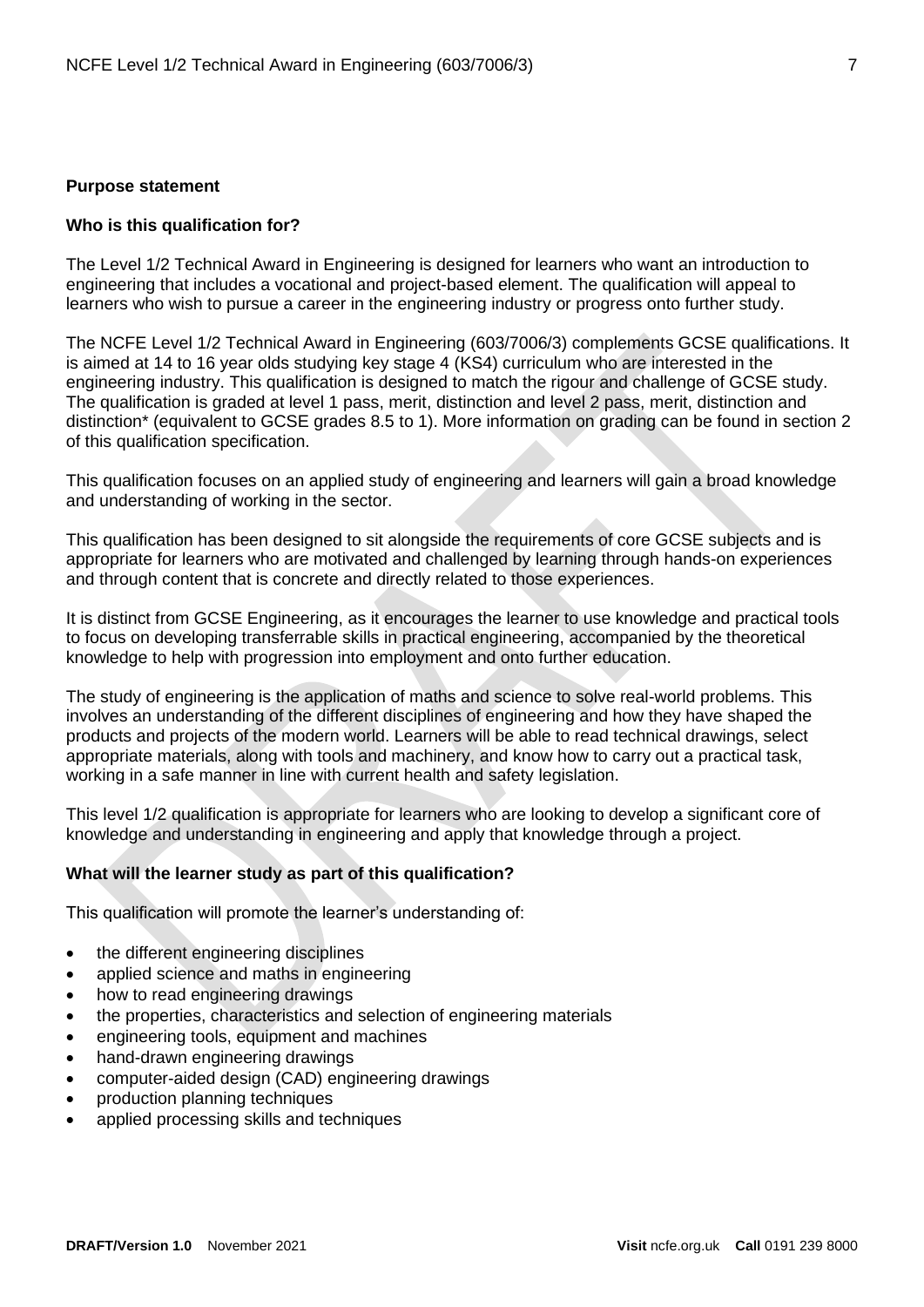#### <span id="page-6-0"></span>**Purpose statement**

#### **Who is this qualification for?**

The Level 1/2 Technical Award in Engineering is designed for learners who want an introduction to engineering that includes a vocational and project-based element. The qualification will appeal to learners who wish to pursue a career in the engineering industry or progress onto further study.

The NCFE Level 1/2 Technical Award in Engineering (603/7006/3) complements GCSE qualifications. It is aimed at 14 to 16 year olds studying key stage 4 (KS4) curriculum who are interested in the engineering industry. This qualification is designed to match the rigour and challenge of GCSE study. The qualification is graded at level 1 pass, merit, distinction and level 2 pass, merit, distinction and distinction\* (equivalent to GCSE grades 8.5 to 1). More information on grading can be found in section 2 of this qualification specification.

This qualification focuses on an applied study of engineering and learners will gain a broad knowledge and understanding of working in the sector.

This qualification has been designed to sit alongside the requirements of core GCSE subjects and is appropriate for learners who are motivated and challenged by learning through hands-on experiences and through content that is concrete and directly related to those experiences.

It is distinct from GCSE Engineering, as it encourages the learner to use knowledge and practical tools to focus on developing transferrable skills in practical engineering, accompanied by the theoretical knowledge to help with progression into employment and onto further education.

The study of engineering is the application of maths and science to solve real-world problems. This involves an understanding of the different disciplines of engineering and how they have shaped the products and projects of the modern world. Learners will be able to read technical drawings, select appropriate materials, along with tools and machinery, and know how to carry out a practical task, working in a safe manner in line with current health and safety legislation.

This level 1/2 qualification is appropriate for learners who are looking to develop a significant core of knowledge and understanding in engineering and apply that knowledge through a project.

#### **What will the learner study as part of this qualification?**

This qualification will promote the learner's understanding of:

- the different engineering disciplines
- applied science and maths in engineering
- how to read engineering drawings
- the properties, characteristics and selection of engineering materials
- engineering tools, equipment and machines
- hand-drawn engineering drawings
- computer-aided design (CAD) engineering drawings
- production planning techniques
- applied processing skills and techniques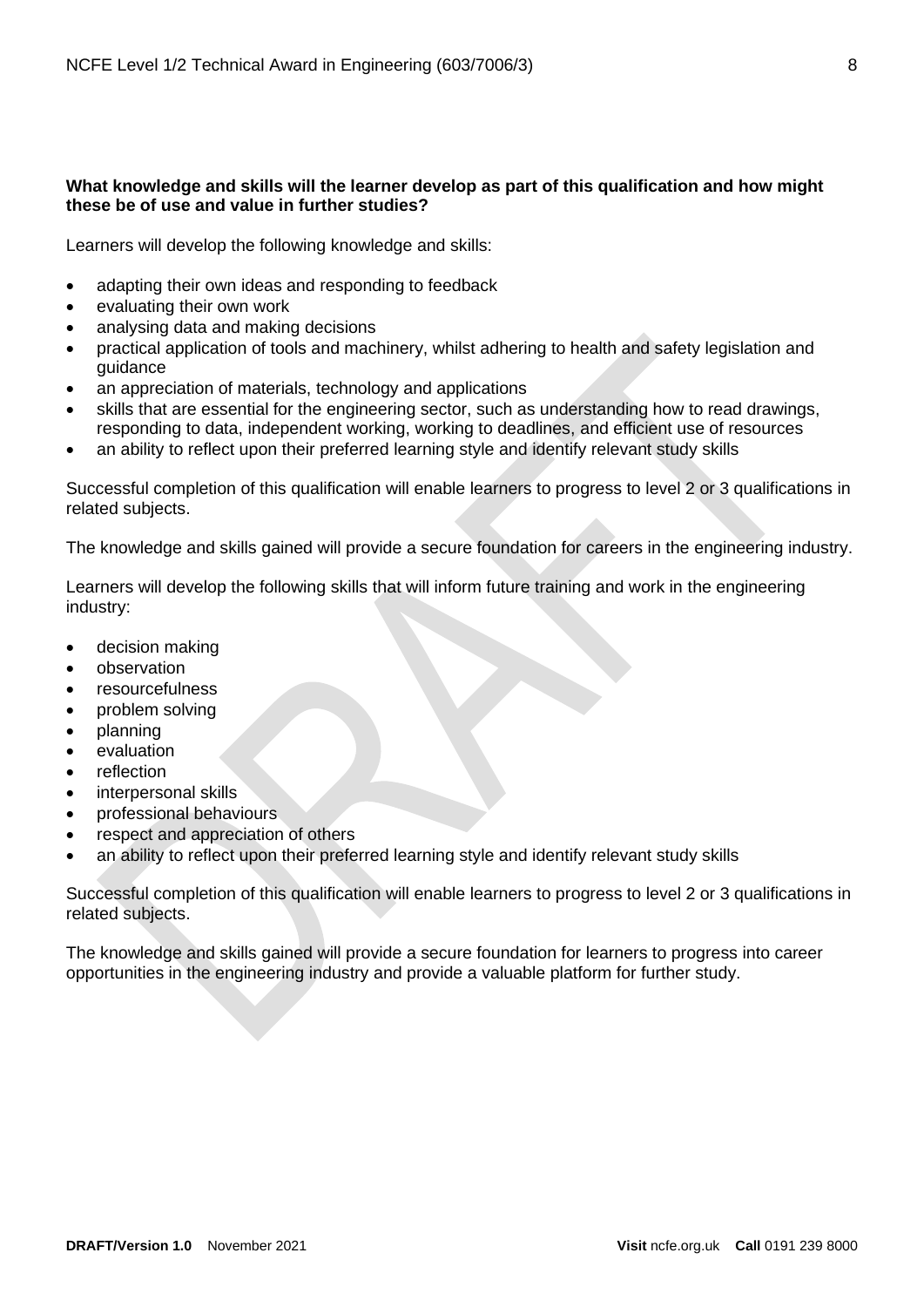# **What knowledge and skills will the learner develop as part of this qualification and how might these be of use and value in further studies?**

Learners will develop the following knowledge and skills:

- adapting their own ideas and responding to feedback
- evaluating their own work
- analysing data and making decisions
- practical application of tools and machinery, whilst adhering to health and safety legislation and guidance
- an appreciation of materials, technology and applications
- skills that are essential for the engineering sector, such as understanding how to read drawings, responding to data, independent working, working to deadlines, and efficient use of resources
- an ability to reflect upon their preferred learning style and identify relevant study skills

Successful completion of this qualification will enable learners to progress to level 2 or 3 qualifications in related subjects.

The knowledge and skills gained will provide a secure foundation for careers in the engineering industry.

Learners will develop the following skills that will inform future training and work in the engineering industry:

- decision making
- observation
- resourcefulness
- problem solving
- planning
- evaluation
- reflection
- interpersonal skills
- professional behaviours
- respect and appreciation of others
- an ability to reflect upon their preferred learning style and identify relevant study skills

Successful completion of this qualification will enable learners to progress to level 2 or 3 qualifications in related subjects.

The knowledge and skills gained will provide a secure foundation for learners to progress into career opportunities in the engineering industry and provide a valuable platform for further study.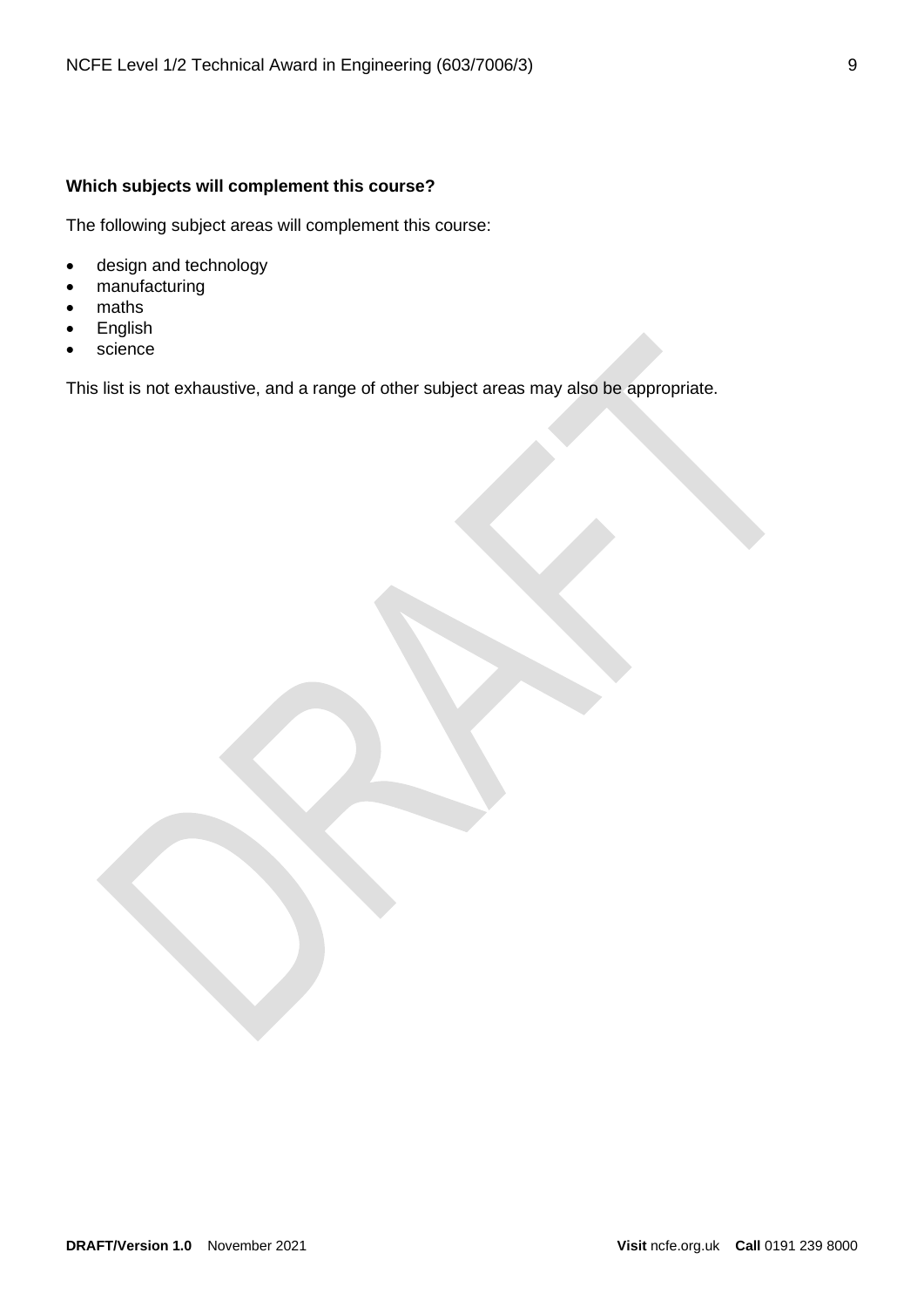# **Which subjects will complement this course?**

The following subject areas will complement this course:

- design and technology
- manufacturing
- maths
- English
- science

This list is not exhaustive, and a range of other subject areas may also be appropriate.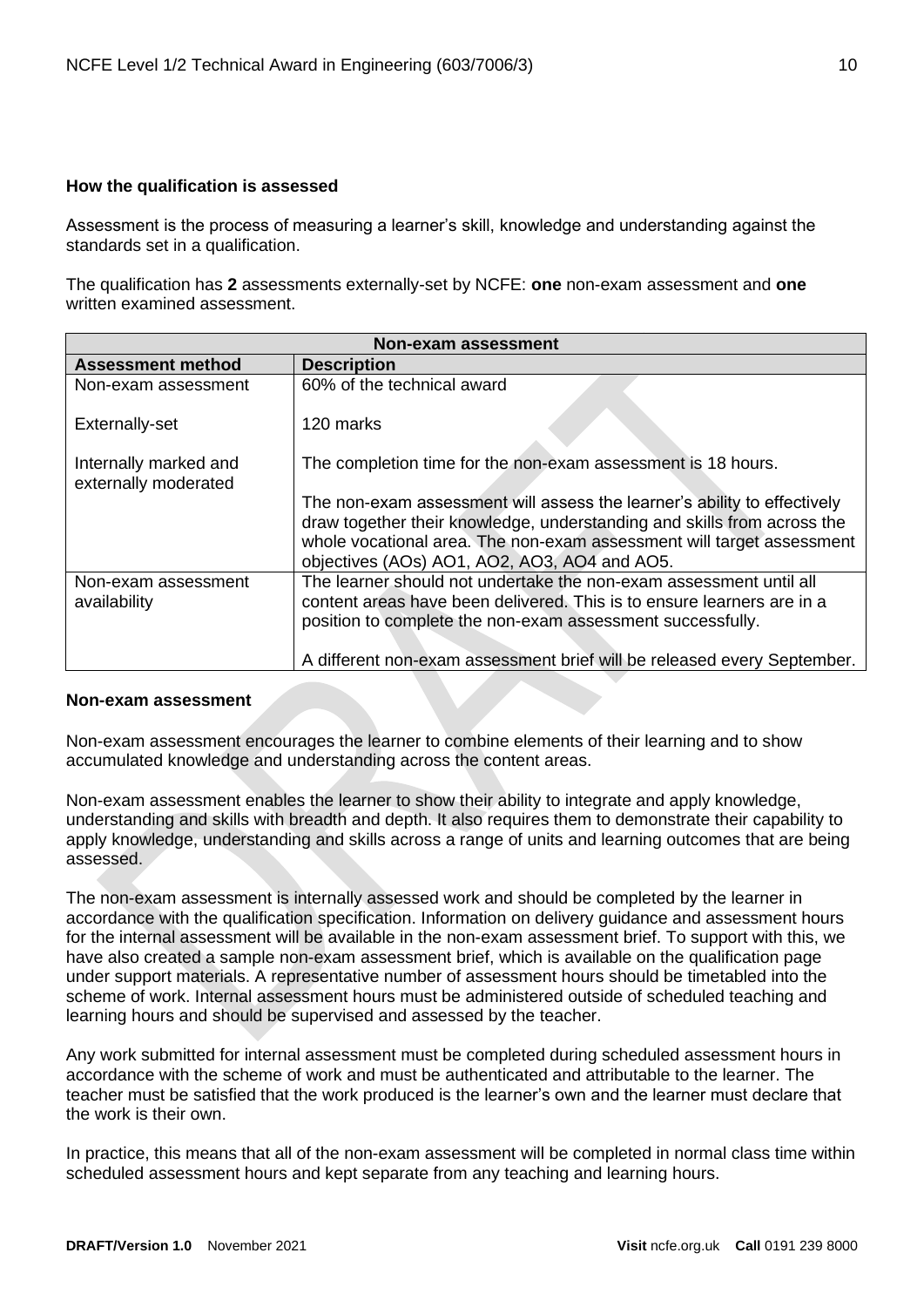## <span id="page-9-0"></span>**How the qualification is assessed**

Assessment is the process of measuring a learner's skill, knowledge and understanding against the standards set in a qualification.

The qualification has **2** assessments externally-set by NCFE: **one** non-exam assessment and **one** written examined assessment.

| <b>Non-exam assessment</b>                    |                                                                                                                                                                                                                                                                              |  |  |
|-----------------------------------------------|------------------------------------------------------------------------------------------------------------------------------------------------------------------------------------------------------------------------------------------------------------------------------|--|--|
| <b>Assessment method</b>                      | <b>Description</b>                                                                                                                                                                                                                                                           |  |  |
| Non-exam assessment                           | 60% of the technical award                                                                                                                                                                                                                                                   |  |  |
| Externally-set                                | 120 marks                                                                                                                                                                                                                                                                    |  |  |
| Internally marked and<br>externally moderated | The completion time for the non-exam assessment is 18 hours.                                                                                                                                                                                                                 |  |  |
|                                               | The non-exam assessment will assess the learner's ability to effectively<br>draw together their knowledge, understanding and skills from across the<br>whole vocational area. The non-exam assessment will target assessment<br>objectives (AOs) AO1, AO2, AO3, AO4 and AO5. |  |  |
| Non-exam assessment<br>availability           | The learner should not undertake the non-exam assessment until all<br>content areas have been delivered. This is to ensure learners are in a<br>position to complete the non-exam assessment successfully.                                                                   |  |  |
|                                               | A different non-exam assessment brief will be released every September.                                                                                                                                                                                                      |  |  |

#### **Non-exam assessment**

Non-exam assessment encourages the learner to combine elements of their learning and to show accumulated knowledge and understanding across the content areas.

Non-exam assessment enables the learner to show their ability to integrate and apply knowledge, understanding and skills with breadth and depth. It also requires them to demonstrate their capability to apply knowledge, understanding and skills across a range of units and learning outcomes that are being assessed.

The non-exam assessment is internally assessed work and should be completed by the learner in accordance with the qualification specification. Information on delivery guidance and assessment hours for the internal assessment will be available in the non-exam assessment brief. To support with this, we have also created a sample non-exam assessment brief, which is available on the qualification page under support materials. A representative number of assessment hours should be timetabled into the scheme of work. Internal assessment hours must be administered outside of scheduled teaching and learning hours and should be supervised and assessed by the teacher.

Any work submitted for internal assessment must be completed during scheduled assessment hours in accordance with the scheme of work and must be authenticated and attributable to the learner. The teacher must be satisfied that the work produced is the learner's own and the learner must declare that the work is their own.

In practice, this means that all of the non-exam assessment will be completed in normal class time within scheduled assessment hours and kept separate from any teaching and learning hours.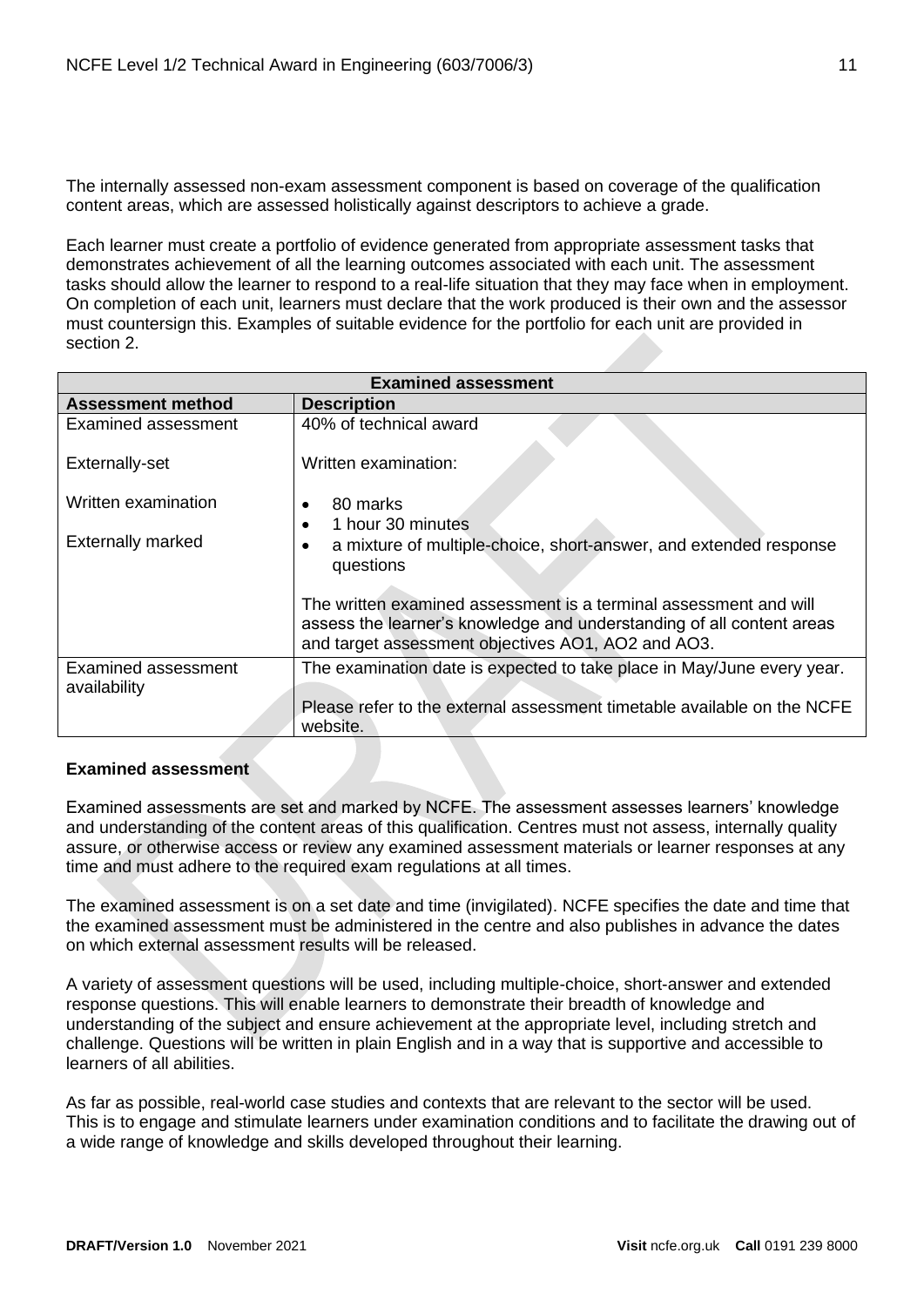The internally assessed non-exam assessment component is based on coverage of the qualification content areas, which are assessed holistically against descriptors to achieve a grade.

Each learner must create a portfolio of evidence generated from appropriate assessment tasks that demonstrates achievement of all the learning outcomes associated with each unit. The assessment tasks should allow the learner to respond to a real-life situation that they may face when in employment. On completion of each unit, learners must declare that the work produced is their own and the assessor must countersign this. Examples of suitable evidence for the portfolio for each unit are provided in section 2.

| <b>Examined assessment</b> |                                                                                                                                                                                                  |  |  |
|----------------------------|--------------------------------------------------------------------------------------------------------------------------------------------------------------------------------------------------|--|--|
| <b>Assessment method</b>   | <b>Description</b>                                                                                                                                                                               |  |  |
| Examined assessment        | 40% of technical award                                                                                                                                                                           |  |  |
| Externally-set             | Written examination:                                                                                                                                                                             |  |  |
| Written examination        | 80 marks                                                                                                                                                                                         |  |  |
|                            | 1 hour 30 minutes                                                                                                                                                                                |  |  |
| <b>Externally marked</b>   | a mixture of multiple-choice, short-answer, and extended response<br>questions                                                                                                                   |  |  |
|                            | The written examined assessment is a terminal assessment and will<br>assess the learner's knowledge and understanding of all content areas<br>and target assessment objectives AO1, AO2 and AO3. |  |  |
| Examined assessment        | The examination date is expected to take place in May/June every year.                                                                                                                           |  |  |
| availability               |                                                                                                                                                                                                  |  |  |
|                            | Please refer to the external assessment timetable available on the NCFE<br>website.                                                                                                              |  |  |

#### **Examined assessment**

Examined assessments are set and marked by NCFE. The assessment assesses learners' knowledge and understanding of the content areas of this qualification. Centres must not assess, internally quality assure, or otherwise access or review any examined assessment materials or learner responses at any time and must adhere to the required exam regulations at all times.

The examined assessment is on a set date and time (invigilated). NCFE specifies the date and time that the examined assessment must be administered in the centre and also publishes in advance the dates on which external assessment results will be released.

A variety of assessment questions will be used, including multiple-choice, short-answer and extended response questions. This will enable learners to demonstrate their breadth of knowledge and understanding of the subject and ensure achievement at the appropriate level, including stretch and challenge. Questions will be written in plain English and in a way that is supportive and accessible to learners of all abilities.

As far as possible, real-world case studies and contexts that are relevant to the sector will be used. This is to engage and stimulate learners under examination conditions and to facilitate the drawing out of a wide range of knowledge and skills developed throughout their learning.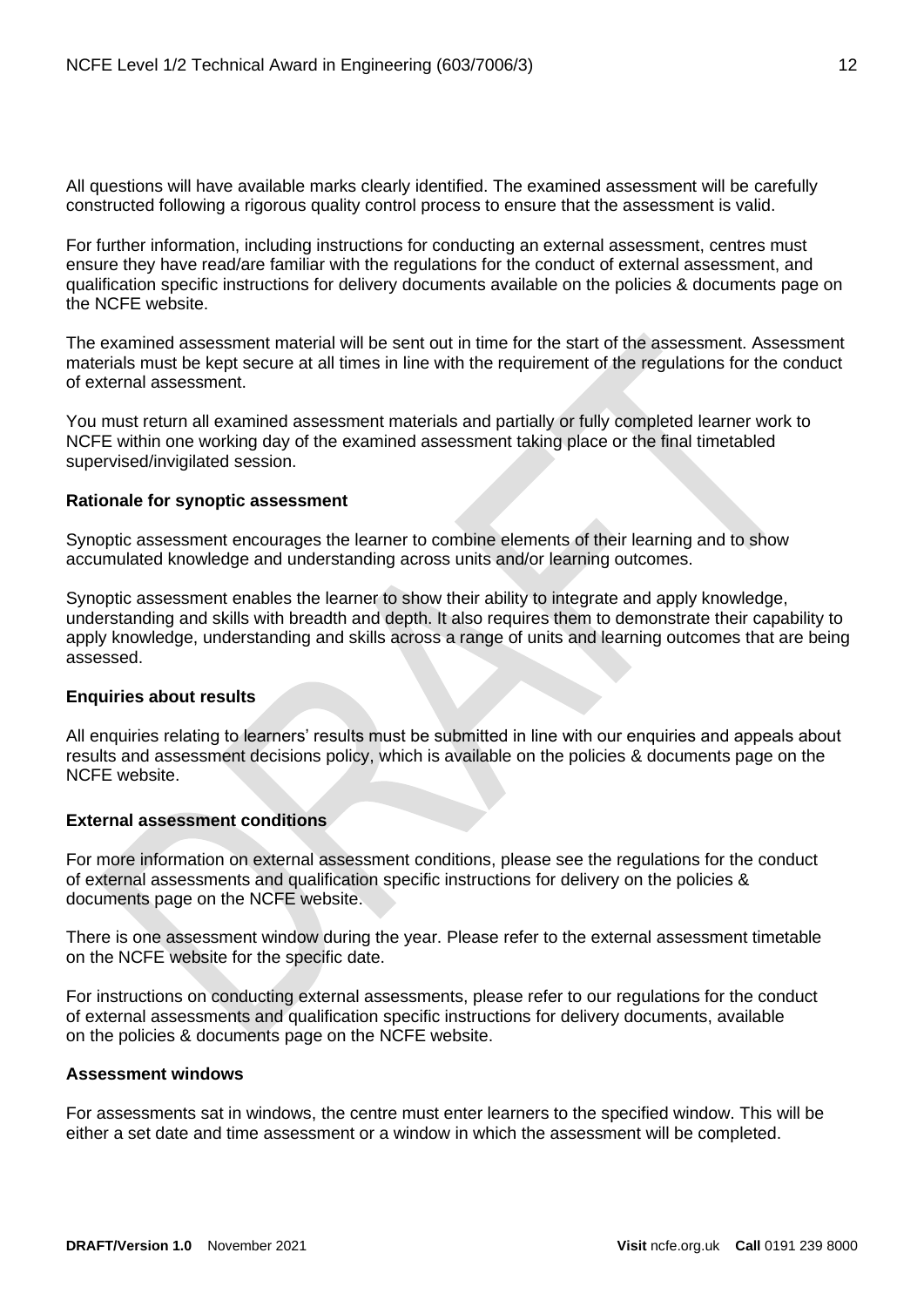All questions will have available marks clearly identified. The examined assessment will be carefully constructed following a rigorous quality control process to ensure that the assessment is valid.

For further information, including instructions for conducting an external assessment, centres must ensure they have read/are familiar with the regulations for the conduct of external assessment, and qualification specific instructions for delivery documents available on the policies & documents page on the NCFE website.

The examined assessment material will be sent out in time for the start of the assessment. Assessment materials must be kept secure at all times in line with the requirement of the regulations for the conduct of external assessment.

You must return all examined assessment materials and partially or fully completed learner work to NCFE within one working day of the examined assessment taking place or the final timetabled supervised/invigilated session.

#### **Rationale for synoptic assessment**

Synoptic assessment encourages the learner to combine elements of their learning and to show accumulated knowledge and understanding across units and/or learning outcomes.

Synoptic assessment enables the learner to show their ability to integrate and apply knowledge, understanding and skills with breadth and depth. It also requires them to demonstrate their capability to apply knowledge, understanding and skills across a range of units and learning outcomes that are being assessed.

#### **Enquiries about results**

All enquiries relating to learners' results must be submitted in line with our enquiries and appeals about results and assessment decisions policy, which is available on the policies & documents page on the NCFE website.

# **External assessment conditions**

For more information on external assessment conditions, please see the regulations for the conduct of external assessments and qualification specific instructions for delivery on the policies & documents page on the NCFE website.

There is one assessment window during the year. Please refer to the external assessment timetable on the NCFE website for the specific date.

For instructions on conducting external assessments, please refer to our regulations for the conduct of external assessments and qualification specific instructions for delivery documents, available on the policies & documents page on the NCFE website.

#### **Assessment windows**

For assessments sat in windows, the centre must enter learners to the specified window. This will be either a set date and time assessment or a window in which the assessment will be completed.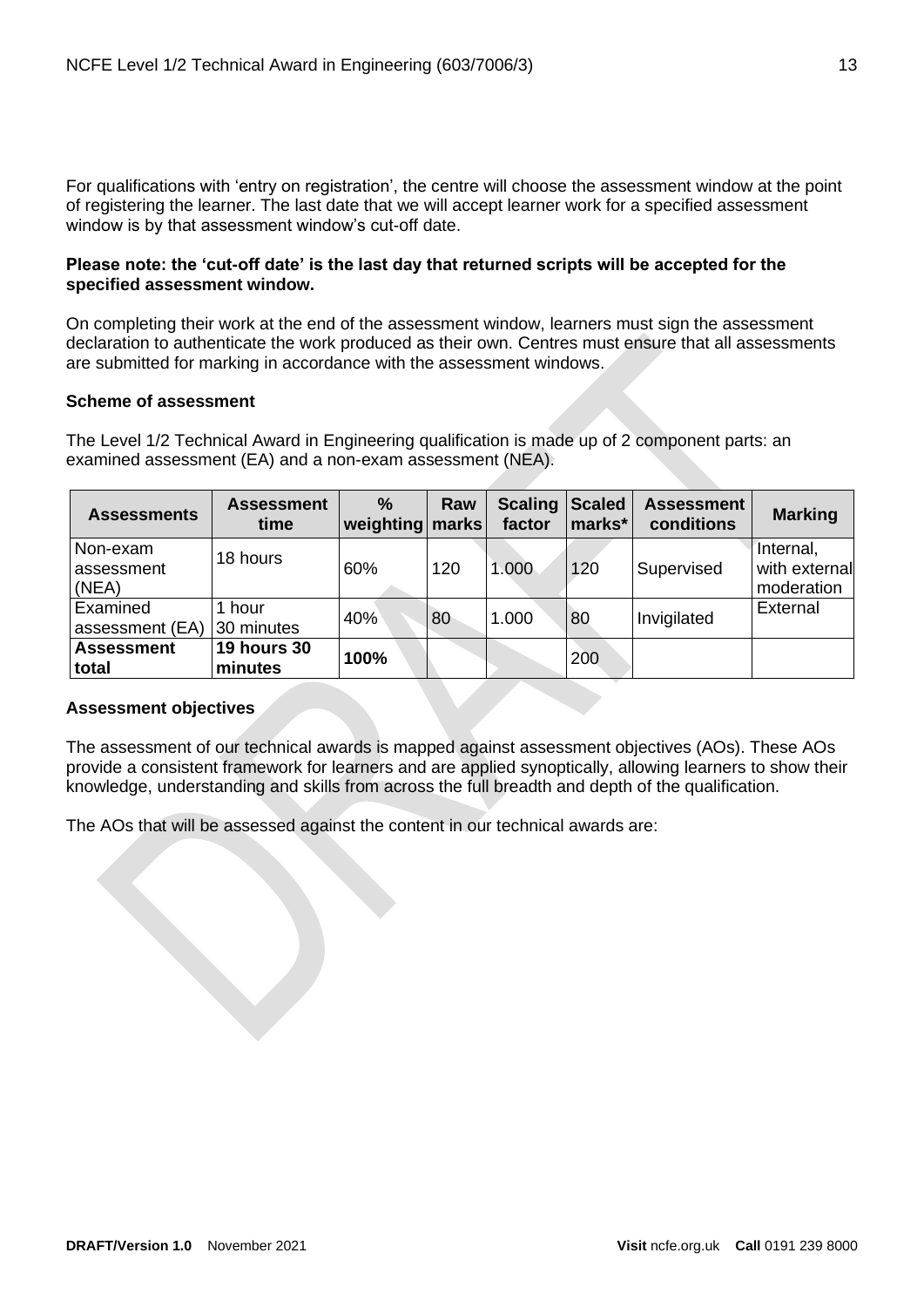For qualifications with 'entry on registration', the centre will choose the assessment window at the point of registering the learner. The last date that we will accept learner work for a specified assessment window is by that assessment window's cut-off date.

#### **Please note: the 'cut-off date' is the last day that returned scripts will be accepted for the specified assessment window.**

On completing their work at the end of the assessment window, learners must sign the assessment declaration to authenticate the work produced as their own. Centres must ensure that all assessments are submitted for marking in accordance with the assessment windows.

## **Scheme of assessment**

The Level 1/2 Technical Award in Engineering qualification is made up of 2 component parts: an examined assessment (EA) and a non-exam assessment (NEA).

| <b>Assessments</b>              | <b>Assessment</b><br>time     | $\frac{0}{0}$<br>weighting marks | Raw | <b>Scaling</b><br>factor | <b>Scaled</b><br>marks* | <b>Assessment</b><br>conditions | <b>Marking</b>                           |
|---------------------------------|-------------------------------|----------------------------------|-----|--------------------------|-------------------------|---------------------------------|------------------------------------------|
| Non-exam<br>assessment<br>(NEA) | 18 hours                      | 60%                              | 120 | 1.000                    | 120                     | Supervised                      | Internal,<br>with external<br>moderation |
| Examined<br>assessment (EA)     | hour<br>30 minutes            | 40%                              | 80  | 1.000                    | 80                      | Invigilated                     | External                                 |
| <b>Assessment</b><br>total      | <b>19 hours 30</b><br>minutes | 100%                             |     |                          | 200                     |                                 |                                          |

# **Assessment objectives**

The assessment of our technical awards is mapped against assessment objectives (AOs). These AOs provide a consistent framework for learners and are applied synoptically, allowing learners to show their knowledge, understanding and skills from across the full breadth and depth of the qualification.

The AOs that will be assessed against the content in our technical awards are: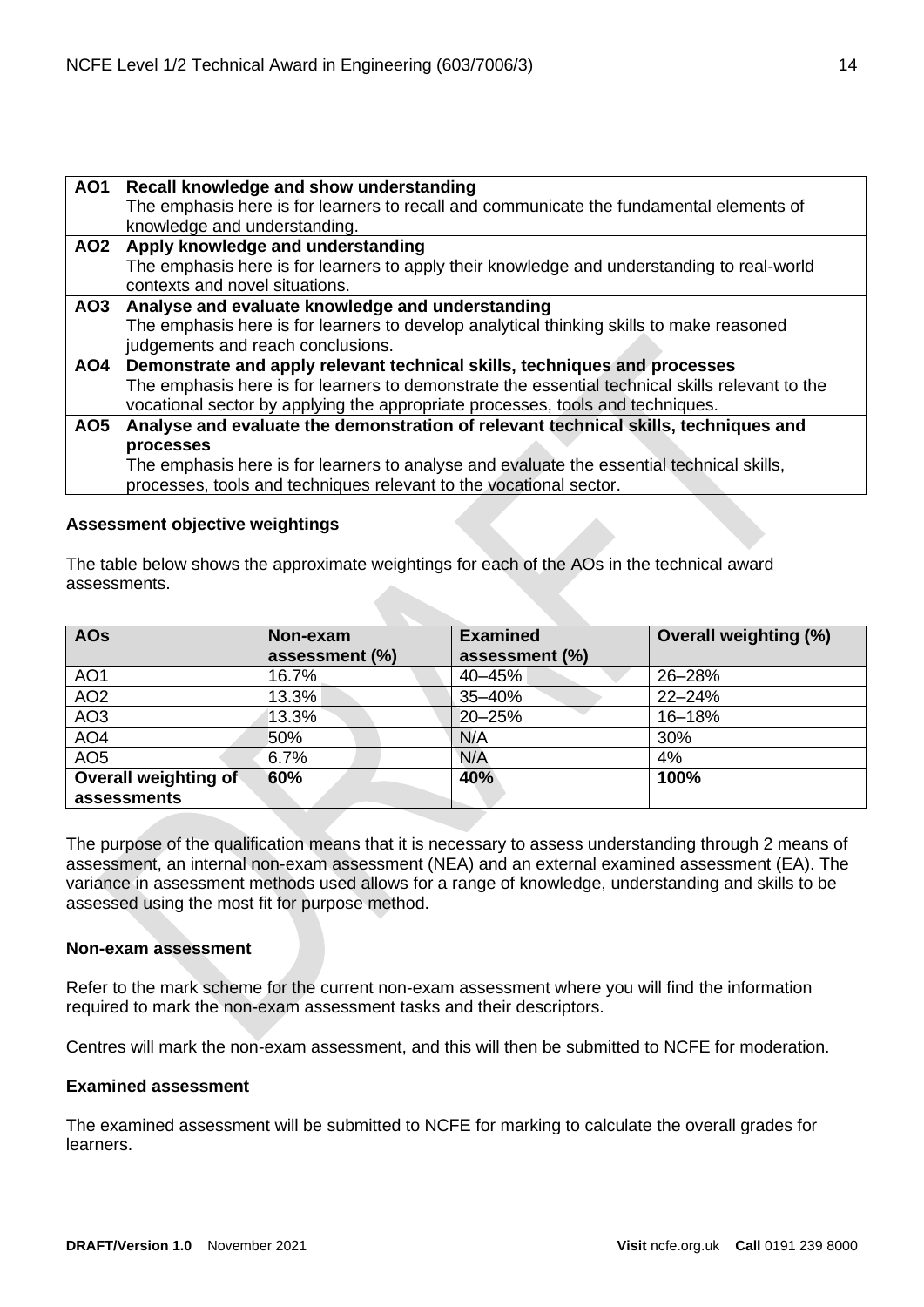| <b>AO1</b>      | Recall knowledge and show understanding                                                         |
|-----------------|-------------------------------------------------------------------------------------------------|
|                 | The emphasis here is for learners to recall and communicate the fundamental elements of         |
|                 | knowledge and understanding.                                                                    |
| AO <sub>2</sub> | Apply knowledge and understanding                                                               |
|                 | The emphasis here is for learners to apply their knowledge and understanding to real-world      |
|                 | contexts and novel situations.                                                                  |
| AO <sub>3</sub> | Analyse and evaluate knowledge and understanding                                                |
|                 | The emphasis here is for learners to develop analytical thinking skills to make reasoned        |
|                 | judgements and reach conclusions.                                                               |
| <b>AO4</b>      | Demonstrate and apply relevant technical skills, techniques and processes                       |
|                 | The emphasis here is for learners to demonstrate the essential technical skills relevant to the |
|                 | vocational sector by applying the appropriate processes, tools and techniques.                  |
| AO <sub>5</sub> | Analyse and evaluate the demonstration of relevant technical skills, techniques and             |
|                 | processes                                                                                       |
|                 | The emphasis here is for learners to analyse and evaluate the essential technical skills,       |
|                 | processes, tools and techniques relevant to the vocational sector.                              |

## **Assessment objective weightings**

The table below shows the approximate weightings for each of the AOs in the technical award assessments.

| <b>AOs</b>           | Non-exam       | <b>Examined</b> | <b>Overall weighting (%)</b> |
|----------------------|----------------|-----------------|------------------------------|
|                      | assessment (%) | assessment (%)  |                              |
| AO <sub>1</sub>      | 16.7%          | 40-45%          | 26-28%                       |
| AO <sub>2</sub>      | 13.3%          | 35-40%          | $22 - 24%$                   |
| AO <sub>3</sub>      | 13.3%          | 20-25%          | 16-18%                       |
| AO <sub>4</sub>      | 50%            | N/A             | 30%                          |
| AO <sub>5</sub>      | 6.7%           | N/A             | 4%                           |
| Overall weighting of | 60%            | 40%             | 100%                         |
| assessments          |                |                 |                              |

The purpose of the qualification means that it is necessary to assess understanding through 2 means of assessment, an internal non-exam assessment (NEA) and an external examined assessment (EA). The variance in assessment methods used allows for a range of knowledge, understanding and skills to be assessed using the most fit for purpose method.

#### **Non-exam assessment**

Refer to the mark scheme for the current non-exam assessment where you will find the information required to mark the non-exam assessment tasks and their descriptors.

Centres will mark the non-exam assessment, and this will then be submitted to NCFE for moderation.

#### **Examined assessment**

The examined assessment will be submitted to NCFE for marking to calculate the overall grades for learners.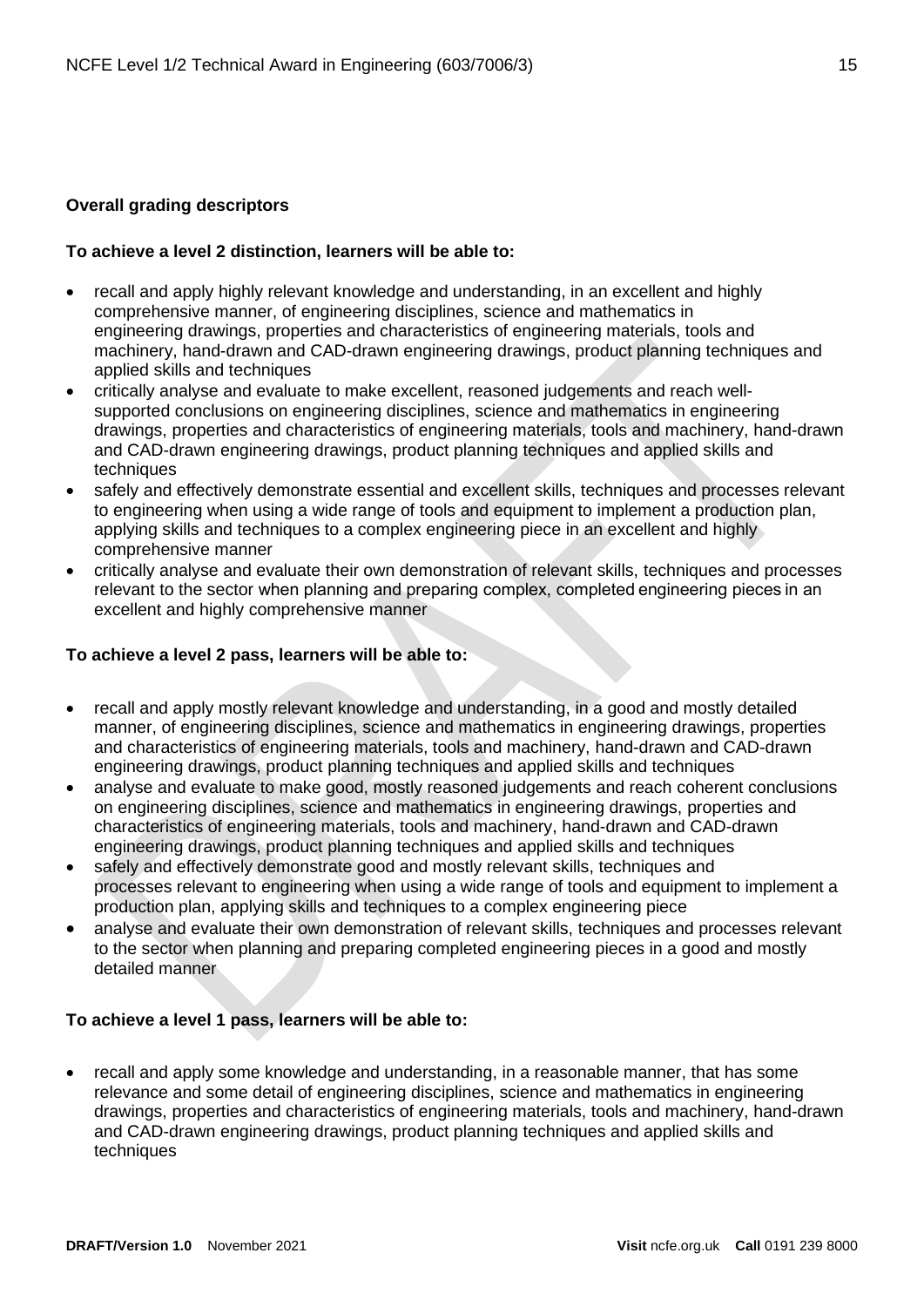# <span id="page-14-0"></span>**Overall grading descriptors**

# **To achieve a level 2 distinction, learners will be able to:**

- recall and apply highly relevant knowledge and understanding, in an excellent and highly comprehensive manner, of engineering disciplines, science and mathematics in engineering drawings, properties and characteristics of engineering materials, tools and machinery, hand-drawn and CAD-drawn engineering drawings, product planning techniques and applied skills and techniques
- critically analyse and evaluate to make excellent, reasoned judgements and reach wellsupported conclusions on engineering disciplines, science and mathematics in engineering drawings, properties and characteristics of engineering materials, tools and machinery, hand-drawn and CAD-drawn engineering drawings, product planning techniques and applied skills and techniques
- safely and effectively demonstrate essential and excellent skills, techniques and processes relevant to engineering when using a wide range of tools and equipment to implement a production plan, applying skills and techniques to a complex engineering piece in an excellent and highly comprehensive manner
- critically analyse and evaluate their own demonstration of relevant skills, techniques and processes relevant to the sector when planning and preparing complex, completed engineering pieces in an excellent and highly comprehensive manner

# **To achieve a level 2 pass, learners will be able to:**

- recall and apply mostly relevant knowledge and understanding, in a good and mostly detailed manner, of engineering disciplines, science and mathematics in engineering drawings, properties and characteristics of engineering materials, tools and machinery, hand-drawn and CAD-drawn engineering drawings, product planning techniques and applied skills and techniques
- analyse and evaluate to make good, mostly reasoned judgements and reach coherent conclusions on engineering disciplines, science and mathematics in engineering drawings, properties and characteristics of engineering materials, tools and machinery, hand-drawn and CAD-drawn engineering drawings, product planning techniques and applied skills and techniques
- safely and effectively demonstrate good and mostly relevant skills, techniques and processes relevant to engineering when using a wide range of tools and equipment to implement a production plan, applying skills and techniques to a complex engineering piece
- analyse and evaluate their own demonstration of relevant skills, techniques and processes relevant to the sector when planning and preparing completed engineering pieces in a good and mostly detailed manner

# **To achieve a level 1 pass, learners will be able to:**

• recall and apply some knowledge and understanding, in a reasonable manner, that has some relevance and some detail of engineering disciplines, science and mathematics in engineering drawings, properties and characteristics of engineering materials, tools and machinery, hand-drawn and CAD-drawn engineering drawings, product planning techniques and applied skills and techniques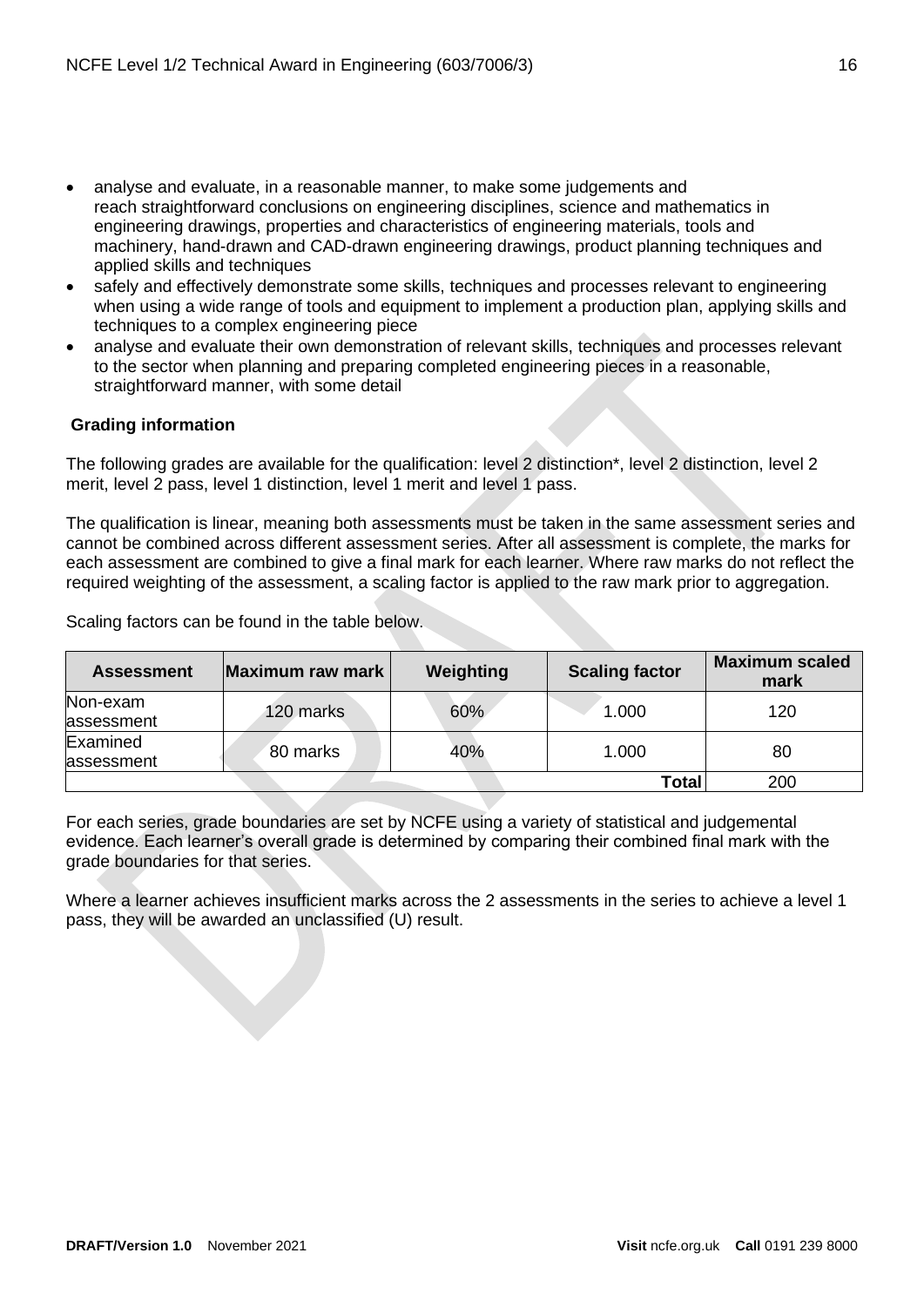- analyse and evaluate, in a reasonable manner, to make some judgements and reach straightforward conclusions on engineering disciplines, science and mathematics in engineering drawings, properties and characteristics of engineering materials, tools and machinery, hand-drawn and CAD-drawn engineering drawings, product planning techniques and applied skills and techniques
- safely and effectively demonstrate some skills, techniques and processes relevant to engineering when using a wide range of tools and equipment to implement a production plan, applying skills and techniques to a complex engineering piece
- analyse and evaluate their own demonstration of relevant skills, techniques and processes relevant to the sector when planning and preparing completed engineering pieces in a reasonable, straightforward manner, with some detail

# <span id="page-15-0"></span>**Grading information**

The following grades are available for the qualification: level 2 distinction\*, level 2 distinction, level 2 merit, level 2 pass, level 1 distinction, level 1 merit and level 1 pass.

The qualification is linear, meaning both assessments must be taken in the same assessment series and cannot be combined across different assessment series. After all assessment is complete, the marks for each assessment are combined to give a final mark for each learner. Where raw marks do not reflect the required weighting of the assessment, a scaling factor is applied to the raw mark prior to aggregation.

Scaling factors can be found in the table below.

| <b>Assessment</b>      | Maximum raw mark | Weighting | <b>Scaling factor</b> | <b>Maximum scaled</b><br>mark |
|------------------------|------------------|-----------|-----------------------|-------------------------------|
| Non-exam<br>assessment | 120 marks        | 60%       | 1.000                 | 120                           |
| Examined<br>assessment | 80 marks         | 40%       | 1.000                 | 80                            |
|                        |                  |           | Total                 | 200                           |

For each series, grade boundaries are set by NCFE using a variety of statistical and judgemental evidence. Each learner's overall grade is determined by comparing their combined final mark with the grade boundaries for that series.

Where a learner achieves insufficient marks across the 2 assessments in the series to achieve a level 1 pass, they will be awarded an unclassified (U) result.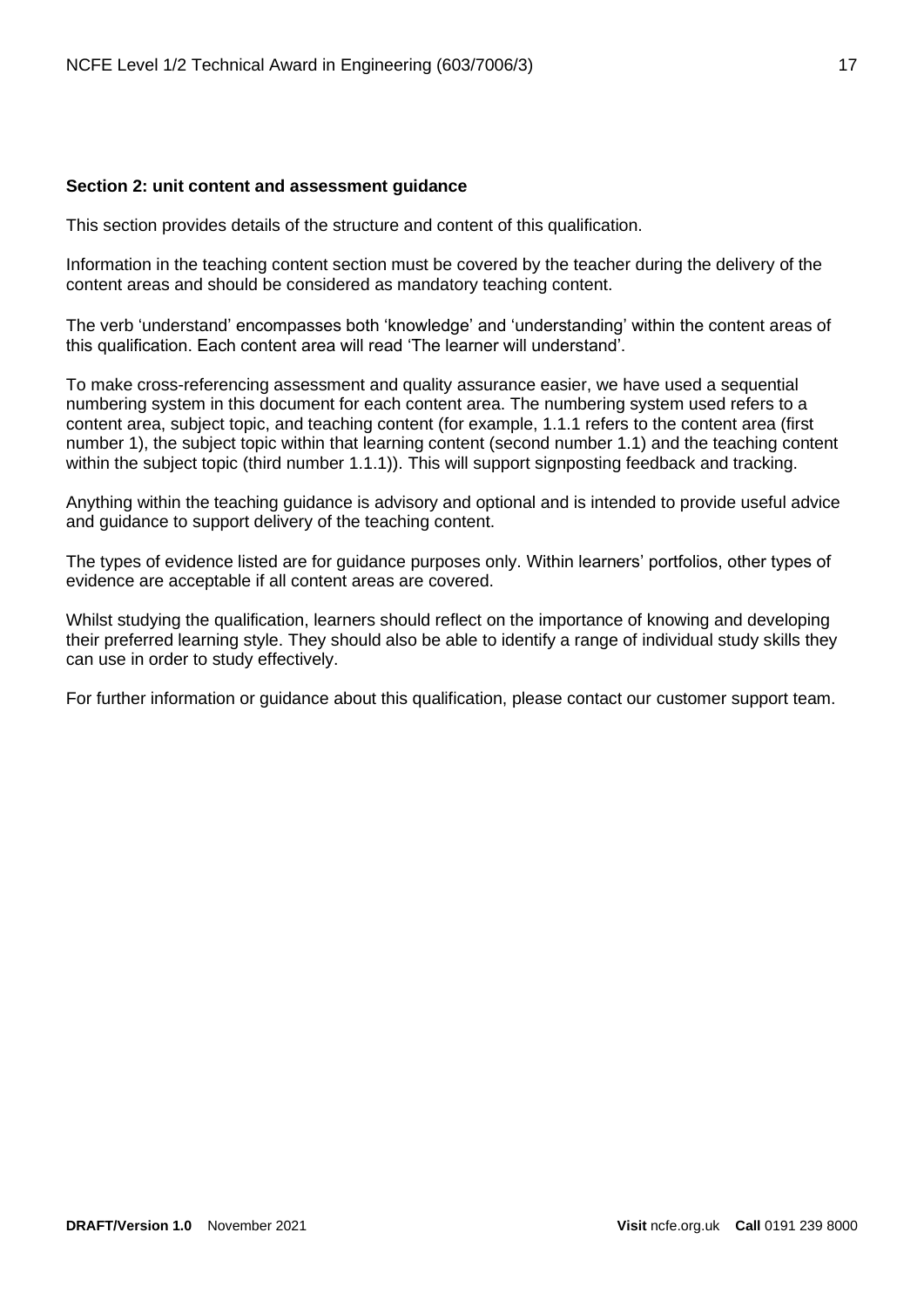#### <span id="page-16-0"></span>**Section 2: unit content and assessment guidance**

This section provides details of the structure and content of this qualification.

Information in the teaching content section must be covered by the teacher during the delivery of the content areas and should be considered as mandatory teaching content.

The verb 'understand' encompasses both 'knowledge' and 'understanding' within the content areas of this qualification. Each content area will read 'The learner will understand'.

To make cross-referencing assessment and quality assurance easier, we have used a sequential numbering system in this document for each content area. The numbering system used refers to a content area, subject topic, and teaching content (for example, 1.1.1 refers to the content area (first number 1), the subject topic within that learning content (second number 1.1) and the teaching content within the subject topic (third number 1.1.1)). This will support signposting feedback and tracking.

Anything within the teaching guidance is advisory and optional and is intended to provide useful advice and guidance to support delivery of the teaching content.

The types of evidence listed are for guidance purposes only. Within learners' portfolios, other types of evidence are acceptable if all content areas are covered.

Whilst studying the qualification, learners should reflect on the importance of knowing and developing their preferred learning style. They should also be able to identify a range of individual study skills they can use in order to study effectively.

For further information or guidance about this qualification, please contact our customer support team.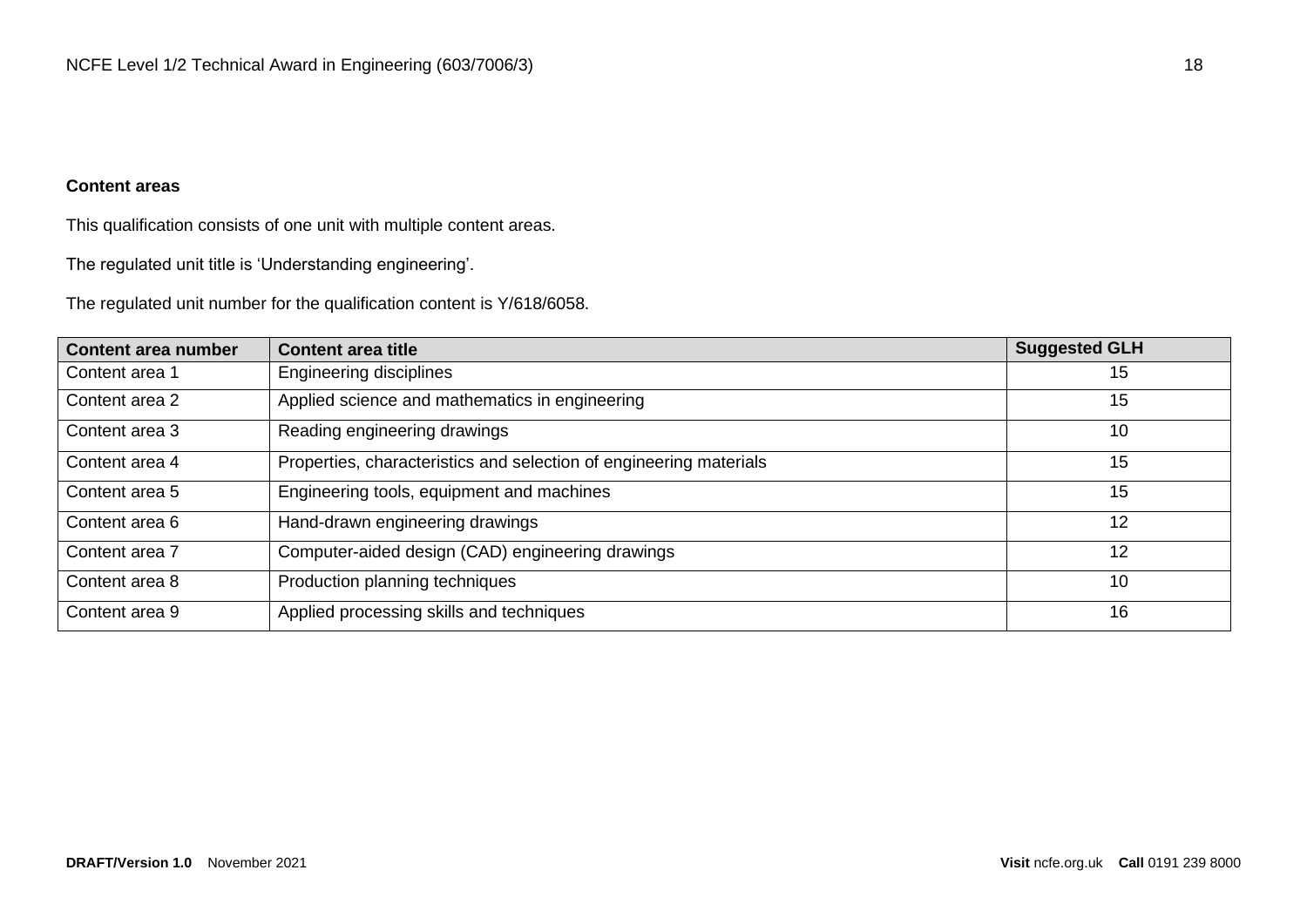# **Content areas**

This qualification consists of one unit with multiple content areas.

The regulated unit title is 'Understanding engineering'.

The regulated unit number for the qualification content is Y/618/6058.

| <b>Content area number</b> | <b>Content area title</b>                                          | <b>Suggested GLH</b> |
|----------------------------|--------------------------------------------------------------------|----------------------|
| Content area 1             | Engineering disciplines                                            | 15                   |
| Content area 2             | Applied science and mathematics in engineering                     | 15                   |
| Content area 3             | Reading engineering drawings                                       | 10                   |
| Content area 4             | Properties, characteristics and selection of engineering materials | 15                   |
| Content area 5             | Engineering tools, equipment and machines                          | 15                   |
| Content area 6             | Hand-drawn engineering drawings                                    | 12                   |
| Content area 7             | Computer-aided design (CAD) engineering drawings                   | 12                   |
| Content area 8             | Production planning techniques                                     | 10                   |
| Content area 9             | Applied processing skills and techniques                           | 16                   |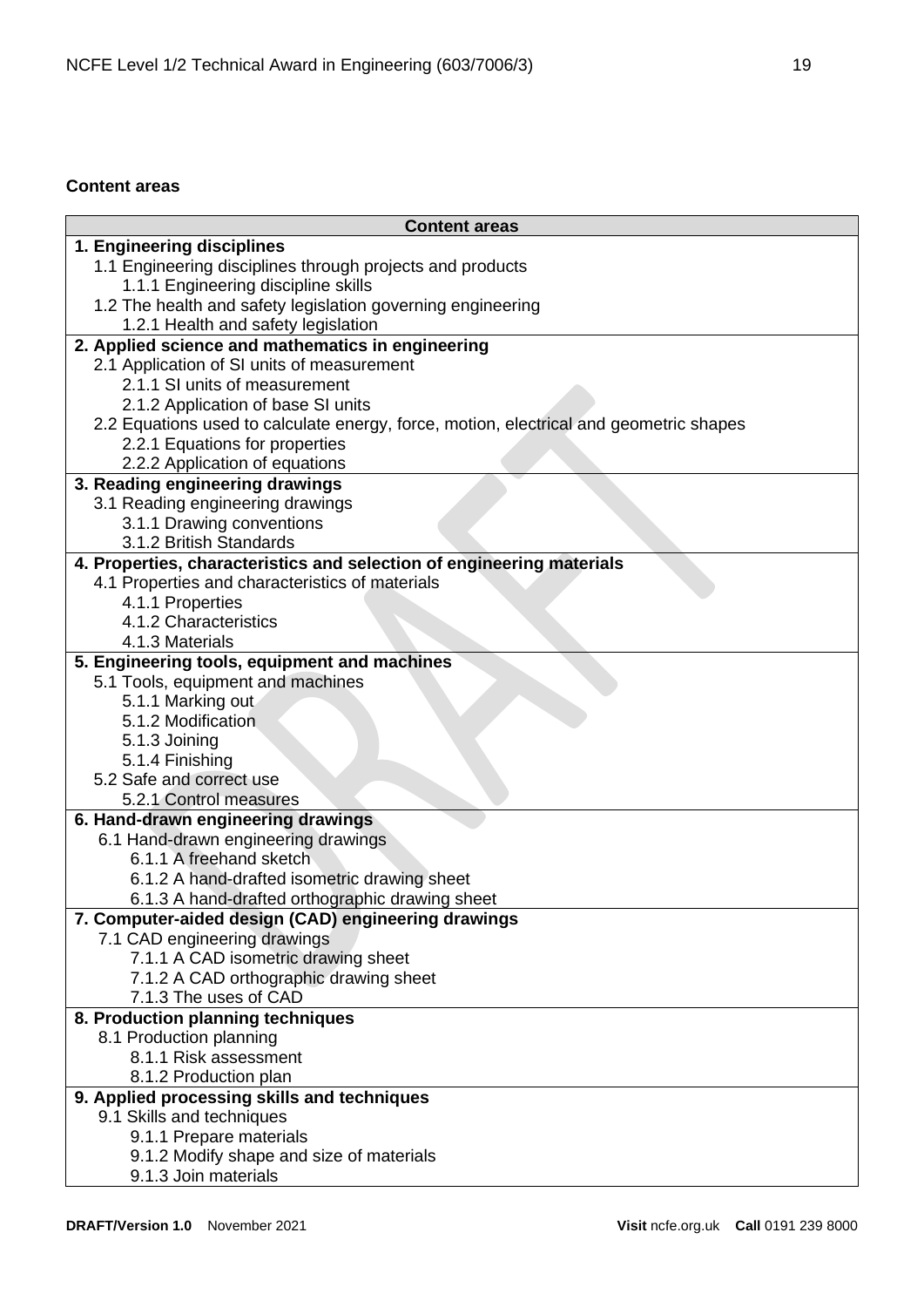# <span id="page-18-0"></span>**Content areas**

| <b>Content areas</b>                                                                             |
|--------------------------------------------------------------------------------------------------|
| 1. Engineering disciplines                                                                       |
| 1.1 Engineering disciplines through projects and products                                        |
| 1.1.1 Engineering discipline skills                                                              |
| 1.2 The health and safety legislation governing engineering                                      |
| 1.2.1 Health and safety legislation                                                              |
| 2. Applied science and mathematics in engineering                                                |
| 2.1 Application of SI units of measurement                                                       |
| 2.1.1 SI units of measurement                                                                    |
| 2.1.2 Application of base SI units                                                               |
| 2.2 Equations used to calculate energy, force, motion, electrical and geometric shapes           |
| 2.2.1 Equations for properties                                                                   |
| 2.2.2 Application of equations                                                                   |
| 3. Reading engineering drawings                                                                  |
| 3.1 Reading engineering drawings                                                                 |
| 3.1.1 Drawing conventions                                                                        |
| 3.1.2 British Standards<br>4. Properties, characteristics and selection of engineering materials |
| 4.1 Properties and characteristics of materials                                                  |
| 4.1.1 Properties                                                                                 |
| 4.1.2 Characteristics                                                                            |
| 4.1.3 Materials                                                                                  |
| 5. Engineering tools, equipment and machines                                                     |
| 5.1 Tools, equipment and machines                                                                |
| 5.1.1 Marking out                                                                                |
| 5.1.2 Modification                                                                               |
| 5.1.3 Joining                                                                                    |
| 5.1.4 Finishing                                                                                  |
| 5.2 Safe and correct use                                                                         |
| 5.2.1 Control measures                                                                           |
| 6. Hand-drawn engineering drawings                                                               |
| 6.1 Hand-drawn engineering drawings                                                              |
| 6.1.1 A freehand sketch                                                                          |
| 6.1.2 A hand-drafted isometric drawing sheet                                                     |
| 6.1.3 A hand-drafted orthographic drawing sheet                                                  |
| 7. Computer-aided design (CAD) engineering drawings                                              |
| 7.1 CAD engineering drawings                                                                     |
| 7.1.1 A CAD isometric drawing sheet                                                              |
| 7.1.2 A CAD orthographic drawing sheet                                                           |
| 7.1.3 The uses of CAD                                                                            |
| 8. Production planning techniques                                                                |
| 8.1 Production planning                                                                          |
| 8.1.1 Risk assessment                                                                            |
| 8.1.2 Production plan                                                                            |
| 9. Applied processing skills and techniques                                                      |
| 9.1 Skills and techniques                                                                        |
| 9.1.1 Prepare materials                                                                          |
| 9.1.2 Modify shape and size of materials                                                         |
| 9.1.3 Join materials                                                                             |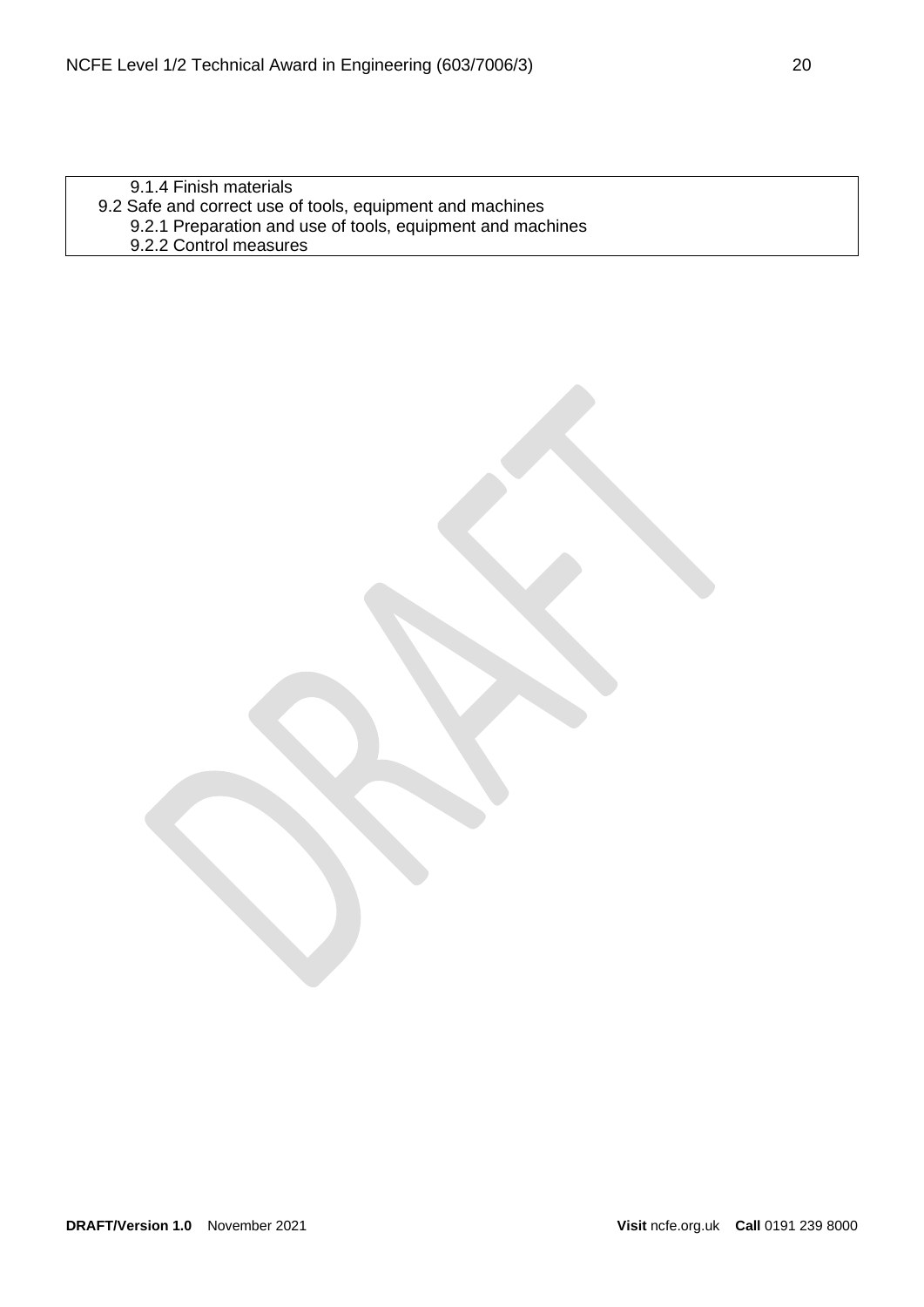9.1.4 Finish materials 9.2 Safe and correct use of tools, equipment and machines 9.2.1 Preparation and use of tools, equipment and machines 9.2.2 Control measures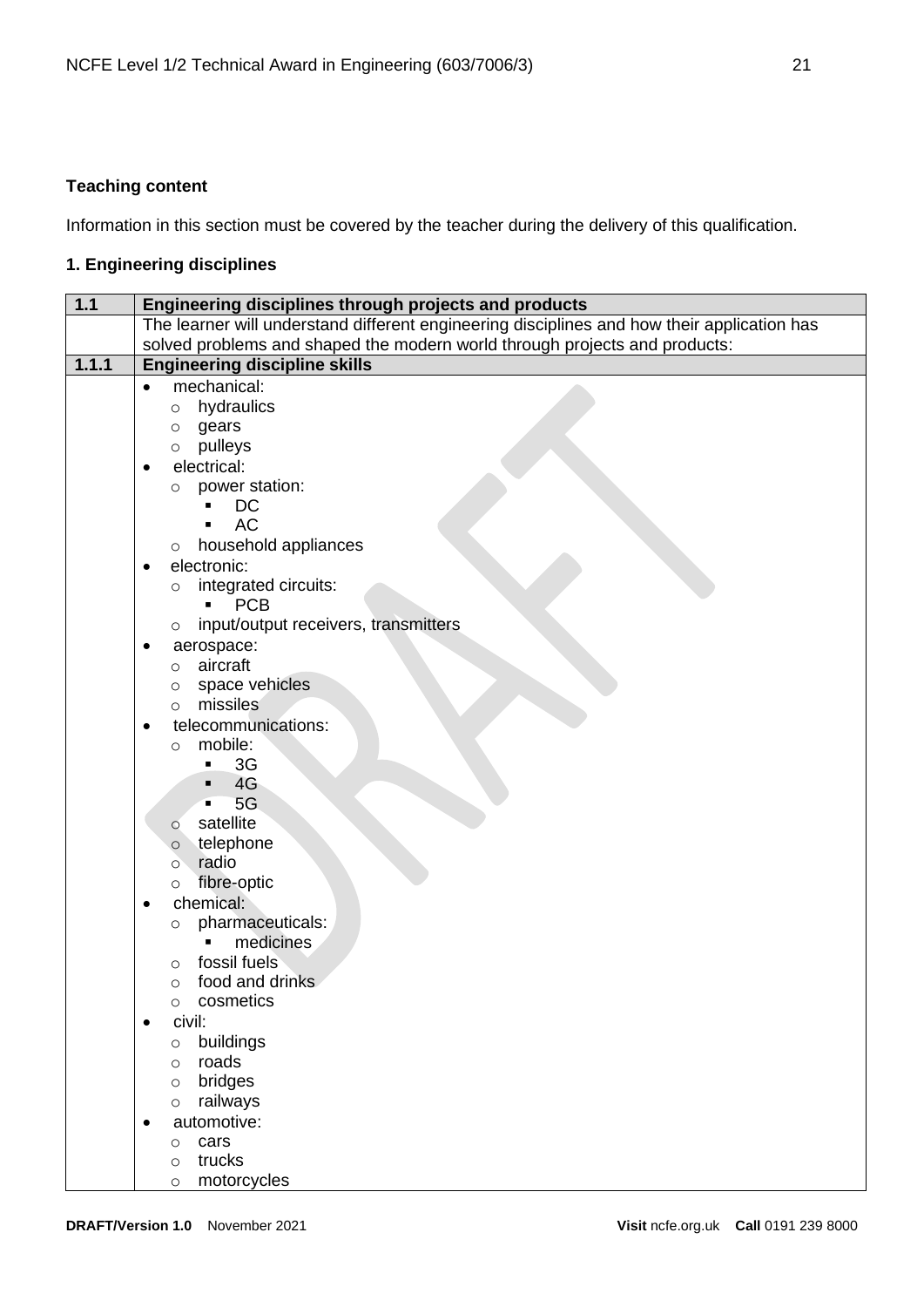# <span id="page-20-0"></span>**Teaching content**

Information in this section must be covered by the teacher during the delivery of this qualification.

# <span id="page-20-1"></span>**1. Engineering disciplines**

| $\overline{1.1}$ | Engineering disciplines through projects and products                                       |  |  |
|------------------|---------------------------------------------------------------------------------------------|--|--|
|                  | The learner will understand different engineering disciplines and how their application has |  |  |
|                  | solved problems and shaped the modern world through projects and products:                  |  |  |
| 1.1.1            | <b>Engineering discipline skills</b>                                                        |  |  |
|                  | mechanical:<br>$\bullet$                                                                    |  |  |
|                  | hydraulics<br>$\circ$                                                                       |  |  |
|                  | gears<br>$\circ$                                                                            |  |  |
|                  | pulleys<br>$\circ$                                                                          |  |  |
|                  | electrical:                                                                                 |  |  |
|                  | power station:<br>$\circ$                                                                   |  |  |
|                  | DC<br><b>AC</b>                                                                             |  |  |
|                  |                                                                                             |  |  |
|                  | household appliances<br>$\circ$<br>electronic:                                              |  |  |
|                  | $\bullet$<br>integrated circuits:                                                           |  |  |
|                  | O<br><b>PCB</b><br>П                                                                        |  |  |
|                  | input/output receivers, transmitters<br>$\circ$                                             |  |  |
|                  | aerospace:                                                                                  |  |  |
|                  | aircraft<br>$\circ$                                                                         |  |  |
|                  | space vehicles<br>$\circ$                                                                   |  |  |
|                  | missiles<br>$\circ$                                                                         |  |  |
|                  | telecommunications:<br>٠                                                                    |  |  |
|                  | mobile:<br>$\circ$                                                                          |  |  |
|                  | 3G<br>П                                                                                     |  |  |
|                  | 4G<br>■                                                                                     |  |  |
|                  | 5G<br>п                                                                                     |  |  |
|                  | satellite<br>$\circ$                                                                        |  |  |
|                  | telephone<br>$\circ$                                                                        |  |  |
|                  | radio<br>$\circ$                                                                            |  |  |
|                  | fibre-optic<br>$\circ$                                                                      |  |  |
|                  | chemical:<br>$\bullet$                                                                      |  |  |
|                  | pharmaceuticals:<br>$\circ$                                                                 |  |  |
|                  | medicines                                                                                   |  |  |
|                  | fossil fuels<br>O<br>food and drinks                                                        |  |  |
|                  | O<br>cosmetics<br>$\circ$                                                                   |  |  |
|                  | civil:<br>$\bullet$                                                                         |  |  |
|                  | buildings<br>$\circ$                                                                        |  |  |
|                  | roads<br>$\circ$                                                                            |  |  |
|                  | bridges<br>$\circ$                                                                          |  |  |
|                  | railways<br>$\circ$                                                                         |  |  |
|                  | automotive:                                                                                 |  |  |
|                  | cars<br>$\circ$                                                                             |  |  |
|                  | trucks<br>$\circ$                                                                           |  |  |
|                  | motorcycles<br>$\circ$                                                                      |  |  |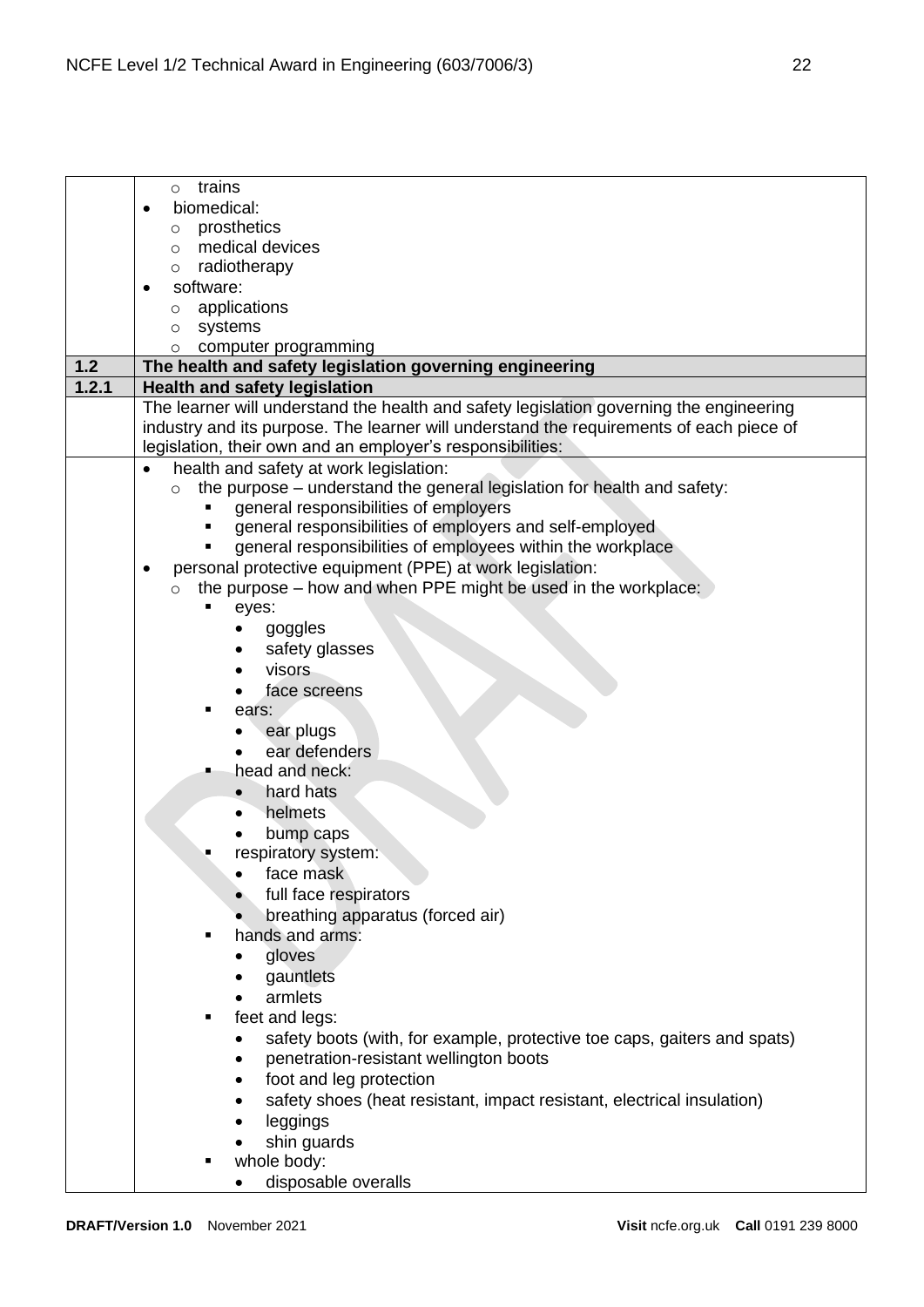|       | trains<br>$\circ$                                                                       |
|-------|-----------------------------------------------------------------------------------------|
|       | biomedical:                                                                             |
|       | prosthetics<br>$\circ$                                                                  |
|       | medical devices<br>$\circ$                                                              |
|       | radiotherapy<br>$\circ$                                                                 |
|       | software:<br>$\bullet$                                                                  |
|       | applications<br>$\circ$                                                                 |
|       | systems<br>$\circ$                                                                      |
|       | computer programming<br>$\circ$                                                         |
| 1.2   | The health and safety legislation governing engineering                                 |
| 1.2.1 | <b>Health and safety legislation</b>                                                    |
|       | The learner will understand the health and safety legislation governing the engineering |
|       | industry and its purpose. The learner will understand the requirements of each piece of |
|       | legislation, their own and an employer's responsibilities:                              |
|       | health and safety at work legislation:                                                  |
|       | the purpose - understand the general legislation for health and safety:<br>$\circ$      |
|       | general responsibilities of employers                                                   |
|       | general responsibilities of employers and self-employed                                 |
|       | general responsibilities of employees within the workplace                              |
|       | personal protective equipment (PPE) at work legislation:<br>$\bullet$                   |
|       | the purpose – how and when PPE might be used in the workplace:<br>$\circ$               |
|       | eyes:                                                                                   |
|       | goggles                                                                                 |
|       |                                                                                         |
|       | safety glasses                                                                          |
|       | visors                                                                                  |
|       | face screens                                                                            |
|       | ears:                                                                                   |
|       | ear plugs                                                                               |
|       | ear defenders                                                                           |
|       | head and neck:                                                                          |
|       | hard hats                                                                               |
|       | helmets                                                                                 |
|       | bump caps                                                                               |
|       | respiratory system:                                                                     |
|       | face mask<br>٠                                                                          |
|       | full face respirators                                                                   |
|       | breathing apparatus (forced air)                                                        |
|       | hands and arms:                                                                         |
|       | gloves                                                                                  |
|       | gauntlets                                                                               |
|       | armlets                                                                                 |
|       | feet and legs:                                                                          |
|       | safety boots (with, for example, protective toe caps, gaiters and spats)<br>٠           |
|       | penetration-resistant wellington boots<br>٠                                             |
|       | foot and leg protection<br>$\bullet$                                                    |
|       | safety shoes (heat resistant, impact resistant, electrical insulation)                  |
|       | leggings                                                                                |
|       | shin guards                                                                             |
|       | whole body:                                                                             |
|       | disposable overalls                                                                     |
|       |                                                                                         |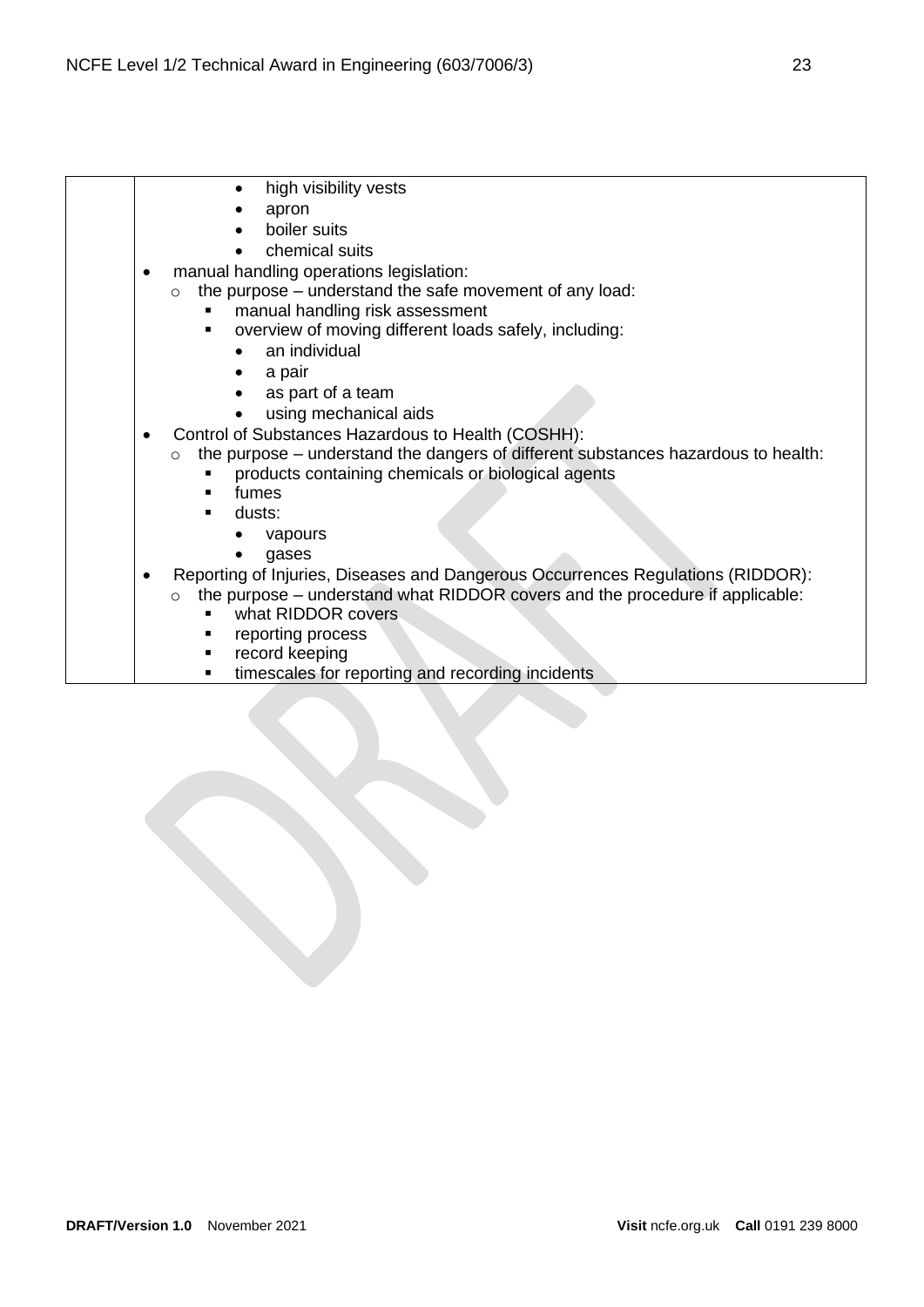• high visibility vests • apron boiler suits • chemical suits • manual handling operations legislation:  $\circ$  the purpose – understand the safe movement of any load: manual handling risk assessment overview of moving different loads safely, including: an individual a pair as part of a team • using mechanical aids • Control of Substances Hazardous to Health (COSHH): o the purpose – understand the dangers of different substances hazardous to health: products containing chemicals or biological agents fumes dusts: • vapours • gases • Reporting of Injuries, Diseases and Dangerous Occurrences Regulations (RIDDOR): o the purpose – understand what RIDDOR covers and the procedure if applicable: what RIDDOR covers ■ reporting process record keeping **■** timescales for reporting and recording incidents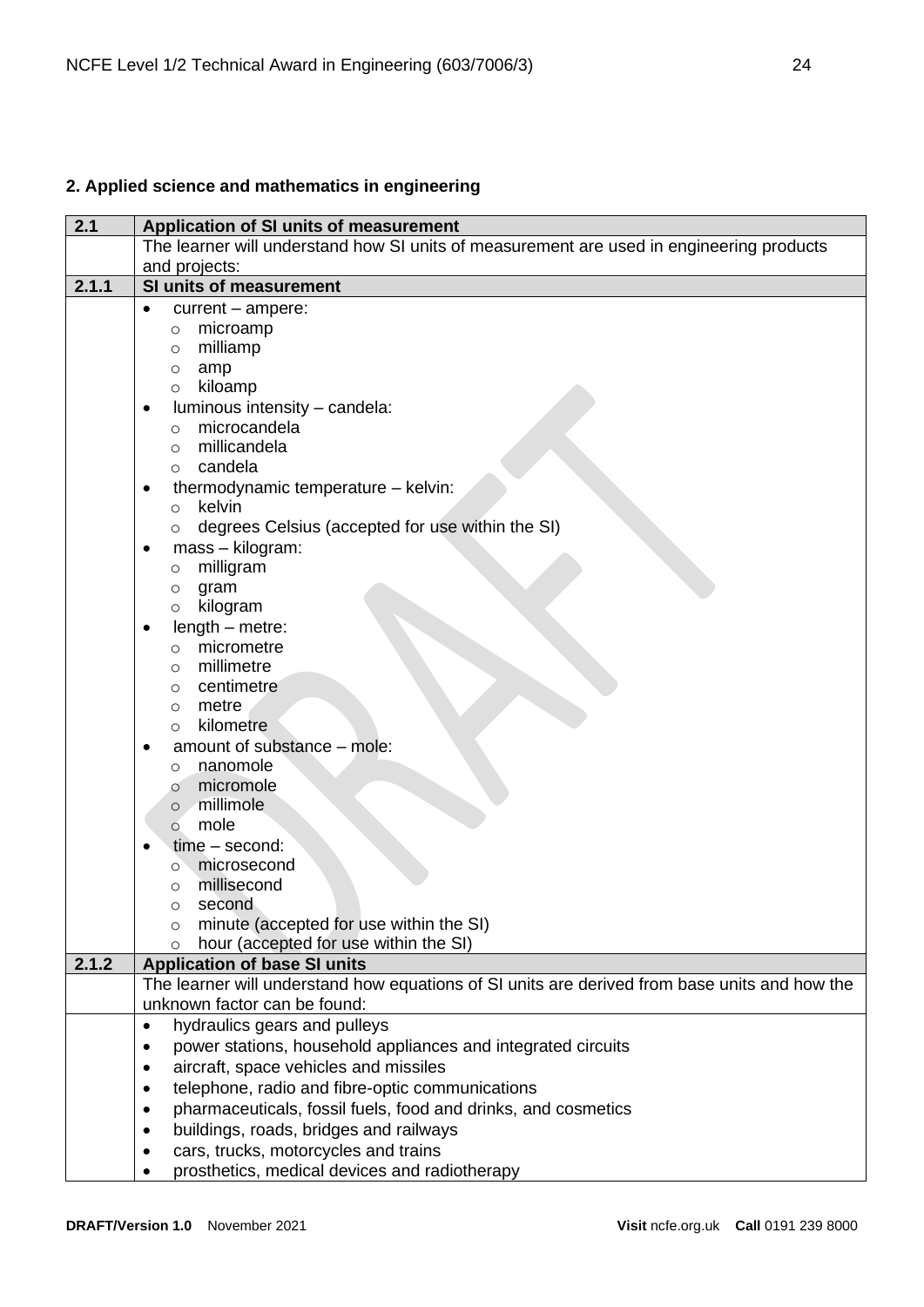# <span id="page-23-0"></span>**2. Applied science and mathematics in engineering**

| 2.1   | Application of SI units of measurement                                                        |  |
|-------|-----------------------------------------------------------------------------------------------|--|
|       | The learner will understand how SI units of measurement are used in engineering products      |  |
|       | and projects:                                                                                 |  |
| 2.1.1 | SI units of measurement                                                                       |  |
|       | current - ampere:<br>$\bullet$                                                                |  |
|       | microamp<br>O                                                                                 |  |
|       | milliamp<br>$\circ$                                                                           |  |
|       | amp<br>$\circ$                                                                                |  |
|       | kiloamp<br>$\circ$                                                                            |  |
|       | luminous intensity - candela:<br>٠                                                            |  |
|       | microcandela<br>$\circ$                                                                       |  |
|       | millicandela<br>$\circ$                                                                       |  |
|       | candela<br>$\circ$                                                                            |  |
|       | thermodynamic temperature - kelvin:<br>$\bullet$                                              |  |
|       | kelvin<br>$\circ$                                                                             |  |
|       | degrees Celsius (accepted for use within the SI)<br>$\circ$                                   |  |
|       | mass - kilogram:<br>٠                                                                         |  |
|       | milligram<br>O                                                                                |  |
|       | gram<br>O                                                                                     |  |
|       | kilogram<br>$\circ$                                                                           |  |
|       | $length - metre$ :<br>$\bullet$                                                               |  |
|       | micrometre<br>$\circ$                                                                         |  |
|       | millimetre<br>$\circ$                                                                         |  |
|       | centimetre<br>O                                                                               |  |
|       | metre<br>$\circ$<br>kilometre                                                                 |  |
|       | $\circ$                                                                                       |  |
|       | amount of substance - mole:<br>٠<br>nanomole                                                  |  |
|       | $\circ$<br>micromole                                                                          |  |
|       | $\circ$<br>millimole<br>$\circ$                                                               |  |
|       | mole<br>$\circ$                                                                               |  |
|       | $time - second$ :                                                                             |  |
|       | microsecond<br>O                                                                              |  |
|       | millisecond<br>$\circ$                                                                        |  |
|       | second<br>$\circ$                                                                             |  |
|       | minute (accepted for use within the SI)<br>$\circ$                                            |  |
|       | hour (accepted for use within the SI)<br>$\circ$                                              |  |
| 2.1.2 | <b>Application of base SI units</b>                                                           |  |
|       | The learner will understand how equations of SI units are derived from base units and how the |  |
|       | unknown factor can be found:                                                                  |  |
|       | hydraulics gears and pulleys<br>$\bullet$                                                     |  |
|       | power stations, household appliances and integrated circuits                                  |  |
|       | aircraft, space vehicles and missiles<br>٠                                                    |  |
|       | telephone, radio and fibre-optic communications<br>$\bullet$                                  |  |
|       | pharmaceuticals, fossil fuels, food and drinks, and cosmetics<br>٠                            |  |
|       | buildings, roads, bridges and railways                                                        |  |
|       | cars, trucks, motorcycles and trains                                                          |  |
|       | prosthetics, medical devices and radiotherapy                                                 |  |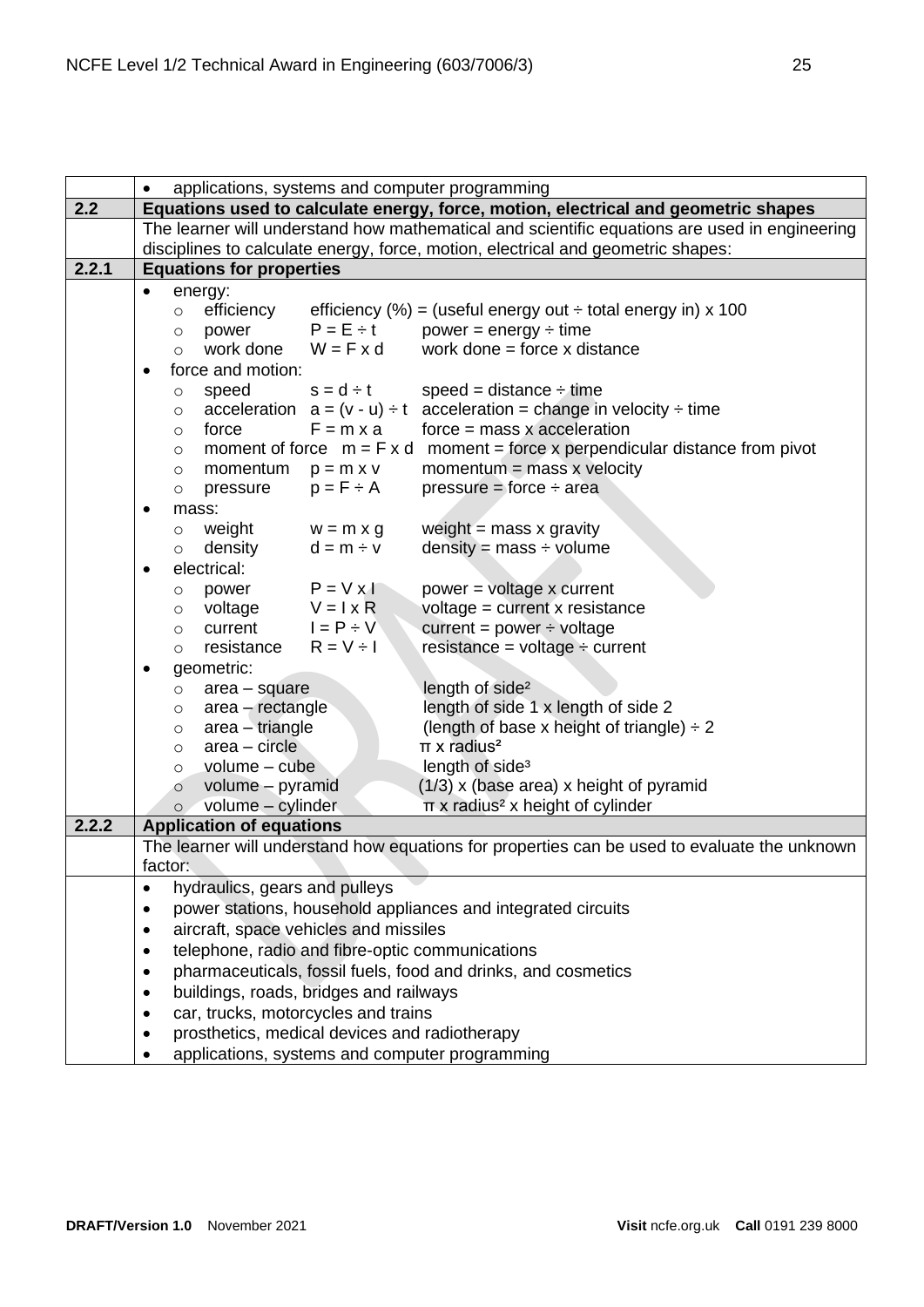|       | applications, systems and computer programming<br>$\bullet$                                                              |  |  |
|-------|--------------------------------------------------------------------------------------------------------------------------|--|--|
| 2.2   | Equations used to calculate energy, force, motion, electrical and geometric shapes                                       |  |  |
|       | The learner will understand how mathematical and scientific equations are used in engineering                            |  |  |
|       | disciplines to calculate energy, force, motion, electrical and geometric shapes:                                         |  |  |
| 2.2.1 | <b>Equations for properties</b>                                                                                          |  |  |
|       | energy:<br>$\bullet$                                                                                                     |  |  |
|       | efficiency<br>efficiency (%) = (useful energy out $\div$ total energy in) x 100<br>$\circ$                               |  |  |
|       | $P = E \div t$<br>$power = energy \div time$<br>power<br>$\circ$                                                         |  |  |
|       | work done = force $x$ distance<br>work done<br>$W = F \times d$<br>$\circ$                                               |  |  |
|       | force and motion:<br>$\bullet$                                                                                           |  |  |
|       | $s = d \div t$<br>speed = distance $\div$ time<br>speed<br>$\circ$                                                       |  |  |
|       | acceleration $a = (v - u) \div t$ acceleration = change in velocity $\div$ time<br>$\circ$                               |  |  |
|       | $F = m \times a$<br>$force = mass x acceleration$<br>force<br>$\circ$                                                    |  |  |
|       | moment of force $m = F x d$ moment = force x perpendicular distance from pivot<br>$\circ$                                |  |  |
|       | momentum = $mass x$ velocity<br>momentum<br>$p = m \times v$<br>$\circ$                                                  |  |  |
|       | $p = F \div A$<br>pressure = force $\div$ area<br>pressure<br>$\circ$                                                    |  |  |
|       | mass:<br>٠                                                                                                               |  |  |
|       | weight<br>weight $=$ mass x gravity<br>$w = m \times g$<br>$\circ$                                                       |  |  |
|       | density<br>$density = mass \div volume$<br>$d = m \div v$<br>$\circ$                                                     |  |  |
|       | electrical:<br>$\bullet$                                                                                                 |  |  |
|       | $P = V \times I$<br>power = voltage x current<br>power<br>O                                                              |  |  |
|       | $V = I \times R$<br>voltage = current x resistance<br>voltage<br>$\circ$                                                 |  |  |
|       | $I = P \div V$<br>current<br>current = power $\div$ voltage<br>$\circ$                                                   |  |  |
|       | $resistance = voltage \div current$<br>resistance<br>$R = V \div I$<br>$\circ$                                           |  |  |
|       | geometric:<br>$\bullet$                                                                                                  |  |  |
|       | length of side <sup>2</sup><br>$area - square$<br>$\circ$                                                                |  |  |
|       | length of side 1 x length of side 2<br>$area - rectangle$<br>$\circ$                                                     |  |  |
|       | (length of base x height of triangle) $\div 2$<br>area - triangle<br>O<br>$\pi$ x radius <sup>2</sup><br>$area - circle$ |  |  |
|       | $\circ$<br>length of side <sup>3</sup><br>volume - cube                                                                  |  |  |
|       | $\circ$<br>$(1/3)$ x (base area) x height of pyramid<br>volume - pyramid                                                 |  |  |
|       | $\circ$<br>volume - cylinder<br>$\pi$ x radius <sup>2</sup> x height of cylinder                                         |  |  |
| 2.2.2 | $\circ$<br><b>Application of equations</b>                                                                               |  |  |
|       | The learner will understand how equations for properties can be used to evaluate the unknown                             |  |  |
|       | factor:                                                                                                                  |  |  |
|       | hydraulics, gears and pulleys<br>$\bullet$                                                                               |  |  |
|       | power stations, household appliances and integrated circuits                                                             |  |  |
|       | aircraft, space vehicles and missiles<br>$\bullet$                                                                       |  |  |
|       | telephone, radio and fibre-optic communications<br>$\bullet$                                                             |  |  |
|       | pharmaceuticals, fossil fuels, food and drinks, and cosmetics<br>$\bullet$                                               |  |  |
|       | buildings, roads, bridges and railways<br>$\bullet$                                                                      |  |  |
|       | car, trucks, motorcycles and trains<br>$\bullet$                                                                         |  |  |
|       | prosthetics, medical devices and radiotherapy<br>$\bullet$                                                               |  |  |
|       | applications, systems and computer programming                                                                           |  |  |
|       |                                                                                                                          |  |  |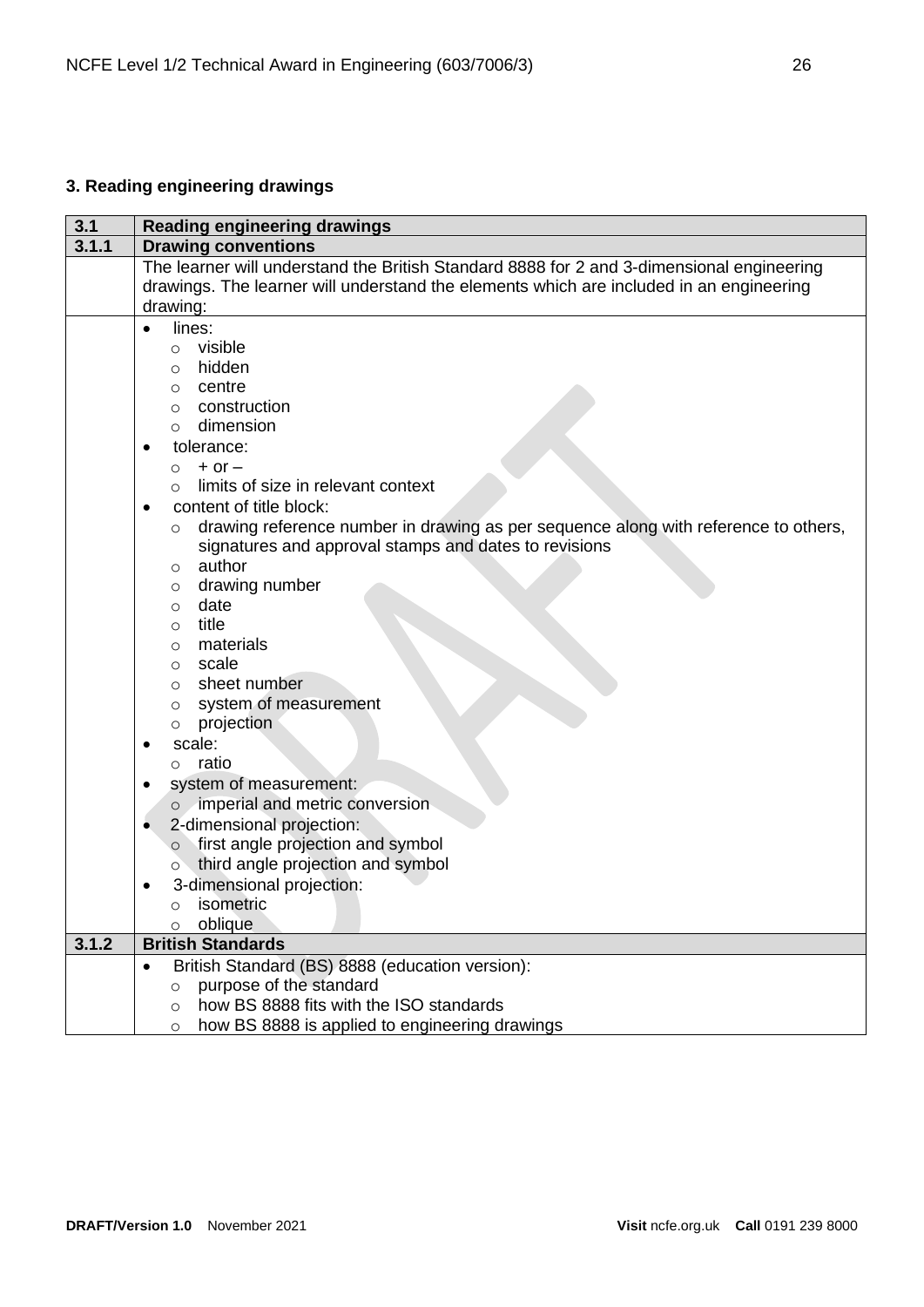# <span id="page-25-0"></span>**3. Reading engineering drawings**

| 3.1   | <b>Reading engineering drawings</b>                                                            |  |  |
|-------|------------------------------------------------------------------------------------------------|--|--|
| 3.1.1 | <b>Drawing conventions</b>                                                                     |  |  |
|       | The learner will understand the British Standard 8888 for 2 and 3-dimensional engineering      |  |  |
|       | drawings. The learner will understand the elements which are included in an engineering        |  |  |
|       | drawing:                                                                                       |  |  |
|       | lines:<br>$\bullet$                                                                            |  |  |
|       | visible<br>$\circ$                                                                             |  |  |
|       | hidden<br>O                                                                                    |  |  |
|       | centre<br>$\circ$                                                                              |  |  |
|       | construction<br>$\circ$                                                                        |  |  |
|       | dimension<br>$\Omega$                                                                          |  |  |
|       | tolerance:                                                                                     |  |  |
|       | $+$ or $-$<br>$\circ$                                                                          |  |  |
|       | limits of size in relevant context<br>$\circ$                                                  |  |  |
|       | content of title block:<br>$\bullet$                                                           |  |  |
|       | drawing reference number in drawing as per sequence along with reference to others,<br>$\circ$ |  |  |
|       | signatures and approval stamps and dates to revisions                                          |  |  |
|       | author<br>$\circ$                                                                              |  |  |
|       | drawing number<br>$\circ$                                                                      |  |  |
|       | date<br>$\circ$                                                                                |  |  |
|       | title<br>$\circ$                                                                               |  |  |
|       | materials<br>$\circ$                                                                           |  |  |
|       | scale<br>$\circ$                                                                               |  |  |
|       | sheet number<br>$\Omega$                                                                       |  |  |
|       | system of measurement<br>O                                                                     |  |  |
|       | projection<br>O                                                                                |  |  |
|       | scale:                                                                                         |  |  |
|       | ratio<br>$\circ$                                                                               |  |  |
|       | system of measurement:<br>٠                                                                    |  |  |
|       | imperial and metric conversion<br>$\circ$                                                      |  |  |
|       | 2-dimensional projection:<br>٠                                                                 |  |  |
|       | first angle projection and symbol<br>$\circ$                                                   |  |  |
|       | third angle projection and symbol<br>$\circ$                                                   |  |  |
|       | 3-dimensional projection:                                                                      |  |  |
|       | isometric<br>O                                                                                 |  |  |
|       | oblique<br>$\circ$                                                                             |  |  |
| 3.1.2 | <b>British Standards</b>                                                                       |  |  |
|       | British Standard (BS) 8888 (education version):<br>$\bullet$                                   |  |  |
|       | purpose of the standard<br>$\circ$                                                             |  |  |
|       | how BS 8888 fits with the ISO standards<br>$\circ$                                             |  |  |
|       | how BS 8888 is applied to engineering drawings<br>$\circ$                                      |  |  |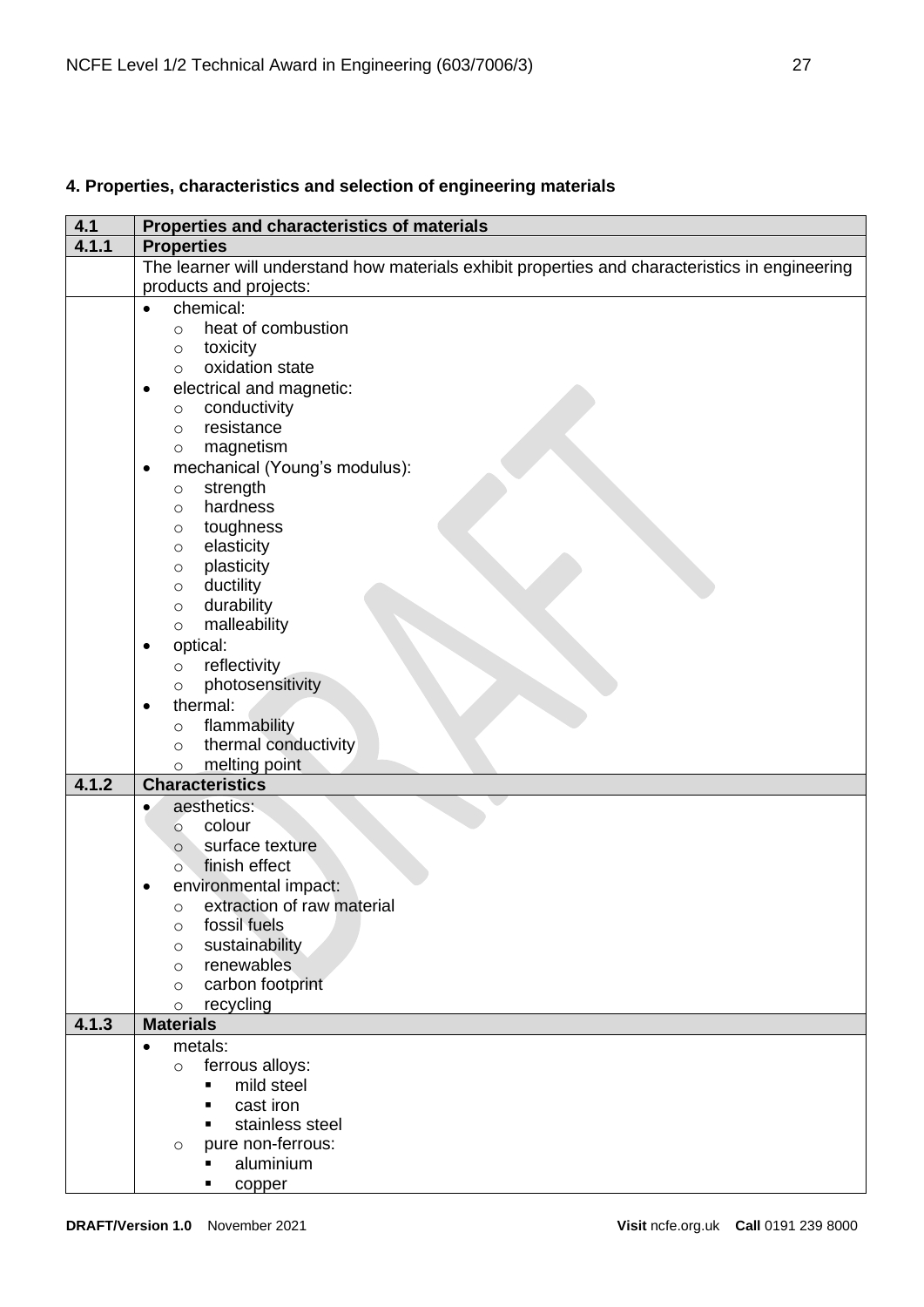# <span id="page-26-0"></span>**4. Properties, characteristics and selection of engineering materials**

| 4.1   | Properties and characteristics of materials                                                     |  |  |
|-------|-------------------------------------------------------------------------------------------------|--|--|
| 4.1.1 | <b>Properties</b>                                                                               |  |  |
|       | The learner will understand how materials exhibit properties and characteristics in engineering |  |  |
|       | products and projects:                                                                          |  |  |
|       | chemical:<br>$\bullet$                                                                          |  |  |
|       | heat of combustion<br>$\circ$                                                                   |  |  |
|       | toxicity<br>$\circ$                                                                             |  |  |
|       | oxidation state<br>$\circ$                                                                      |  |  |
|       | electrical and magnetic:<br>$\bullet$                                                           |  |  |
|       | conductivity<br>$\circ$                                                                         |  |  |
|       | resistance<br>$\circ$                                                                           |  |  |
|       | magnetism<br>$\circ$                                                                            |  |  |
|       | mechanical (Young's modulus):<br>٠                                                              |  |  |
|       | strength<br>$\circ$                                                                             |  |  |
|       | hardness<br>$\circ$                                                                             |  |  |
|       | toughness<br>$\circ$                                                                            |  |  |
|       | elasticity<br>O                                                                                 |  |  |
|       | plasticity<br>$\circ$                                                                           |  |  |
|       | ductility<br>$\circ$                                                                            |  |  |
|       | durability<br>$\circ$                                                                           |  |  |
|       | malleability<br>$\circ$                                                                         |  |  |
|       | optical:<br>$\bullet$                                                                           |  |  |
|       | reflectivity<br>$\circ$                                                                         |  |  |
|       | photosensitivity<br>$\circ$                                                                     |  |  |
|       | thermal:<br>$\bullet$                                                                           |  |  |
|       | flammability<br>$\circ$                                                                         |  |  |
|       | thermal conductivity<br>$\circ$                                                                 |  |  |
|       | melting point<br>$\circ$                                                                        |  |  |
| 4.1.2 | <b>Characteristics</b>                                                                          |  |  |
|       | aesthetics:<br>$\bullet$                                                                        |  |  |
|       | colour<br>$\circ$                                                                               |  |  |
|       | surface texture<br>$\circ$                                                                      |  |  |
|       | finish effect<br>$\Omega$                                                                       |  |  |
|       | environmental impact:                                                                           |  |  |
|       | extraction of raw material<br>$\circ$                                                           |  |  |
|       | fossil fuels<br>$\circ$                                                                         |  |  |
|       | sustainability<br>$\circ$                                                                       |  |  |
|       | renewables<br>$\circ$                                                                           |  |  |
|       | carbon footprint<br>$\circ$                                                                     |  |  |
|       | recycling<br>$\circ$                                                                            |  |  |
| 4.1.3 | <b>Materials</b>                                                                                |  |  |
|       | metals:<br>$\bullet$                                                                            |  |  |
|       | ferrous alloys:<br>$\circ$                                                                      |  |  |
|       | mild steel<br>$\blacksquare$                                                                    |  |  |
|       | cast iron<br>٠                                                                                  |  |  |
|       | stainless steel                                                                                 |  |  |
|       | pure non-ferrous:<br>$\circ$                                                                    |  |  |
|       | aluminium                                                                                       |  |  |
|       | copper                                                                                          |  |  |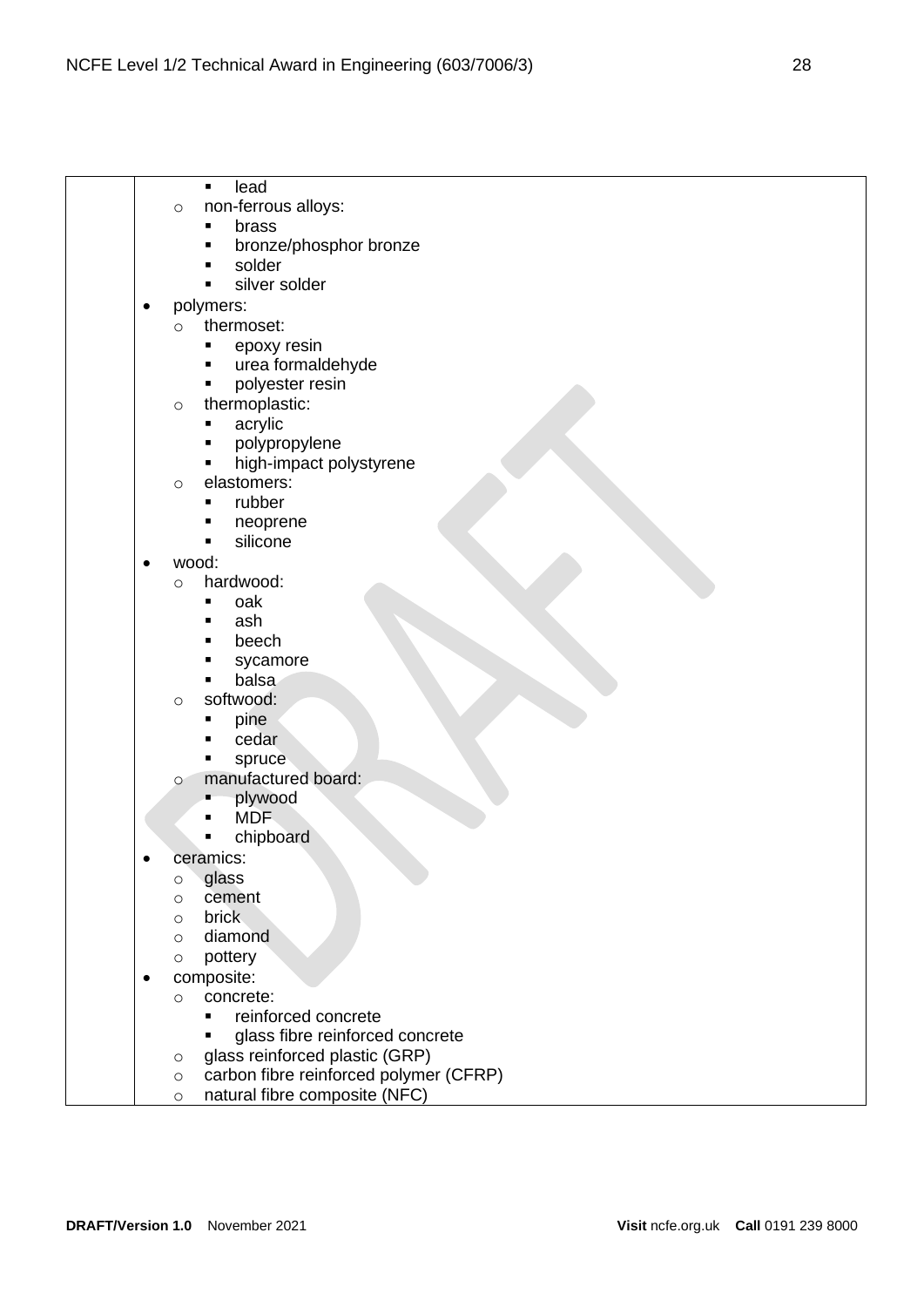|  | lead<br>$\blacksquare$                            |
|--|---------------------------------------------------|
|  | non-ferrous alloys:<br>$\circ$                    |
|  | brass<br>Ξ                                        |
|  | bronze/phosphor bronze<br>Ξ                       |
|  | solder                                            |
|  | silver solder<br>٠                                |
|  | polymers:                                         |
|  | thermoset:<br>$\circ$                             |
|  | epoxy resin<br>п                                  |
|  | urea formaldehyde<br>п                            |
|  | polyester resin                                   |
|  | thermoplastic:<br>$\circ$                         |
|  | acrylic                                           |
|  | polypropylene                                     |
|  | high-impact polystyrene                           |
|  | elastomers:                                       |
|  | $\circ$<br>rubber<br>Ξ                            |
|  |                                                   |
|  | neoprene<br>п<br>Ξ                                |
|  | silicone                                          |
|  | wood:                                             |
|  | hardwood:<br>$\circ$                              |
|  | oak<br>■                                          |
|  | ash                                               |
|  | beech<br>■                                        |
|  | sycamore                                          |
|  | balsa                                             |
|  | softwood:<br>$\circ$                              |
|  | pine                                              |
|  | cedar                                             |
|  | spruce                                            |
|  | manufactured board:<br>$\circ$                    |
|  | plywood                                           |
|  | <b>MDF</b>                                        |
|  | chipboard                                         |
|  | ceramics:                                         |
|  | glass<br>O                                        |
|  | cement<br>O                                       |
|  | <b>brick</b><br>$\circ$                           |
|  | diamond<br>$\circ$                                |
|  | pottery<br>$\circ$                                |
|  | composite:                                        |
|  | concrete:<br>$\circ$                              |
|  | reinforced concrete<br>$\blacksquare$             |
|  | glass fibre reinforced concrete                   |
|  | glass reinforced plastic (GRP)<br>O               |
|  | carbon fibre reinforced polymer (CFRP)<br>$\circ$ |
|  | natural fibre composite (NFC)<br>$\circ$          |
|  |                                                   |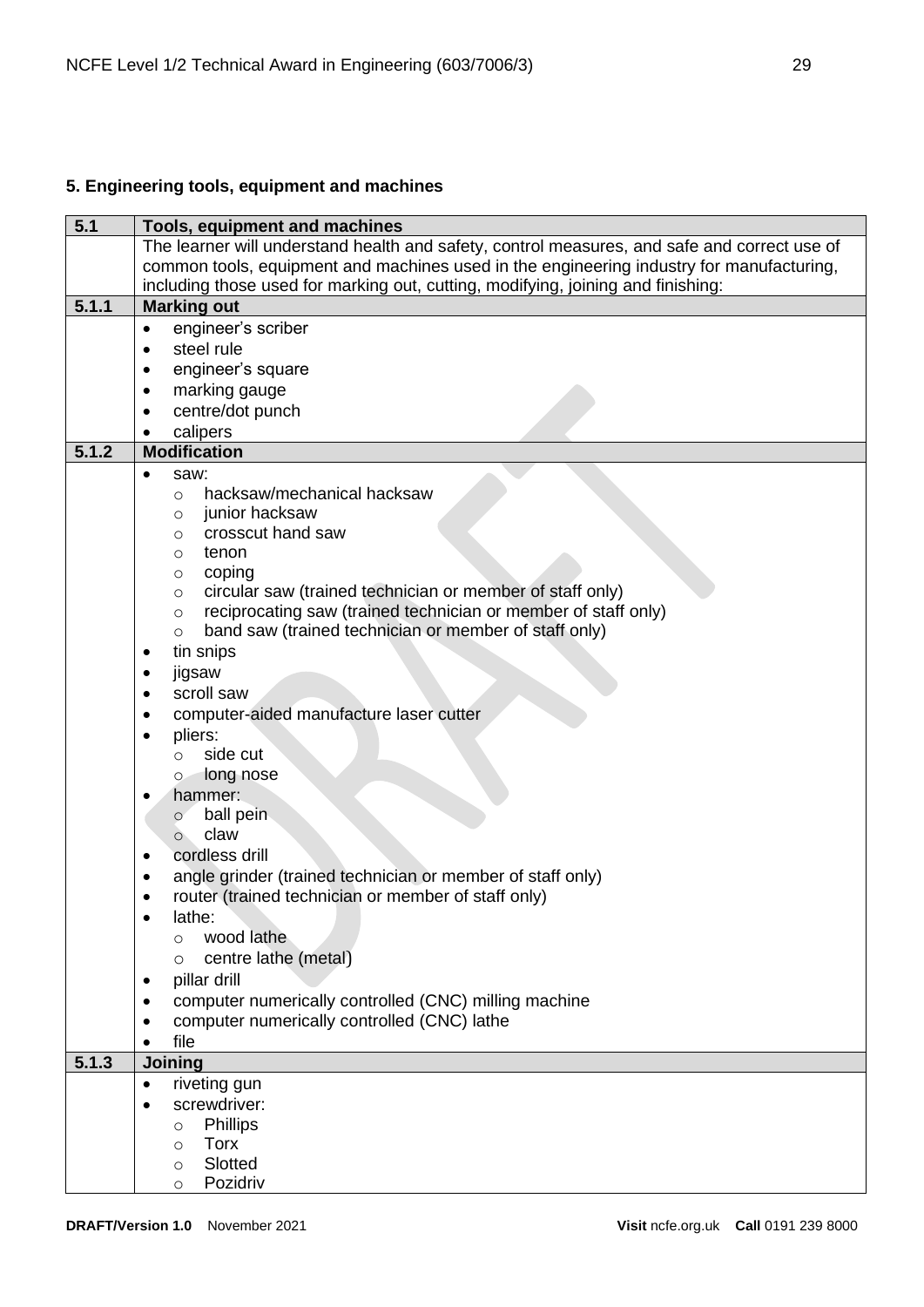# <span id="page-28-0"></span>**5. Engineering tools, equipment and machines**

| 5.1   | Tools, equipment and machines                                                                |  |
|-------|----------------------------------------------------------------------------------------------|--|
|       | The learner will understand health and safety, control measures, and safe and correct use of |  |
|       | common tools, equipment and machines used in the engineering industry for manufacturing,     |  |
|       | including those used for marking out, cutting, modifying, joining and finishing:             |  |
| 5.1.1 | <b>Marking out</b>                                                                           |  |
|       | engineer's scriber<br>$\bullet$                                                              |  |
|       | steel rule<br>٠                                                                              |  |
|       | engineer's square<br>$\bullet$                                                               |  |
|       | marking gauge<br>$\bullet$                                                                   |  |
|       | centre/dot punch<br>$\bullet$                                                                |  |
|       | calipers<br>٠                                                                                |  |
| 5.1.2 | <b>Modification</b>                                                                          |  |
|       | saw:                                                                                         |  |
|       | hacksaw/mechanical hacksaw                                                                   |  |
|       | $\circ$<br>junior hacksaw                                                                    |  |
|       | O<br>crosscut hand saw                                                                       |  |
|       | O                                                                                            |  |
|       | tenon<br>O<br>coping                                                                         |  |
|       | O<br>circular saw (trained technician or member of staff only)                               |  |
|       | $\circ$<br>reciprocating saw (trained technician or member of staff only)                    |  |
|       | $\circ$<br>band saw (trained technician or member of staff only)                             |  |
|       | $\circ$                                                                                      |  |
|       | tin snips<br>٠                                                                               |  |
|       | jigsaw<br>٠                                                                                  |  |
|       | scroll saw                                                                                   |  |
|       | computer-aided manufacture laser cutter<br>٠                                                 |  |
|       | pliers:<br>$\bullet$                                                                         |  |
|       | side cut<br>$\Omega$                                                                         |  |
|       | long nose<br>$\circ$                                                                         |  |
|       | hammer:                                                                                      |  |
|       | ball pein<br>$\circ$                                                                         |  |
|       | claw<br>$\circ$                                                                              |  |
|       | cordless drill<br>$\bullet$                                                                  |  |
|       | angle grinder (trained technician or member of staff only)<br>٠                              |  |
|       | router (trained technician or member of staff only)                                          |  |
|       | lathe:                                                                                       |  |
|       | wood lathe<br>$\Omega$                                                                       |  |
|       | centre lathe (metal)<br>$\circ$                                                              |  |
|       | pillar drill                                                                                 |  |
|       | computer numerically controlled (CNC) milling machine                                        |  |
|       | computer numerically controlled (CNC) lathe                                                  |  |
|       | file                                                                                         |  |
| 5.1.3 | Joining                                                                                      |  |
|       | riveting gun<br>$\bullet$                                                                    |  |
|       | screwdriver:<br>$\bullet$                                                                    |  |
|       | <b>Phillips</b><br>$\circ$                                                                   |  |
|       | <b>Torx</b><br>$\Omega$                                                                      |  |
|       | Slotted<br>O                                                                                 |  |
|       | Pozidriv                                                                                     |  |
|       | O                                                                                            |  |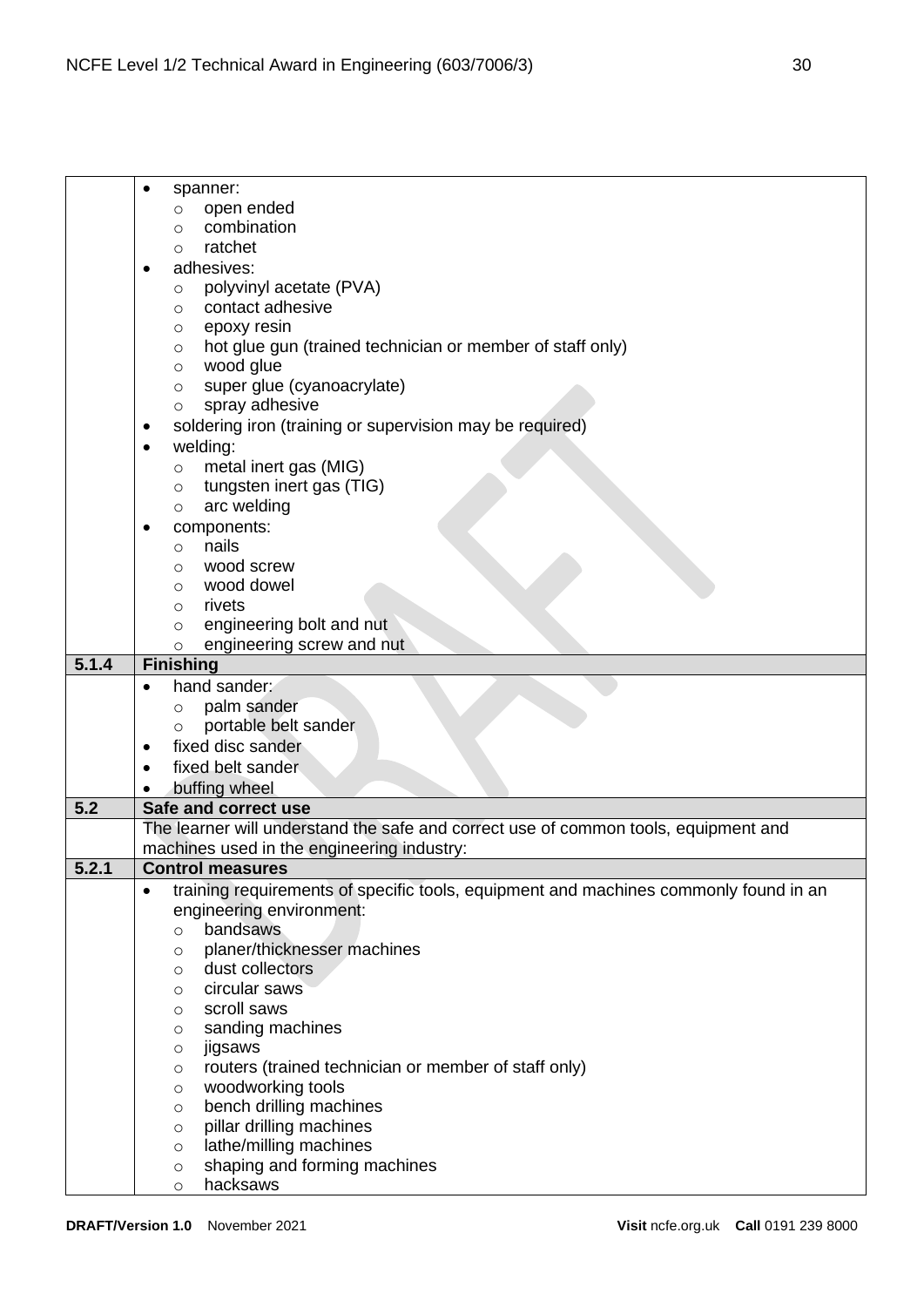| spanner:<br>open ended<br>$\circ$<br>combination<br>O<br>ratchet<br>$\circ$<br>adhesives:<br>$\bullet$<br>polyvinyl acetate (PVA)<br>$\circ$<br>contact adhesive<br>$\circ$<br>epoxy resin<br>O<br>hot glue gun (trained technician or member of staff only)<br>O<br>wood glue<br>$\circ$<br>super glue (cyanoacrylate)<br>$\circ$<br>spray adhesive<br>$\circ$<br>soldering iron (training or supervision may be required)<br>٠<br>welding:<br>metal inert gas (MIG)<br>$\circ$<br>tungsten inert gas (TIG)<br>$\circ$<br>arc welding<br>$\circ$<br>components:<br>nails<br>$\circ$<br>wood screw<br>$\circ$<br>wood dowel<br>$\circ$<br>rivets<br>$\circ$<br>engineering bolt and nut<br>$\circ$<br>engineering screw and nut<br>$\circ$<br>5.1.4<br><b>Finishing</b><br>hand sander:<br>palm sander<br>$\circ$ |
|-------------------------------------------------------------------------------------------------------------------------------------------------------------------------------------------------------------------------------------------------------------------------------------------------------------------------------------------------------------------------------------------------------------------------------------------------------------------------------------------------------------------------------------------------------------------------------------------------------------------------------------------------------------------------------------------------------------------------------------------------------------------------------------------------------------------|
|                                                                                                                                                                                                                                                                                                                                                                                                                                                                                                                                                                                                                                                                                                                                                                                                                   |
|                                                                                                                                                                                                                                                                                                                                                                                                                                                                                                                                                                                                                                                                                                                                                                                                                   |
|                                                                                                                                                                                                                                                                                                                                                                                                                                                                                                                                                                                                                                                                                                                                                                                                                   |
|                                                                                                                                                                                                                                                                                                                                                                                                                                                                                                                                                                                                                                                                                                                                                                                                                   |
|                                                                                                                                                                                                                                                                                                                                                                                                                                                                                                                                                                                                                                                                                                                                                                                                                   |
|                                                                                                                                                                                                                                                                                                                                                                                                                                                                                                                                                                                                                                                                                                                                                                                                                   |
|                                                                                                                                                                                                                                                                                                                                                                                                                                                                                                                                                                                                                                                                                                                                                                                                                   |
|                                                                                                                                                                                                                                                                                                                                                                                                                                                                                                                                                                                                                                                                                                                                                                                                                   |
|                                                                                                                                                                                                                                                                                                                                                                                                                                                                                                                                                                                                                                                                                                                                                                                                                   |
|                                                                                                                                                                                                                                                                                                                                                                                                                                                                                                                                                                                                                                                                                                                                                                                                                   |
|                                                                                                                                                                                                                                                                                                                                                                                                                                                                                                                                                                                                                                                                                                                                                                                                                   |
|                                                                                                                                                                                                                                                                                                                                                                                                                                                                                                                                                                                                                                                                                                                                                                                                                   |
|                                                                                                                                                                                                                                                                                                                                                                                                                                                                                                                                                                                                                                                                                                                                                                                                                   |
|                                                                                                                                                                                                                                                                                                                                                                                                                                                                                                                                                                                                                                                                                                                                                                                                                   |
|                                                                                                                                                                                                                                                                                                                                                                                                                                                                                                                                                                                                                                                                                                                                                                                                                   |
|                                                                                                                                                                                                                                                                                                                                                                                                                                                                                                                                                                                                                                                                                                                                                                                                                   |
|                                                                                                                                                                                                                                                                                                                                                                                                                                                                                                                                                                                                                                                                                                                                                                                                                   |
|                                                                                                                                                                                                                                                                                                                                                                                                                                                                                                                                                                                                                                                                                                                                                                                                                   |
|                                                                                                                                                                                                                                                                                                                                                                                                                                                                                                                                                                                                                                                                                                                                                                                                                   |
|                                                                                                                                                                                                                                                                                                                                                                                                                                                                                                                                                                                                                                                                                                                                                                                                                   |
|                                                                                                                                                                                                                                                                                                                                                                                                                                                                                                                                                                                                                                                                                                                                                                                                                   |
|                                                                                                                                                                                                                                                                                                                                                                                                                                                                                                                                                                                                                                                                                                                                                                                                                   |
|                                                                                                                                                                                                                                                                                                                                                                                                                                                                                                                                                                                                                                                                                                                                                                                                                   |
|                                                                                                                                                                                                                                                                                                                                                                                                                                                                                                                                                                                                                                                                                                                                                                                                                   |
|                                                                                                                                                                                                                                                                                                                                                                                                                                                                                                                                                                                                                                                                                                                                                                                                                   |
|                                                                                                                                                                                                                                                                                                                                                                                                                                                                                                                                                                                                                                                                                                                                                                                                                   |
|                                                                                                                                                                                                                                                                                                                                                                                                                                                                                                                                                                                                                                                                                                                                                                                                                   |
|                                                                                                                                                                                                                                                                                                                                                                                                                                                                                                                                                                                                                                                                                                                                                                                                                   |
| portable belt sander                                                                                                                                                                                                                                                                                                                                                                                                                                                                                                                                                                                                                                                                                                                                                                                              |
| fixed disc sander                                                                                                                                                                                                                                                                                                                                                                                                                                                                                                                                                                                                                                                                                                                                                                                                 |
| fixed belt sander                                                                                                                                                                                                                                                                                                                                                                                                                                                                                                                                                                                                                                                                                                                                                                                                 |
|                                                                                                                                                                                                                                                                                                                                                                                                                                                                                                                                                                                                                                                                                                                                                                                                                   |
| buffing wheel<br>5.2<br>Safe and correct use                                                                                                                                                                                                                                                                                                                                                                                                                                                                                                                                                                                                                                                                                                                                                                      |
|                                                                                                                                                                                                                                                                                                                                                                                                                                                                                                                                                                                                                                                                                                                                                                                                                   |
| The learner will understand the safe and correct use of common tools, equipment and                                                                                                                                                                                                                                                                                                                                                                                                                                                                                                                                                                                                                                                                                                                               |
| machines used in the engineering industry:                                                                                                                                                                                                                                                                                                                                                                                                                                                                                                                                                                                                                                                                                                                                                                        |
| 5.2.1<br><b>Control measures</b>                                                                                                                                                                                                                                                                                                                                                                                                                                                                                                                                                                                                                                                                                                                                                                                  |
| training requirements of specific tools, equipment and machines commonly found in an<br>$\bullet$                                                                                                                                                                                                                                                                                                                                                                                                                                                                                                                                                                                                                                                                                                                 |
| engineering environment:                                                                                                                                                                                                                                                                                                                                                                                                                                                                                                                                                                                                                                                                                                                                                                                          |
| bandsaws<br>$\circ$                                                                                                                                                                                                                                                                                                                                                                                                                                                                                                                                                                                                                                                                                                                                                                                               |
| planer/thicknesser machines<br>$\circ$                                                                                                                                                                                                                                                                                                                                                                                                                                                                                                                                                                                                                                                                                                                                                                            |
| dust collectors<br>$\circ$                                                                                                                                                                                                                                                                                                                                                                                                                                                                                                                                                                                                                                                                                                                                                                                        |
| circular saws<br>O                                                                                                                                                                                                                                                                                                                                                                                                                                                                                                                                                                                                                                                                                                                                                                                                |
| scroll saws<br>O                                                                                                                                                                                                                                                                                                                                                                                                                                                                                                                                                                                                                                                                                                                                                                                                  |
| sanding machines<br>O                                                                                                                                                                                                                                                                                                                                                                                                                                                                                                                                                                                                                                                                                                                                                                                             |
| jigsaws<br>$\circ$                                                                                                                                                                                                                                                                                                                                                                                                                                                                                                                                                                                                                                                                                                                                                                                                |
| routers (trained technician or member of staff only)<br>O                                                                                                                                                                                                                                                                                                                                                                                                                                                                                                                                                                                                                                                                                                                                                         |
| woodworking tools<br>$\circ$                                                                                                                                                                                                                                                                                                                                                                                                                                                                                                                                                                                                                                                                                                                                                                                      |
| bench drilling machines<br>$\circ$                                                                                                                                                                                                                                                                                                                                                                                                                                                                                                                                                                                                                                                                                                                                                                                |
| pillar drilling machines<br>$\circ$                                                                                                                                                                                                                                                                                                                                                                                                                                                                                                                                                                                                                                                                                                                                                                               |
| lathe/milling machines<br>$\circ$                                                                                                                                                                                                                                                                                                                                                                                                                                                                                                                                                                                                                                                                                                                                                                                 |
| shaping and forming machines<br>$\circ$                                                                                                                                                                                                                                                                                                                                                                                                                                                                                                                                                                                                                                                                                                                                                                           |
|                                                                                                                                                                                                                                                                                                                                                                                                                                                                                                                                                                                                                                                                                                                                                                                                                   |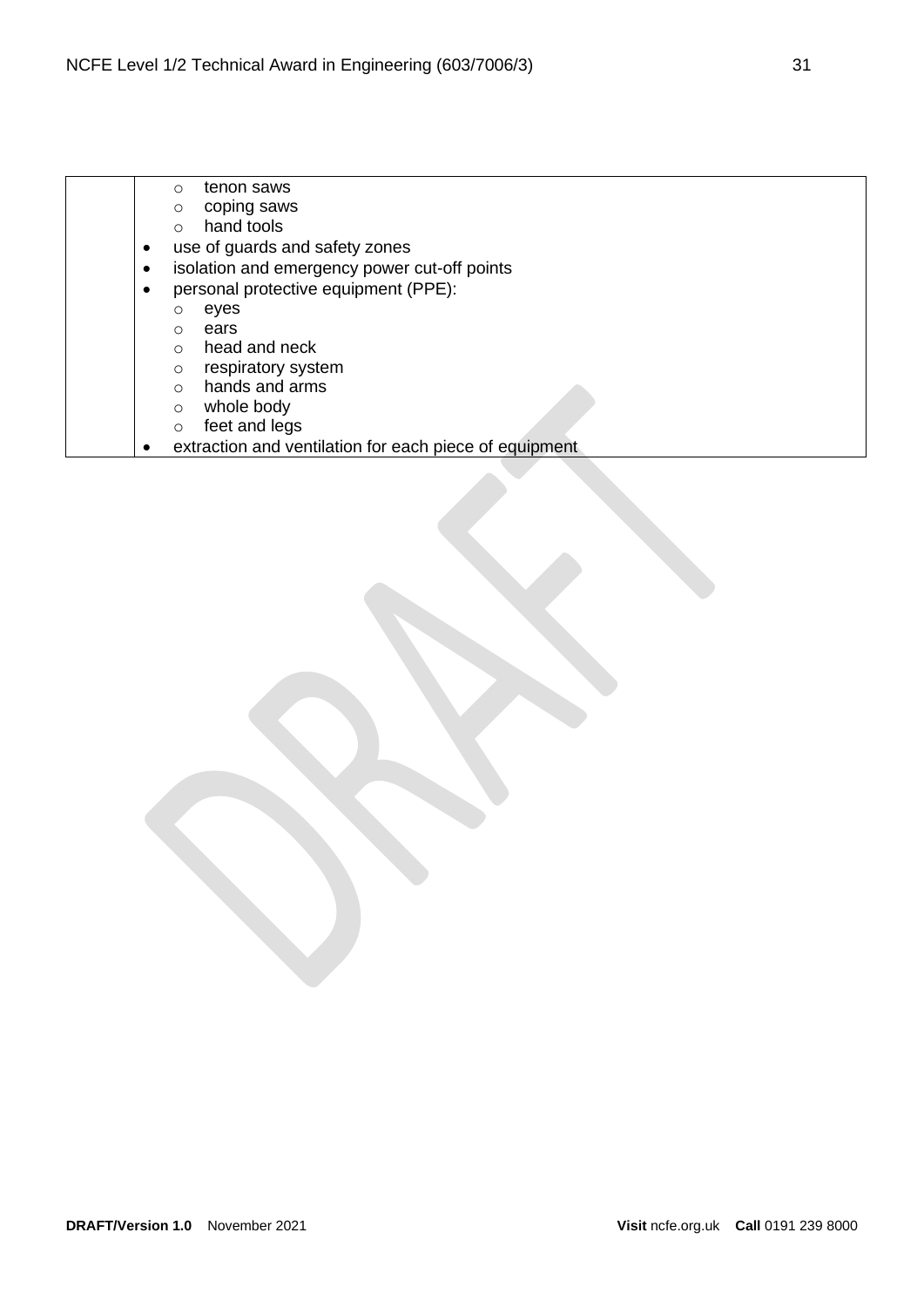|  |           | tenon saws<br>$\Omega$                                 |
|--|-----------|--------------------------------------------------------|
|  |           | coping saws<br>$\circ$                                 |
|  |           | hand tools<br>$\bigcap$                                |
|  | $\bullet$ | use of guards and safety zones                         |
|  | $\bullet$ | isolation and emergency power cut-off points           |
|  | $\bullet$ | personal protective equipment (PPE):                   |
|  |           | eyes<br>O                                              |
|  |           | ears<br>$\Omega$                                       |
|  |           | head and neck<br>$\Omega$                              |
|  |           | respiratory system<br>$\circ$                          |
|  |           | hands and arms<br>$\bigcap$                            |
|  |           | whole body<br>$\Omega$                                 |
|  |           | feet and legs<br>∩                                     |
|  |           | extraction and ventilation for each piece of equipment |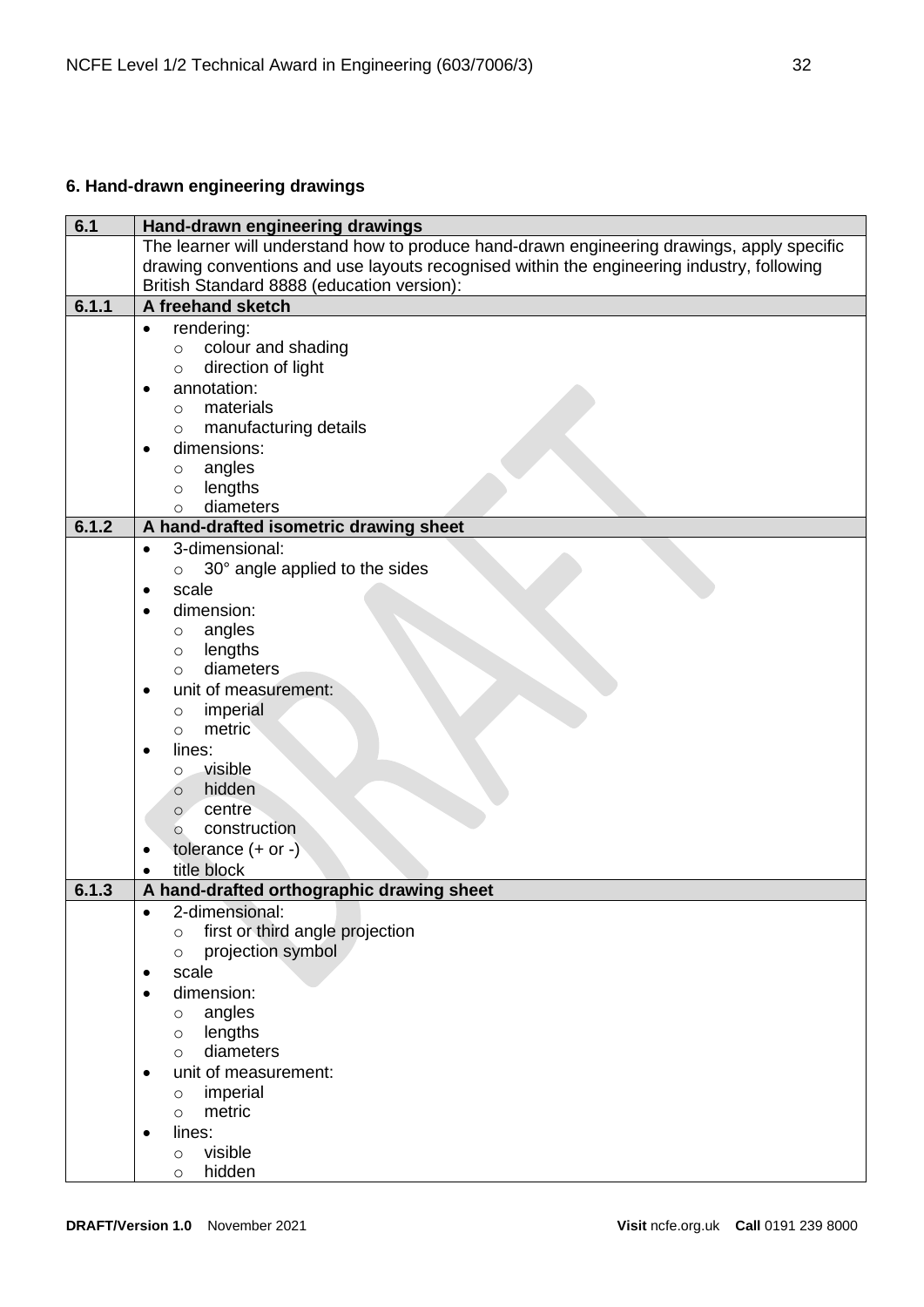# <span id="page-31-0"></span>**6. Hand-drawn engineering drawings**

| 6.1   | Hand-drawn engineering drawings                                                            |
|-------|--------------------------------------------------------------------------------------------|
|       | The learner will understand how to produce hand-drawn engineering drawings, apply specific |
|       | drawing conventions and use layouts recognised within the engineering industry, following  |
|       | British Standard 8888 (education version):                                                 |
| 6.1.1 | A freehand sketch                                                                          |
|       | rendering:<br>$\bullet$                                                                    |
|       | colour and shading<br>$\circ$                                                              |
|       | direction of light<br>$\circ$                                                              |
|       | annotation:<br>$\bullet$                                                                   |
|       | materials<br>$\circ$                                                                       |
|       | manufacturing details<br>$\circ$                                                           |
|       | dimensions:                                                                                |
|       | angles<br>$\circ$                                                                          |
|       | lengths<br>$\circ$                                                                         |
|       | diameters<br>$\circ$                                                                       |
| 6.1.2 | A hand-drafted isometric drawing sheet                                                     |
|       | 3-dimensional:<br>$\bullet$                                                                |
|       | 30° angle applied to the sides<br>$\circ$                                                  |
|       | scale<br>٠                                                                                 |
|       | dimension:<br>٠                                                                            |
|       | angles<br>$\circ$                                                                          |
|       | lengths<br>$\circ$                                                                         |
|       | diameters<br>$\circ$                                                                       |
|       | unit of measurement:<br>٠                                                                  |
|       | imperial<br>$\circ$                                                                        |
|       | metric<br>$\circ$                                                                          |
|       | lines:                                                                                     |
|       | visible<br>$\circ$                                                                         |
|       | hidden<br>$\circ$                                                                          |
|       | centre<br>$\circ$                                                                          |
|       | construction<br>$\circ$                                                                    |
|       | tolerance $(+ or -)$                                                                       |
|       | title block<br>$\bullet$                                                                   |
| 6.1.3 | A hand-drafted orthographic drawing sheet                                                  |
|       | 2-dimensional:                                                                             |
|       | first or third angle projection<br>$\circ$                                                 |
|       | projection symbol<br>$\circ$                                                               |
|       | scale<br>٠                                                                                 |
|       | dimension:<br>$\bullet$                                                                    |
|       | angles<br>$\circ$                                                                          |
|       | lengths<br>$\circ$                                                                         |
|       | diameters<br>$\circ$                                                                       |
|       | unit of measurement:<br>٠                                                                  |
|       | imperial<br>$\circ$                                                                        |
|       | metric<br>$\circ$                                                                          |
|       | lines:                                                                                     |
|       | visible<br>$\circ$                                                                         |
|       | hidden<br>$\circ$                                                                          |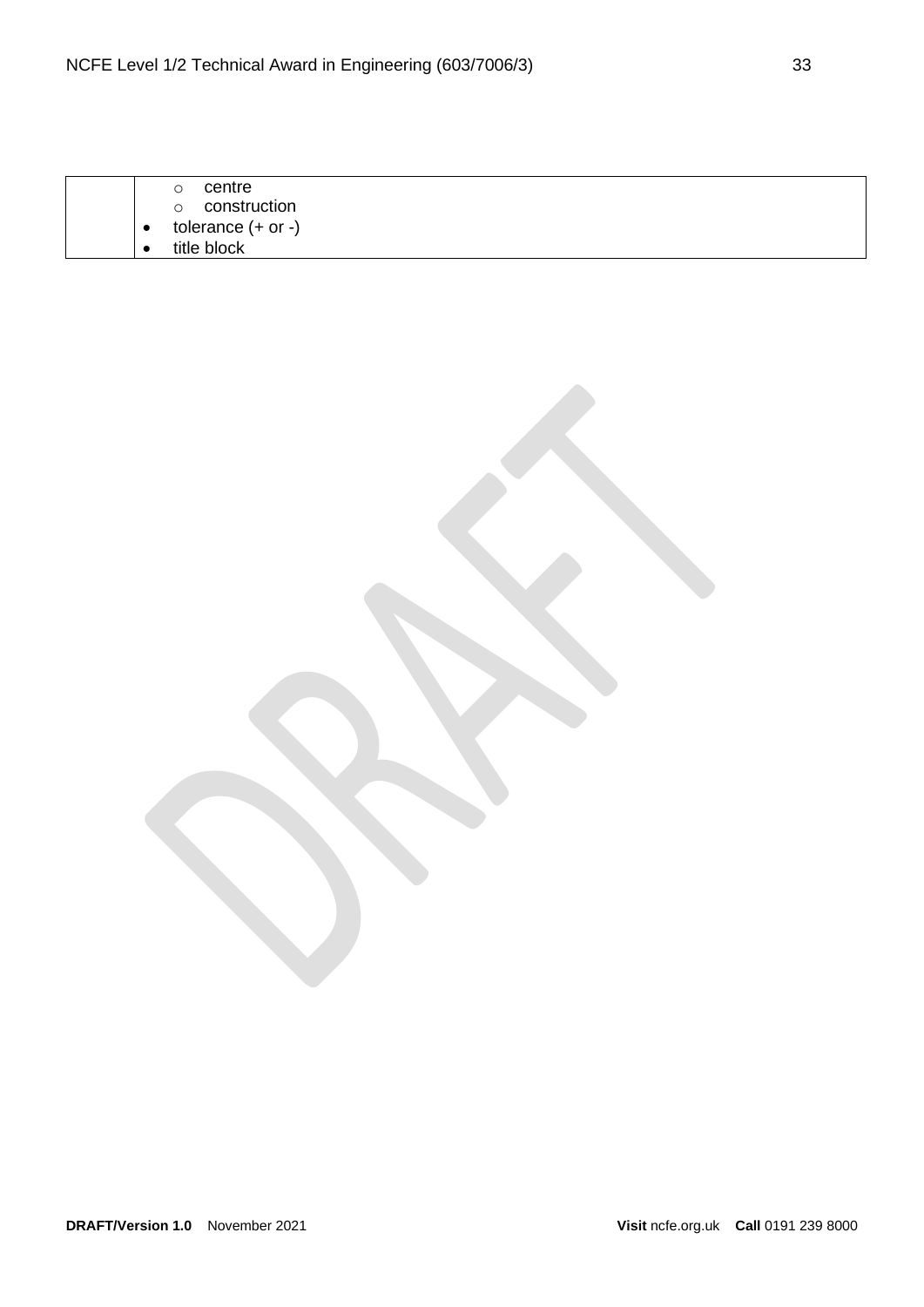|  | centre                  |
|--|-------------------------|
|  | construction<br>$\circ$ |
|  | tolerance $(+ or -)$    |
|  | title block             |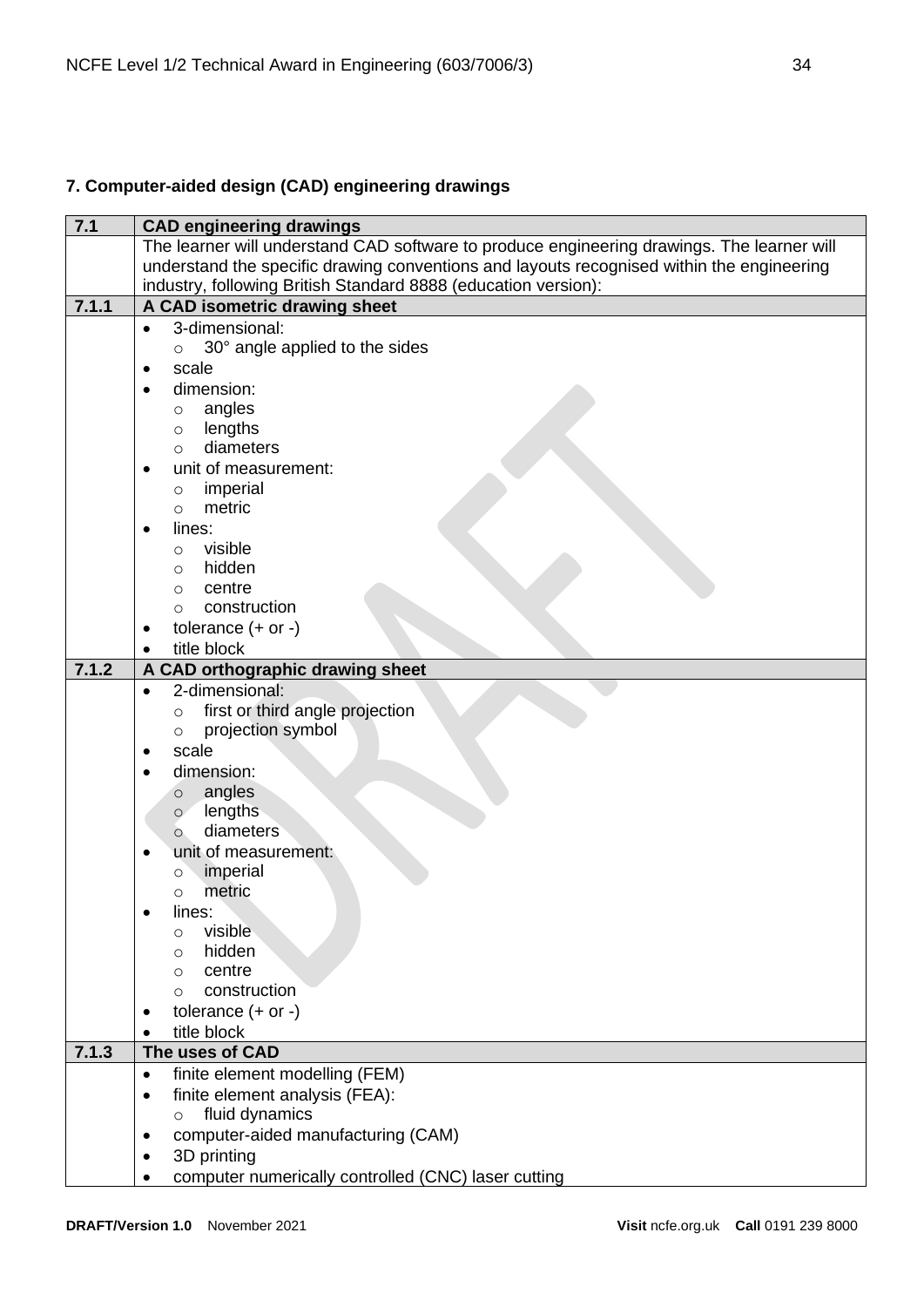# <span id="page-33-0"></span>**7. Computer-aided design (CAD) engineering drawings**

| 7.1   | <b>CAD engineering drawings</b>                                                            |
|-------|--------------------------------------------------------------------------------------------|
|       | The learner will understand CAD software to produce engineering drawings. The learner will |
|       | understand the specific drawing conventions and layouts recognised within the engineering  |
|       | industry, following British Standard 8888 (education version):                             |
| 7.1.1 | A CAD isometric drawing sheet                                                              |
|       | 3-dimensional:<br>$\bullet$                                                                |
|       | 30° angle applied to the sides<br>$\circ$                                                  |
|       | scale<br>$\bullet$                                                                         |
|       | dimension:                                                                                 |
|       | angles<br>$\circ$                                                                          |
|       | lengths<br>$\circ$                                                                         |
|       | diameters<br>$\Omega$                                                                      |
|       | unit of measurement:                                                                       |
|       | imperial<br>$\circ$                                                                        |
|       | metric<br>$\circ$                                                                          |
|       | lines:                                                                                     |
|       | visible                                                                                    |
|       | $\circ$<br>hidden<br>$\circ$                                                               |
|       | centre                                                                                     |
|       | $\circ$<br>construction                                                                    |
|       | $\circ$                                                                                    |
|       | tolerance $(+ or -)$<br>٠                                                                  |
|       | title block                                                                                |
| 7.1.2 | A CAD orthographic drawing sheet                                                           |
|       | 2-dimensional:<br>$\bullet$                                                                |
|       | first or third angle projection<br>$\circ$                                                 |
|       | projection symbol<br>$\circ$                                                               |
|       | scale                                                                                      |
|       | dimension:                                                                                 |
|       | angles<br>$\circ$                                                                          |
|       | lengths<br>$\circ$                                                                         |
|       | diameters<br>$\circ$                                                                       |
|       | unit of measurement:                                                                       |
|       | imperial<br>$\circ$                                                                        |
|       | metric<br>O                                                                                |
|       | lines:                                                                                     |
|       | visible<br>$\circ$                                                                         |
|       | hidden<br>O                                                                                |
|       | centre<br>$\Omega$                                                                         |
|       | construction<br>$\Omega$                                                                   |
|       | tolerance $(+ or -)$                                                                       |
|       | title block                                                                                |
| 7.1.3 | The uses of CAD                                                                            |
|       | finite element modelling (FEM)<br>$\bullet$                                                |
|       | finite element analysis (FEA):<br>$\bullet$                                                |
|       | fluid dynamics<br>$\circ$                                                                  |
|       | computer-aided manufacturing (CAM)                                                         |
|       | 3D printing                                                                                |
|       | computer numerically controlled (CNC) laser cutting                                        |
|       |                                                                                            |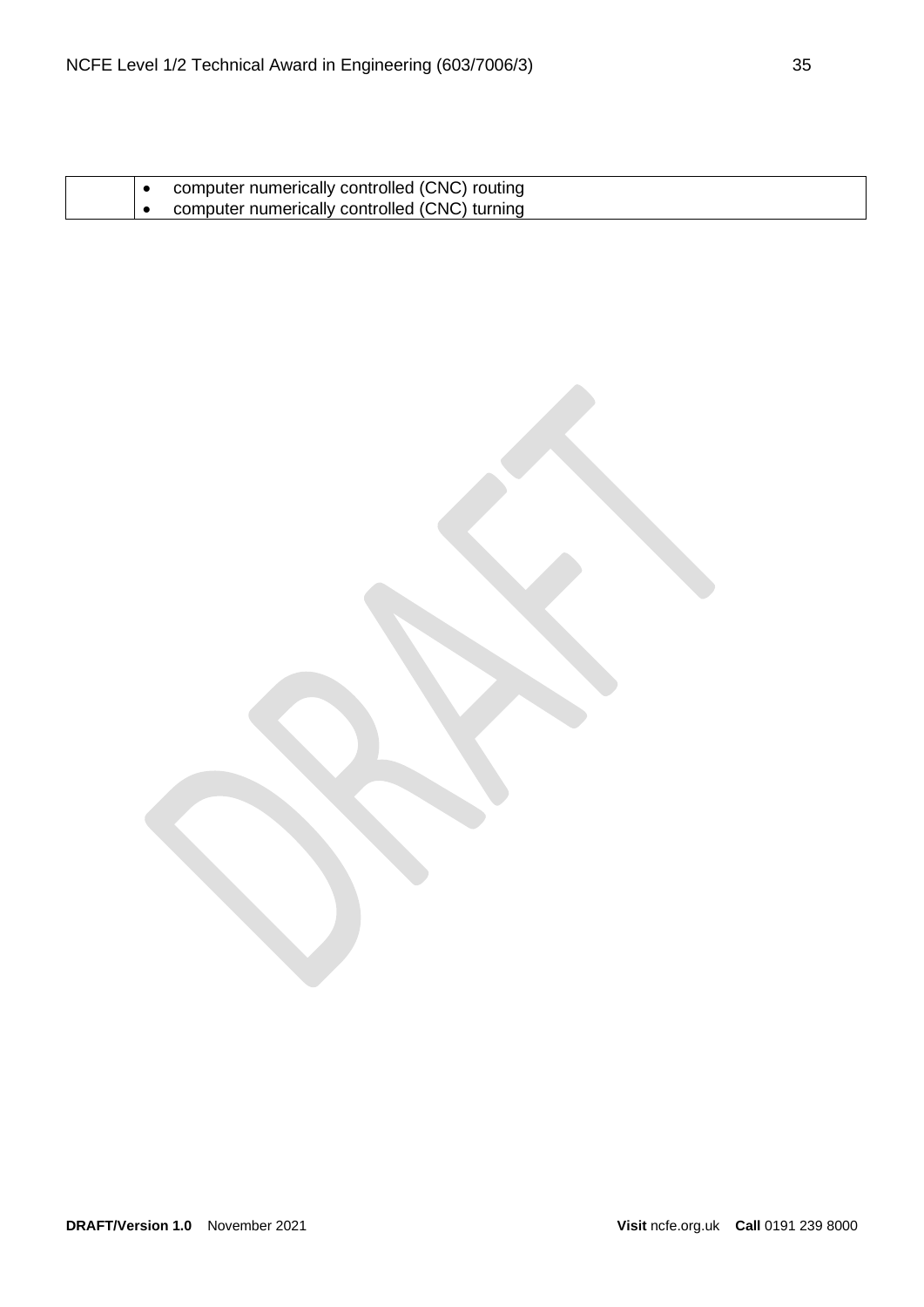|  | computer numerically controlled (CNC) routing |
|--|-----------------------------------------------|
|  | computer numerically controlled (CNC) turning |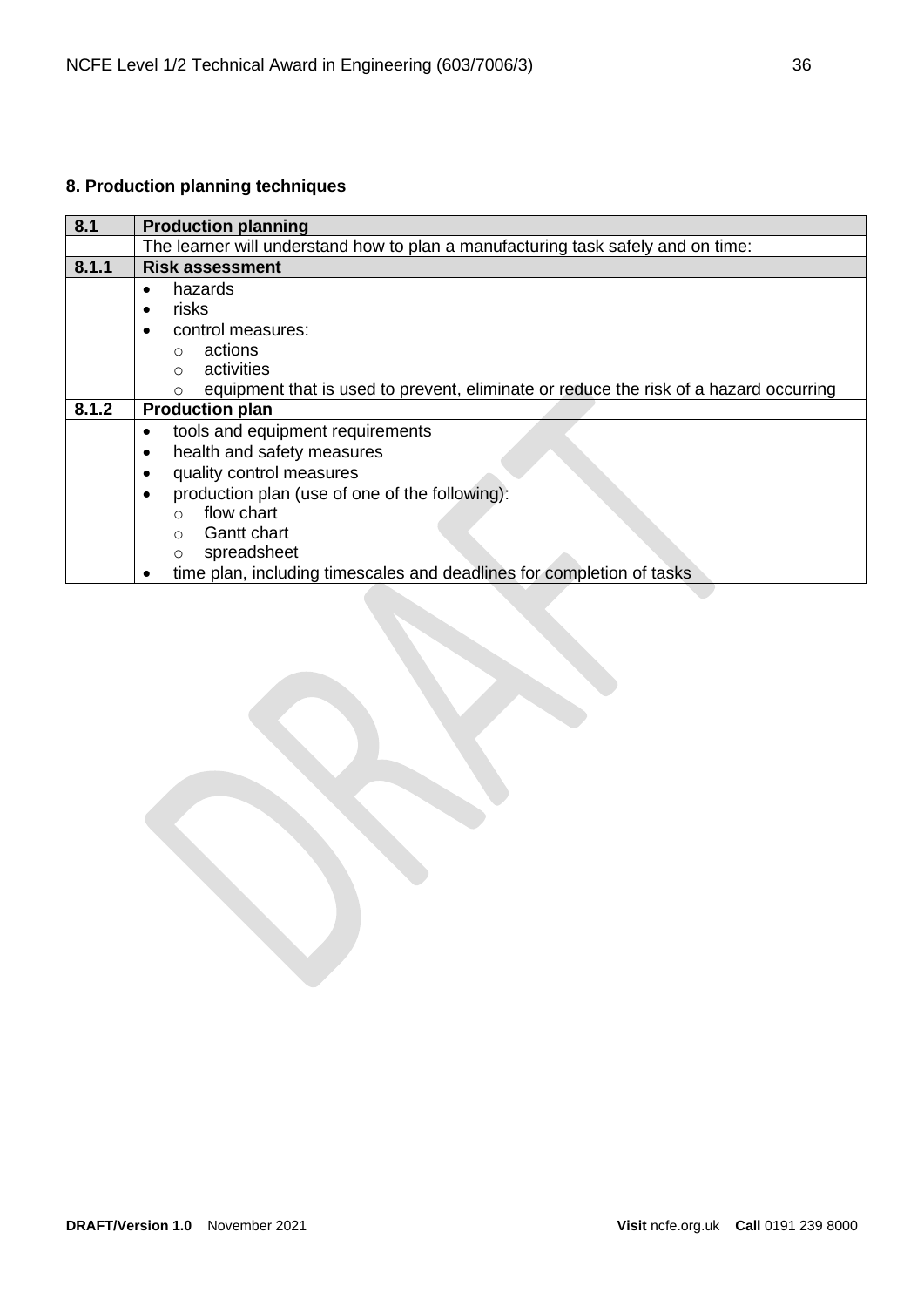# <span id="page-35-0"></span>**8. Production planning techniques**

| 8.1   | <b>Production planning</b>                                                                        |  |
|-------|---------------------------------------------------------------------------------------------------|--|
|       | The learner will understand how to plan a manufacturing task safely and on time:                  |  |
| 8.1.1 | <b>Risk assessment</b>                                                                            |  |
|       | hazards<br>$\bullet$                                                                              |  |
|       | risks<br>$\bullet$                                                                                |  |
|       | control measures:                                                                                 |  |
|       | actions<br>◯                                                                                      |  |
|       | activities<br>◯                                                                                   |  |
|       | equipment that is used to prevent, eliminate or reduce the risk of a hazard occurring<br>$\Omega$ |  |
| 8.1.2 | <b>Production plan</b>                                                                            |  |
|       | tools and equipment requirements<br>$\bullet$                                                     |  |
|       | health and safety measures<br>٠                                                                   |  |
|       | quality control measures<br>٠                                                                     |  |
|       | production plan (use of one of the following):<br>$\bullet$                                       |  |
|       | flow chart<br>$\bigcap$                                                                           |  |
|       | <b>Gantt chart</b><br>$\bigcirc$                                                                  |  |
|       | spreadsheet<br>$\circ$                                                                            |  |
|       | time plan, including timescales and deadlines for completion of tasks                             |  |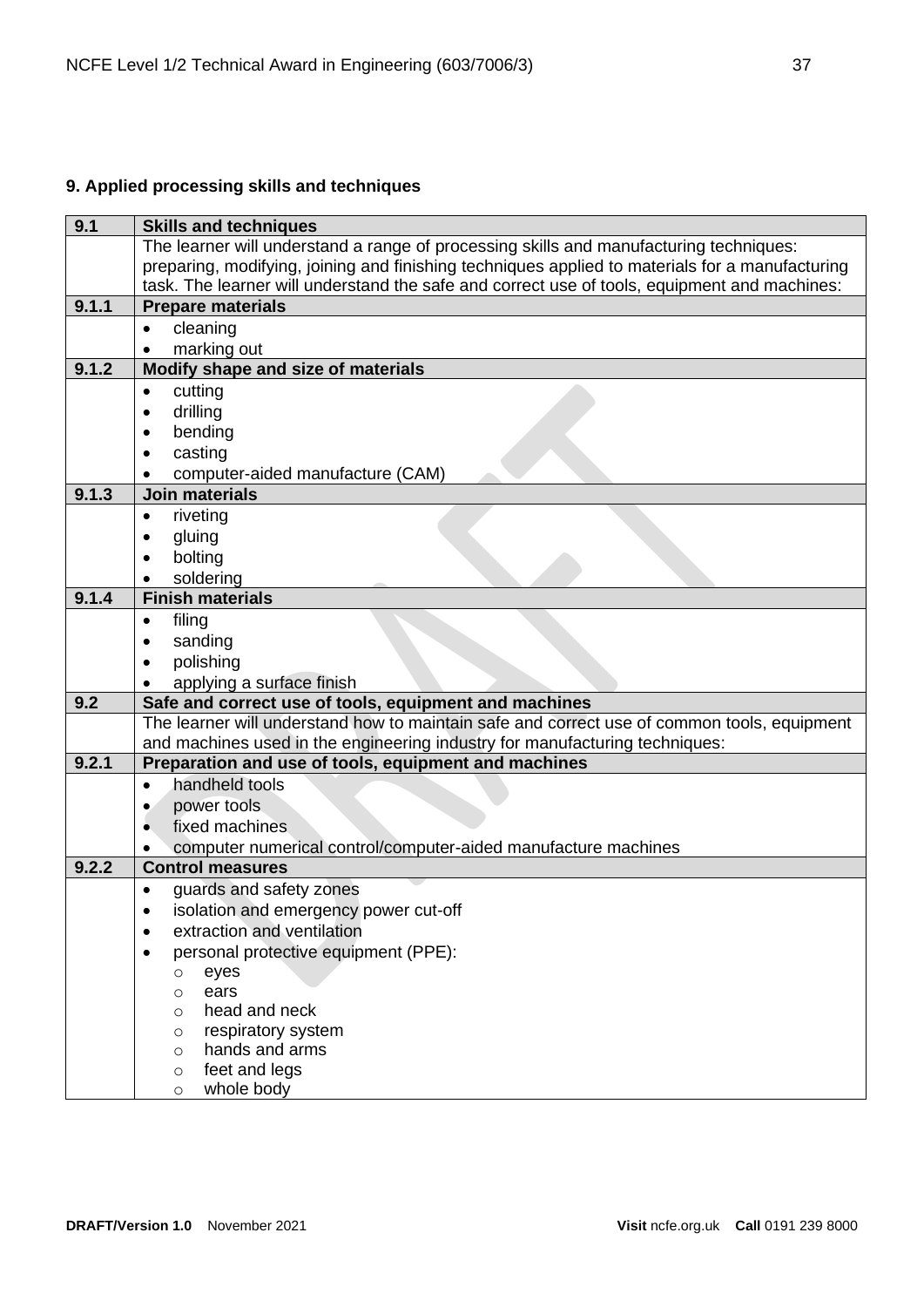# <span id="page-36-0"></span>**9. Applied processing skills and techniques**

| 9.1   | <b>Skills and techniques</b>                                                                    |  |
|-------|-------------------------------------------------------------------------------------------------|--|
|       | The learner will understand a range of processing skills and manufacturing techniques:          |  |
|       | preparing, modifying, joining and finishing techniques applied to materials for a manufacturing |  |
|       | task. The learner will understand the safe and correct use of tools, equipment and machines:    |  |
| 9.1.1 | <b>Prepare materials</b>                                                                        |  |
|       | cleaning<br>$\bullet$                                                                           |  |
|       | marking out<br>$\bullet$                                                                        |  |
| 9.1.2 | Modify shape and size of materials                                                              |  |
|       | cutting<br>$\bullet$                                                                            |  |
|       | drilling                                                                                        |  |
|       | bending                                                                                         |  |
|       | casting                                                                                         |  |
|       | computer-aided manufacture (CAM)                                                                |  |
| 9.1.3 | <b>Join materials</b>                                                                           |  |
|       | riveting<br>$\bullet$                                                                           |  |
|       | gluing                                                                                          |  |
|       | bolting                                                                                         |  |
|       | soldering                                                                                       |  |
| 9.1.4 | <b>Finish materials</b>                                                                         |  |
|       | filing<br>$\bullet$                                                                             |  |
|       | sanding<br>$\bullet$                                                                            |  |
|       | polishing                                                                                       |  |
|       | applying a surface finish                                                                       |  |
| 9.2   | Safe and correct use of tools, equipment and machines                                           |  |
|       | The learner will understand how to maintain safe and correct use of common tools, equipment     |  |
|       | and machines used in the engineering industry for manufacturing techniques:                     |  |
| 9.2.1 | Preparation and use of tools, equipment and machines                                            |  |
|       | handheld tools<br>$\bullet$                                                                     |  |
|       | power tools<br>$\bullet$                                                                        |  |
|       | fixed machines                                                                                  |  |
|       | computer numerical control/computer-aided manufacture machines                                  |  |
| 9.2.2 | <b>Control measures</b>                                                                         |  |
|       | guards and safety zones<br>$\bullet$                                                            |  |
|       | isolation and emergency power cut-off                                                           |  |
|       | extraction and ventilation                                                                      |  |
|       | personal protective equipment (PPE):                                                            |  |
|       | eyes<br>$\circ$                                                                                 |  |
|       | ears<br>$\circ$                                                                                 |  |
|       | head and neck<br>O                                                                              |  |
|       | respiratory system<br>$\circ$<br>hands and arms                                                 |  |
|       | $\circ$<br>feet and legs                                                                        |  |
|       | $\circ$<br>whole body                                                                           |  |
|       | O                                                                                               |  |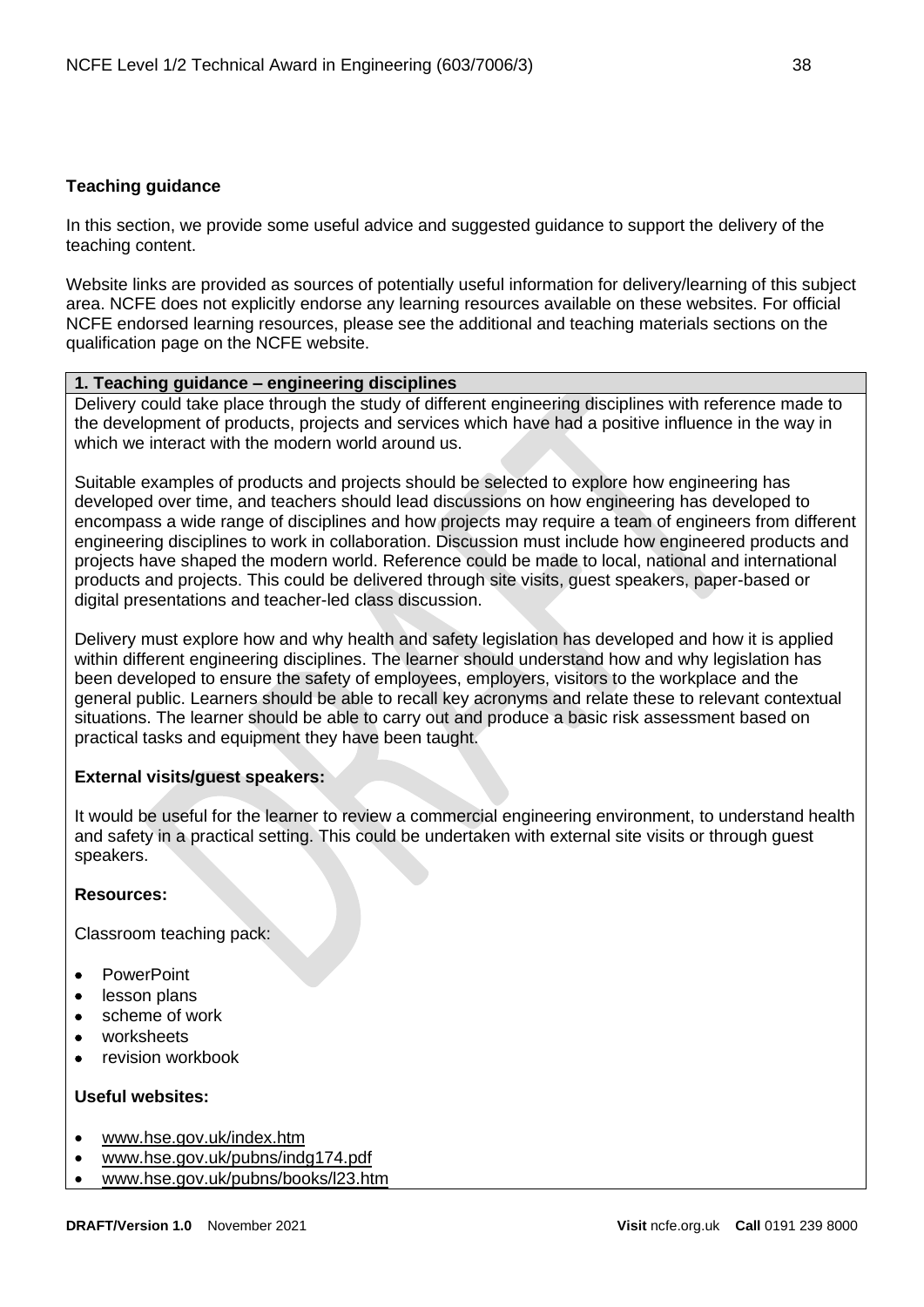# <span id="page-37-0"></span>**Teaching guidance**

In this section, we provide some useful advice and suggested guidance to support the delivery of the teaching content.

Website links are provided as sources of potentially useful information for delivery/learning of this subject area. NCFE does not explicitly endorse any learning resources available on these websites. For official NCFE endorsed learning resources, please see the additional and teaching materials sections on the qualification page on the NCFE website.

# **1. Teaching guidance – engineering disciplines**

Delivery could take place through the study of different engineering disciplines with reference made to the development of products, projects and services which have had a positive influence in the way in which we interact with the modern world around us.

Suitable examples of products and projects should be selected to explore how engineering has developed over time, and teachers should lead discussions on how engineering has developed to encompass a wide range of disciplines and how projects may require a team of engineers from different engineering disciplines to work in collaboration. Discussion must include how engineered products and projects have shaped the modern world. Reference could be made to local, national and international products and projects. This could be delivered through site visits, guest speakers, paper-based or digital presentations and teacher-led class discussion.

Delivery must explore how and why health and safety legislation has developed and how it is applied within different engineering disciplines. The learner should understand how and why legislation has been developed to ensure the safety of employees, employers, visitors to the workplace and the general public. Learners should be able to recall key acronyms and relate these to relevant contextual situations. The learner should be able to carry out and produce a basic risk assessment based on practical tasks and equipment they have been taught.

# **External visits/guest speakers:**

It would be useful for the learner to review a commercial engineering environment, to understand health and safety in a practical setting. This could be undertaken with external site visits or through guest speakers.

# **Resources:**

Classroom teaching pack:

- PowerPoint
- lesson plans
- scheme of work
- worksheets
- revision workbook

- [www.hse.gov.uk/index.htm](http://www.hse.gov.uk/index.htm)
- [www.hse.gov.uk/pubns/indg174.pdf](http://www.hse.gov.uk/pubns/indg174.pdf)
- [www.hse.gov.uk/pubns/books/l23.htm](http://www.hse.gov.uk/pubns/books/l23.htm)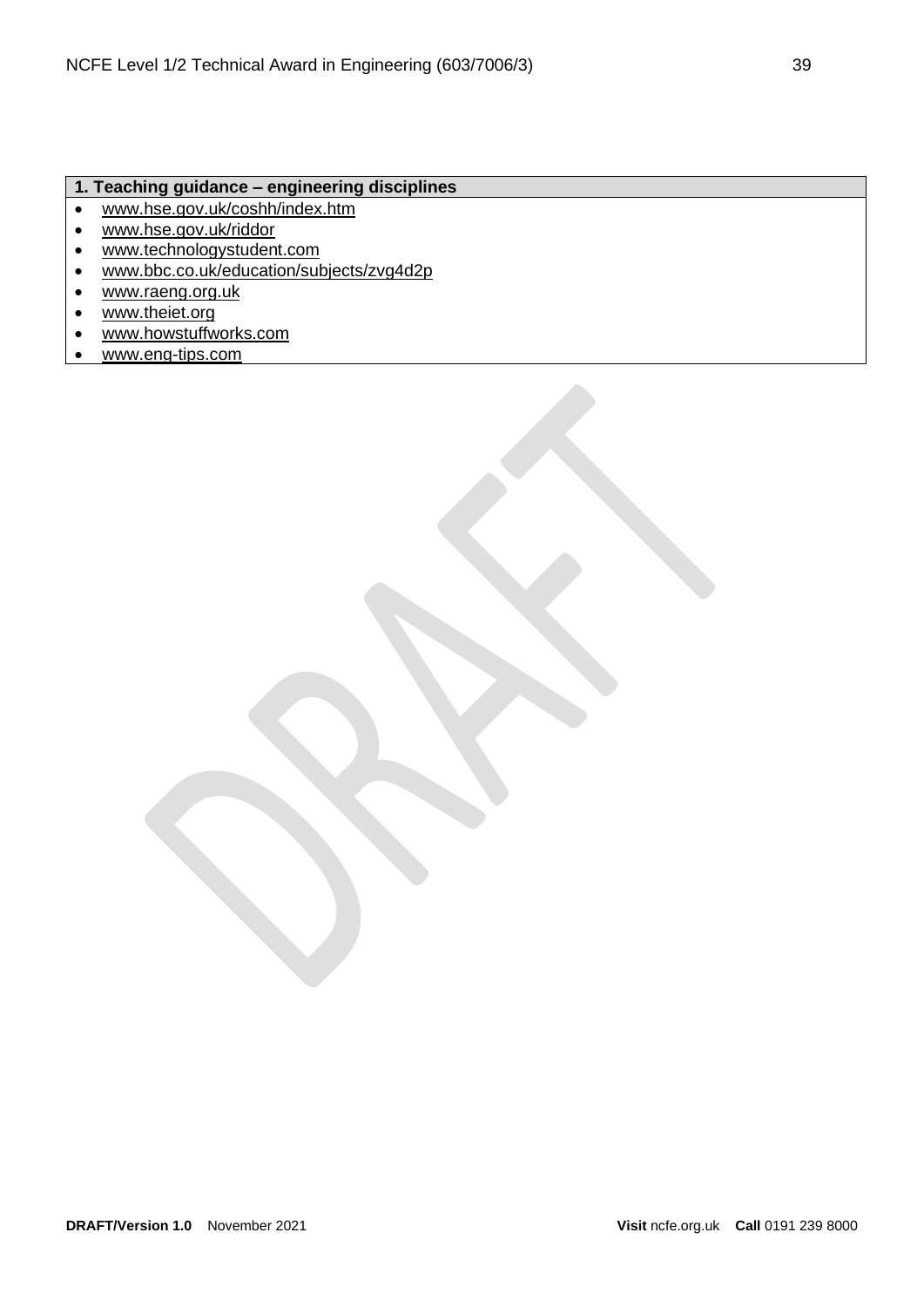# **1. Teaching guidance – engineering disciplines**

- [www.hse.gov.uk/coshh/index.htm](http://www.hse.gov.uk/coshh/)
- [www.hse.gov.uk/riddor](http://www.hse.gov.uk/riddor)
- [www.technologystudent.com](http://www.technologystudent.com/)
- [www.bbc.co.uk/education/subjects/zvg4d2p](http://www.bbc.co.uk/education/subjects/zvg4d2p)
- [www.raeng.org.uk](http://www.raeng.org.uk/)
- [www.theiet.org](http://www.theiet.org/)
- [www.howstuffworks.com](http://www.howstuffworks.com/)
- [www.eng-tips.com](http://www.eng-tips.com/)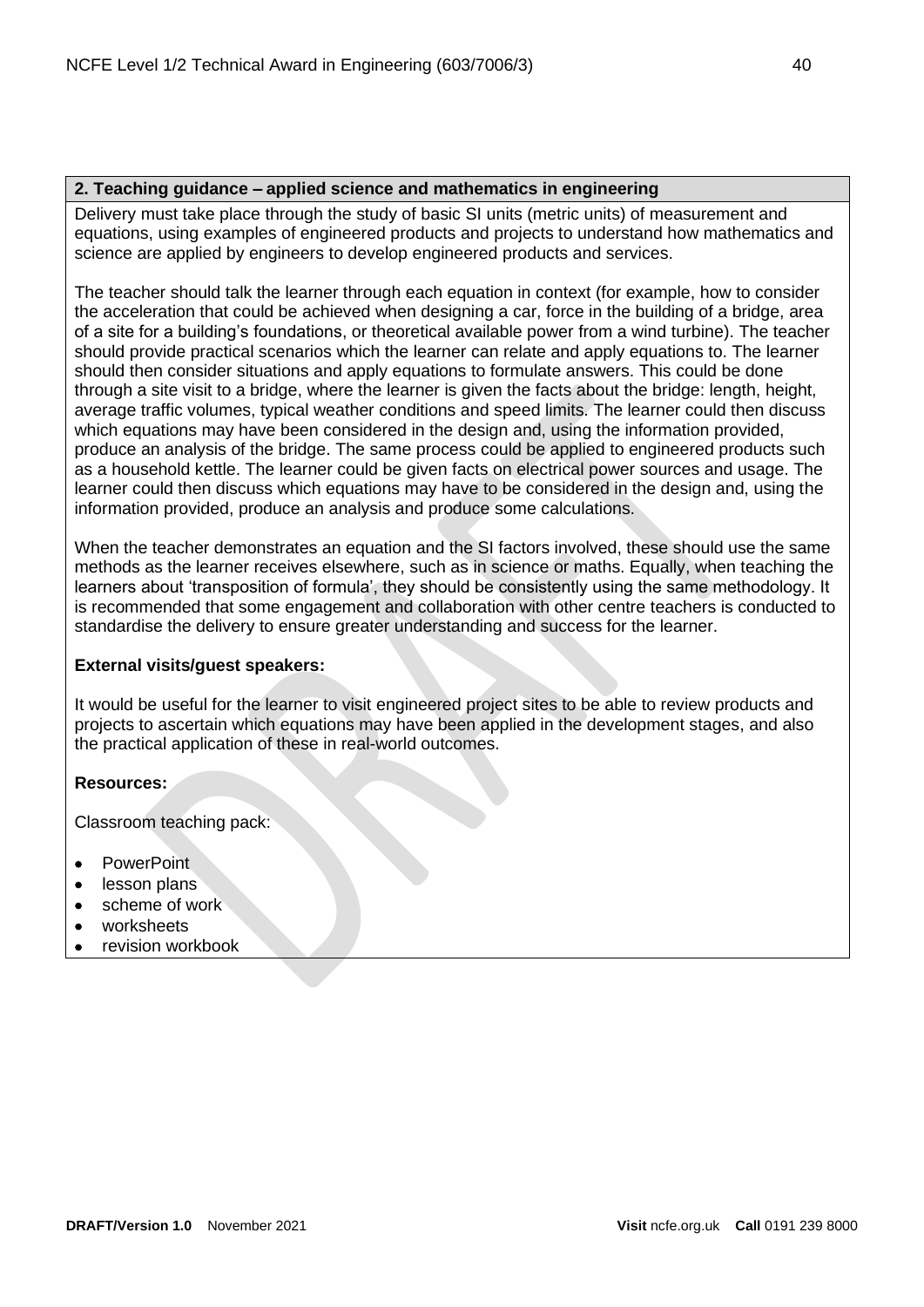# **2. Teaching guidance – applied science and mathematics in engineering**

Delivery must take place through the study of basic SI units (metric units) of measurement and equations, using examples of engineered products and projects to understand how mathematics and science are applied by engineers to develop engineered products and services.

The teacher should talk the learner through each equation in context (for example, how to consider the acceleration that could be achieved when designing a car, force in the building of a bridge, area of a site for a building's foundations, or theoretical available power from a wind turbine). The teacher should provide practical scenarios which the learner can relate and apply equations to. The learner should then consider situations and apply equations to formulate answers. This could be done through a site visit to a bridge, where the learner is given the facts about the bridge: length, height, average traffic volumes, typical weather conditions and speed limits. The learner could then discuss which equations may have been considered in the design and, using the information provided, produce an analysis of the bridge. The same process could be applied to engineered products such as a household kettle. The learner could be given facts on electrical power sources and usage. The learner could then discuss which equations may have to be considered in the design and, using the information provided, produce an analysis and produce some calculations.

When the teacher demonstrates an equation and the SI factors involved, these should use the same methods as the learner receives elsewhere, such as in science or maths. Equally, when teaching the learners about 'transposition of formula', they should be consistently using the same methodology. It is recommended that some engagement and collaboration with other centre teachers is conducted to standardise the delivery to ensure greater understanding and success for the learner.

# **External visits/guest speakers:**

It would be useful for the learner to visit engineered project sites to be able to review products and projects to ascertain which equations may have been applied in the development stages, and also the practical application of these in real-world outcomes.

# **Resources:**

Classroom teaching pack:

- **PowerPoint**
- lesson plans
- scheme of work
- worksheets
- revision workbook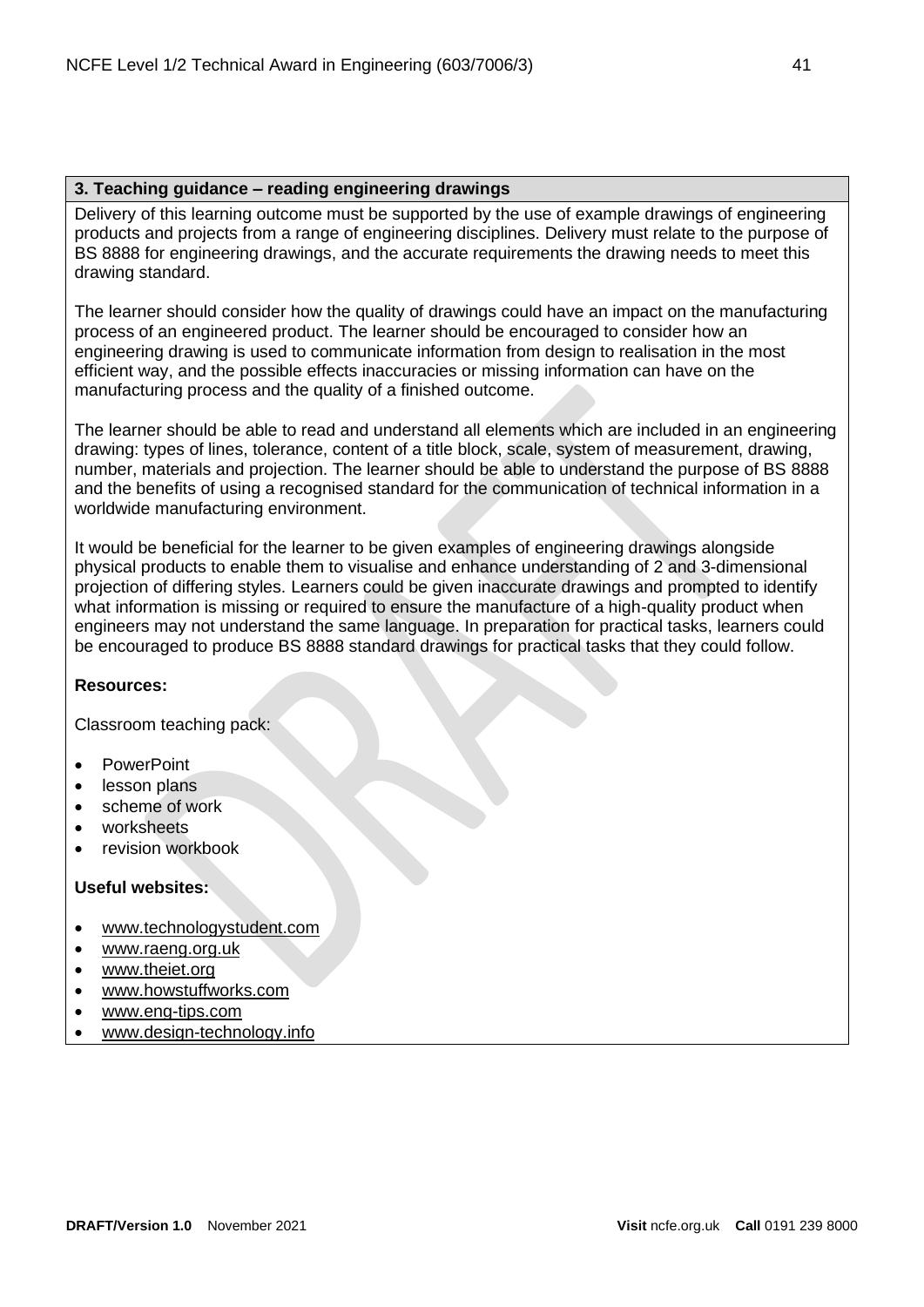## **3. Teaching guidance – reading engineering drawings**

Delivery of this learning outcome must be supported by the use of example drawings of engineering products and projects from a range of engineering disciplines. Delivery must relate to the purpose of BS 8888 for engineering drawings, and the accurate requirements the drawing needs to meet this drawing standard.

The learner should consider how the quality of drawings could have an impact on the manufacturing process of an engineered product. The learner should be encouraged to consider how an engineering drawing is used to communicate information from design to realisation in the most efficient way, and the possible effects inaccuracies or missing information can have on the manufacturing process and the quality of a finished outcome.

The learner should be able to read and understand all elements which are included in an engineering drawing: types of lines, tolerance, content of a title block, scale, system of measurement, drawing, number, materials and projection. The learner should be able to understand the purpose of BS 8888 and the benefits of using a recognised standard for the communication of technical information in a worldwide manufacturing environment.

It would be beneficial for the learner to be given examples of engineering drawings alongside physical products to enable them to visualise and enhance understanding of 2 and 3-dimensional projection of differing styles. Learners could be given inaccurate drawings and prompted to identify what information is missing or required to ensure the manufacture of a high-quality product when engineers may not understand the same language. In preparation for practical tasks, learners could be encouraged to produce BS 8888 standard drawings for practical tasks that they could follow.

# **Resources:**

Classroom teaching pack:

- PowerPoint
- lesson plans
- scheme of work
- worksheets
- revision workbook

- [www.technologystudent.com](http://www.technologystudent.com/)
- [www.raeng.org.uk](http://www.raeng.org.uk/)
- [www.theiet.org](http://www.theiet.org/)
- [www.howstuffworks.com](http://www.howstuffworks.com/)
- [www.eng-tips.com](http://www.eng-tips.com/)
- [www.design-technology.info](http://www.design-technology.info/home.htm)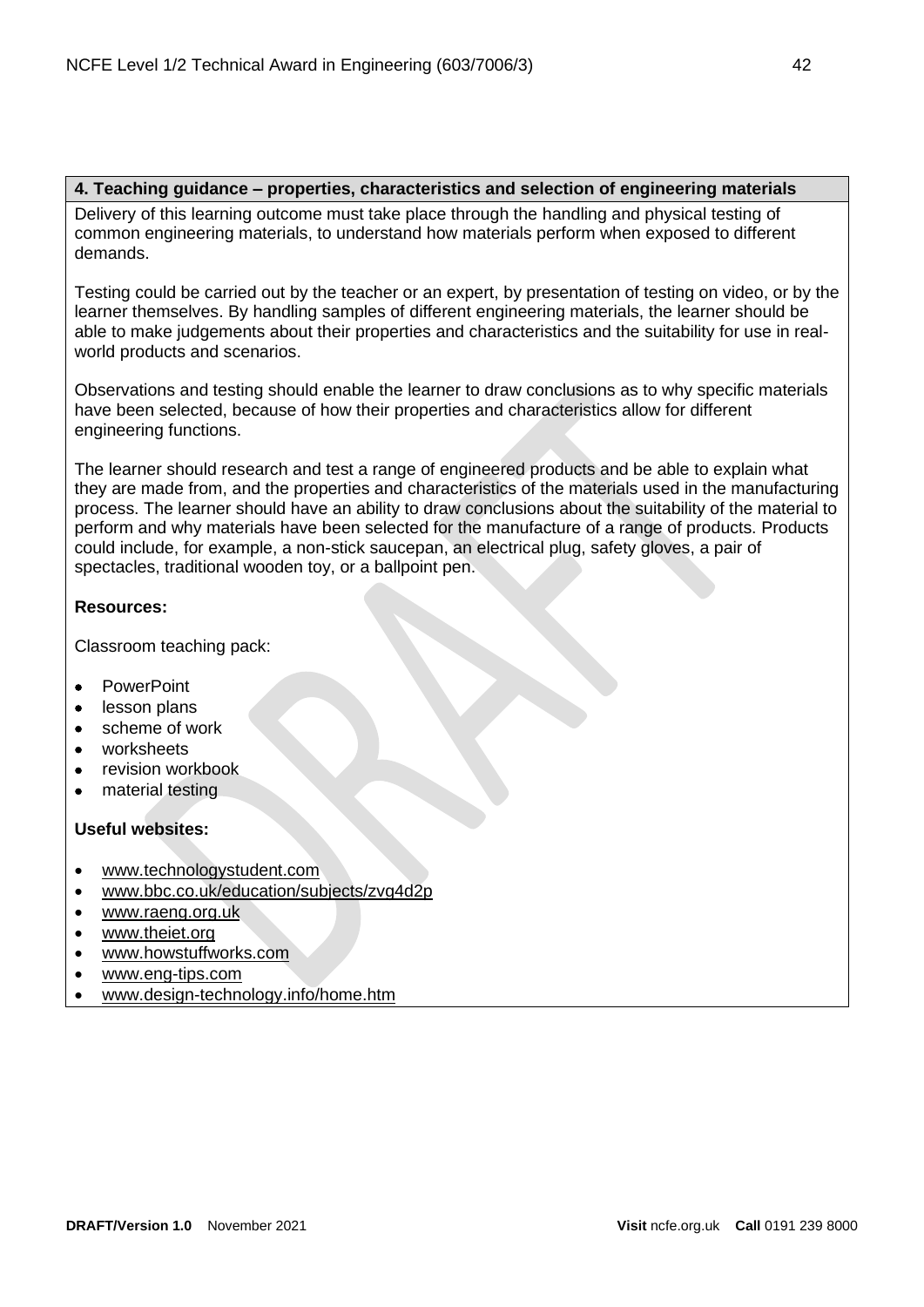## **4. Teaching guidance – properties, characteristics and selection of engineering materials**

Delivery of this learning outcome must take place through the handling and physical testing of common engineering materials, to understand how materials perform when exposed to different demands.

Testing could be carried out by the teacher or an expert, by presentation of testing on video, or by the learner themselves. By handling samples of different engineering materials, the learner should be able to make judgements about their properties and characteristics and the suitability for use in realworld products and scenarios.

Observations and testing should enable the learner to draw conclusions as to why specific materials have been selected, because of how their properties and characteristics allow for different engineering functions.

The learner should research and test a range of engineered products and be able to explain what they are made from, and the properties and characteristics of the materials used in the manufacturing process. The learner should have an ability to draw conclusions about the suitability of the material to perform and why materials have been selected for the manufacture of a range of products. Products could include, for example, a non-stick saucepan, an electrical plug, safety gloves, a pair of spectacles, traditional wooden toy, or a ballpoint pen.

# **Resources:**

Classroom teaching pack:

- PowerPoint
- lesson plans
- scheme of work
- worksheets
- revision workbook
- material testing

- [www.technologystudent.com](http://www.technologystudent.com/)
- [www.bbc.co.uk/education/subjects/zvg4d2p](http://www.bbc.co.uk/education/subjects/zvg4d2p)
- [www.raeng.org.uk](http://www.raeng.org.uk/)
- [www.theiet.org](http://www.theiet.org/)
- [www.howstuffworks.com](http://www.howstuffworks.com/)
- [www.eng-tips.com](http://www.eng-tips.com/)
- [www.design-technology.info/home.htm](http://www.design-technology.info/home.htm)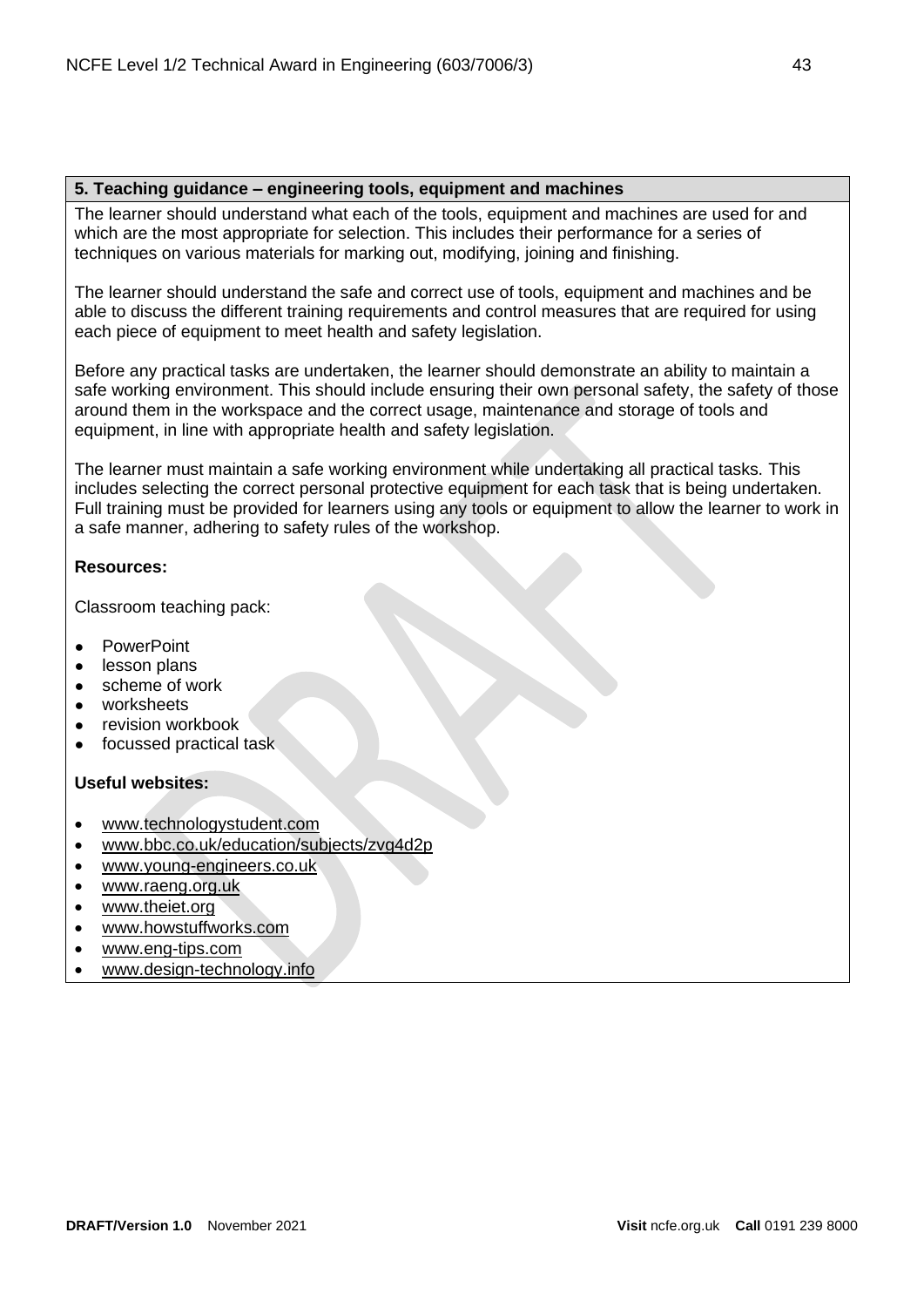## **5. Teaching guidance – engineering tools, equipment and machines**

The learner should understand what each of the tools, equipment and machines are used for and which are the most appropriate for selection. This includes their performance for a series of techniques on various materials for marking out, modifying, joining and finishing.

The learner should understand the safe and correct use of tools, equipment and machines and be able to discuss the different training requirements and control measures that are required for using each piece of equipment to meet health and safety legislation.

Before any practical tasks are undertaken, the learner should demonstrate an ability to maintain a safe working environment. This should include ensuring their own personal safety, the safety of those around them in the workspace and the correct usage, maintenance and storage of tools and equipment, in line with appropriate health and safety legislation.

The learner must maintain a safe working environment while undertaking all practical tasks. This includes selecting the correct personal protective equipment for each task that is being undertaken. Full training must be provided for learners using any tools or equipment to allow the learner to work in a safe manner, adhering to safety rules of the workshop.

## **Resources:**

Classroom teaching pack:

- **PowerPoint**
- lesson plans
- scheme of work
- worksheets
- revision workbook
- focussed practical task

- [www.technologystudent.com](http://www.technologystudent.com/)
- [www.bbc.co.uk/education/subjects/zvg4d2p](http://www.bbc.co.uk/education/subjects/zvg4d2p)
- [www.young-engineers.co.uk](http://www.young-engineers.co.uk/)
- [www.raeng.org.uk](http://www.raeng.org.uk/)
- [www.theiet.org](http://www.theiet.org/)
- [www.howstuffworks.com](http://www.howstuffworks.com/)
- [www.eng-tips.com](http://www.eng-tips.com/)
- [www.design-technology.info](http://www.design-technology.info/home.htm)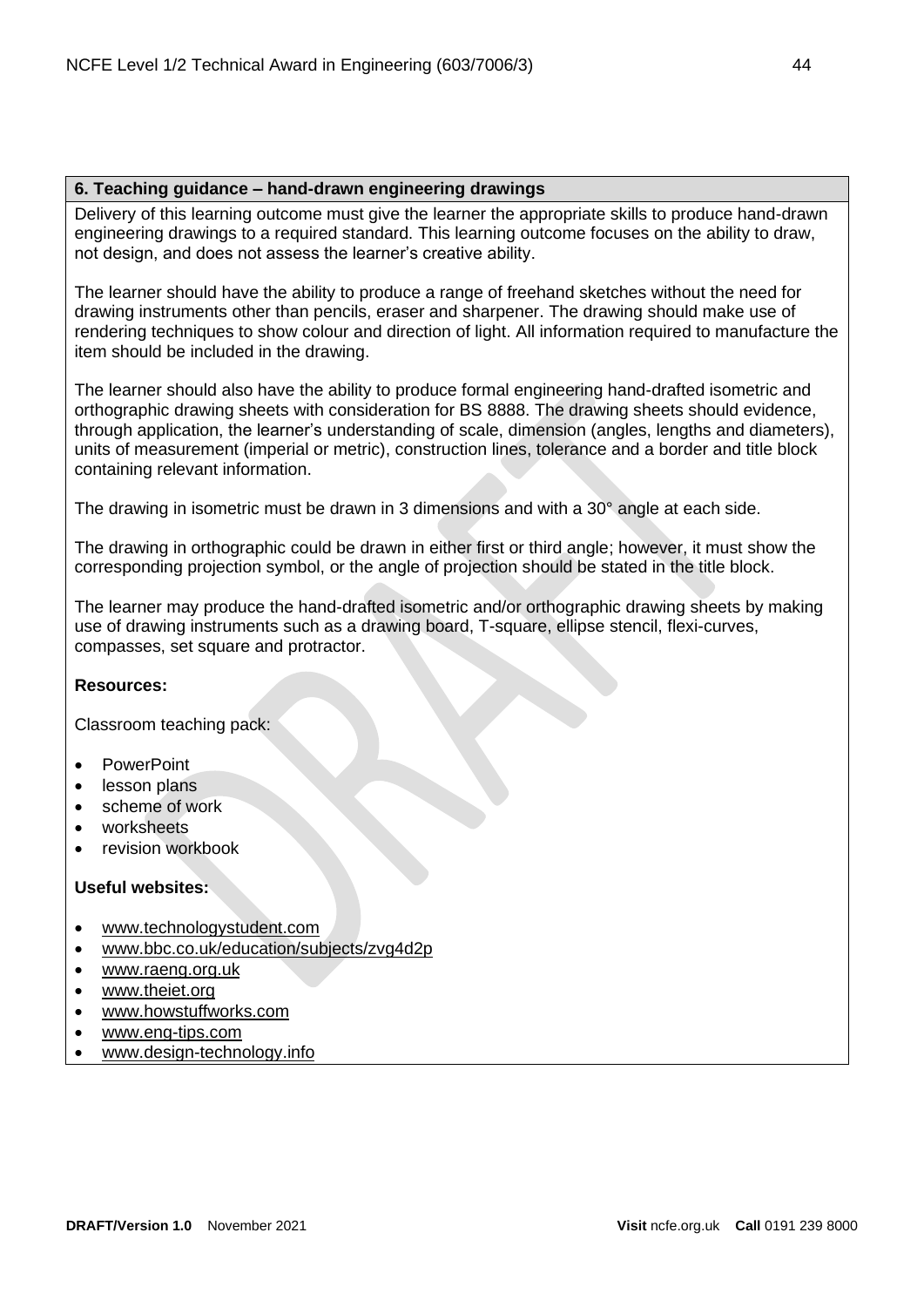#### **6. Teaching guidance – hand-drawn engineering drawings**

Delivery of this learning outcome must give the learner the appropriate skills to produce hand-drawn engineering drawings to a required standard. This learning outcome focuses on the ability to draw, not design, and does not assess the learner's creative ability.

The learner should have the ability to produce a range of freehand sketches without the need for drawing instruments other than pencils, eraser and sharpener. The drawing should make use of rendering techniques to show colour and direction of light. All information required to manufacture the item should be included in the drawing.

The learner should also have the ability to produce formal engineering hand-drafted isometric and orthographic drawing sheets with consideration for BS 8888. The drawing sheets should evidence, through application, the learner's understanding of scale, dimension (angles, lengths and diameters), units of measurement (imperial or metric), construction lines, tolerance and a border and title block containing relevant information.

The drawing in isometric must be drawn in 3 dimensions and with a 30° angle at each side.

The drawing in orthographic could be drawn in either first or third angle; however, it must show the corresponding projection symbol, or the angle of projection should be stated in the title block.

The learner may produce the hand-drafted isometric and/or orthographic drawing sheets by making use of drawing instruments such as a drawing board, T-square, ellipse stencil, flexi-curves, compasses, set square and protractor.

# **Resources:**

Classroom teaching pack:

- PowerPoint
- lesson plans
- scheme of work
- worksheets
- revision workbook

- [www.technologystudent.com](http://www.technologystudent.com/)
- [www.bbc.co.uk/education/subjects/zvg4d2p](http://www.bbc.co.uk/education/subjects/zvg4d2p)
- [www.raeng.org.uk](http://www.raeng.org.uk/)
- [www.theiet.org](http://www.theiet.org/)
- [www.howstuffworks.com](http://www.howstuffworks.com/)
- [www.eng-tips.com](http://www.eng-tips.com/)
- [www.design-technology.info](http://www.design-technology.info/home.htm)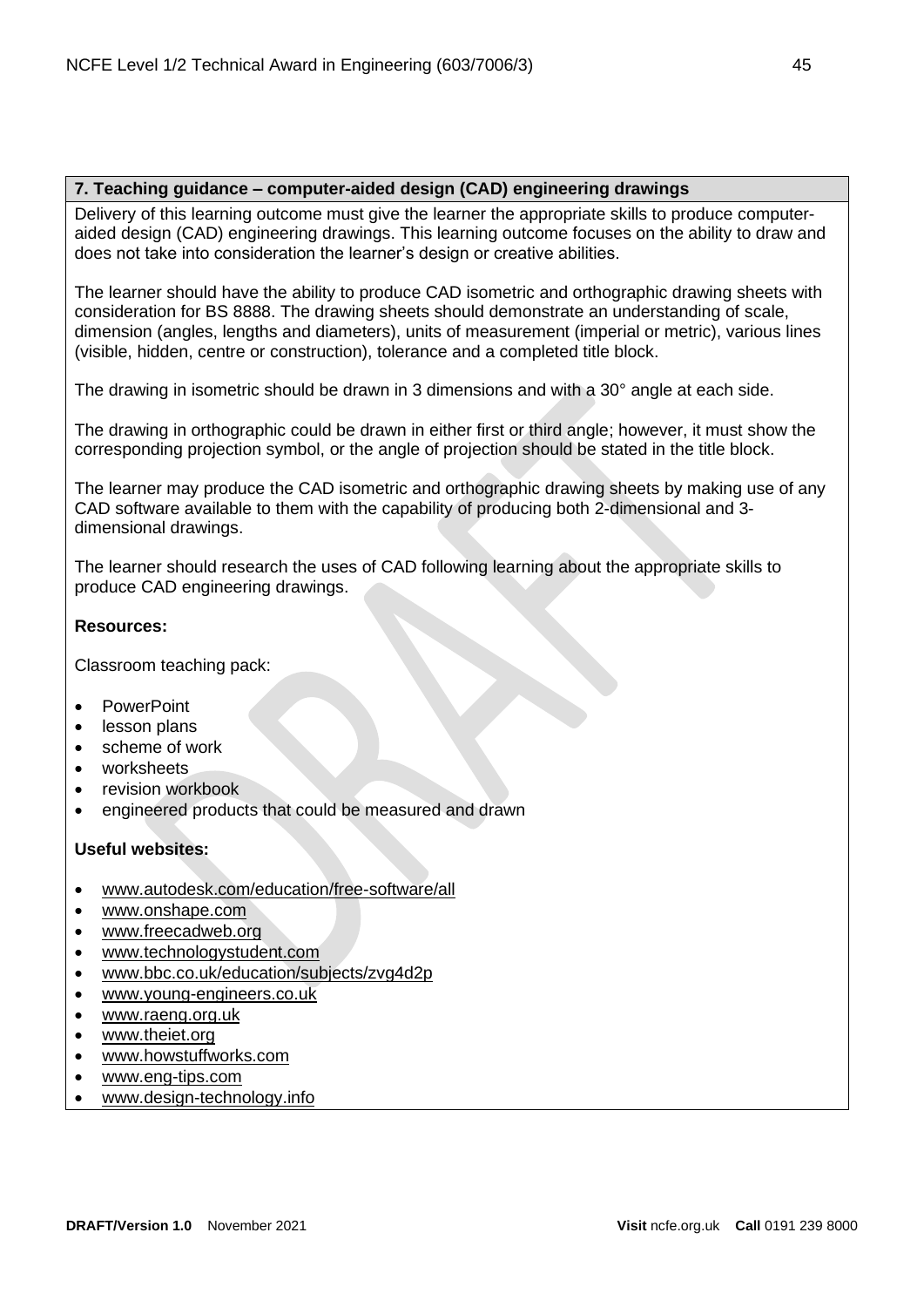# **7. Teaching guidance – computer-aided design (CAD) engineering drawings**

Delivery of this learning outcome must give the learner the appropriate skills to produce computeraided design (CAD) engineering drawings. This learning outcome focuses on the ability to draw and does not take into consideration the learner's design or creative abilities.

The learner should have the ability to produce CAD isometric and orthographic drawing sheets with consideration for BS 8888. The drawing sheets should demonstrate an understanding of scale, dimension (angles, lengths and diameters), units of measurement (imperial or metric), various lines (visible, hidden, centre or construction), tolerance and a completed title block.

The drawing in isometric should be drawn in 3 dimensions and with a 30° angle at each side.

The drawing in orthographic could be drawn in either first or third angle; however, it must show the corresponding projection symbol, or the angle of projection should be stated in the title block.

The learner may produce the CAD isometric and orthographic drawing sheets by making use of any CAD software available to them with the capability of producing both 2-dimensional and 3 dimensional drawings.

The learner should research the uses of CAD following learning about the appropriate skills to produce CAD engineering drawings.

## **Resources:**

Classroom teaching pack:

- PowerPoint
- lesson plans
- scheme of work
- worksheets
- revision workbook
- engineered products that could be measured and drawn

- [www.autodesk.com/education/free-software/all](http://www.autodesk.com/education/free-software/all)
- [www.onshape.com](http://www.onshape.com/)
- [www.freecadweb.org](http://www.freecadweb.org/)
- [www.technologystudent.com](http://www.technologystudent.com/)
- [www.bbc.co.uk/education/subjects/zvg4d2p](http://www.bbc.co.uk/education/subjects/zvg4d2p)
- [www.young-engineers.co.uk](http://www.young-engineers.co.uk/)
- [www.raeng.org.uk](http://www.raeng.org.uk/)
- [www.theiet.org](http://www.theiet.org/?origin=globalBar)
- [www.howstuffworks.com](http://www.howstuffworks.com/)
- [www.eng-tips.com](http://www.eng-tips.com/)
- [www.design-technology.info](http://www.design-technology.info/home.htm)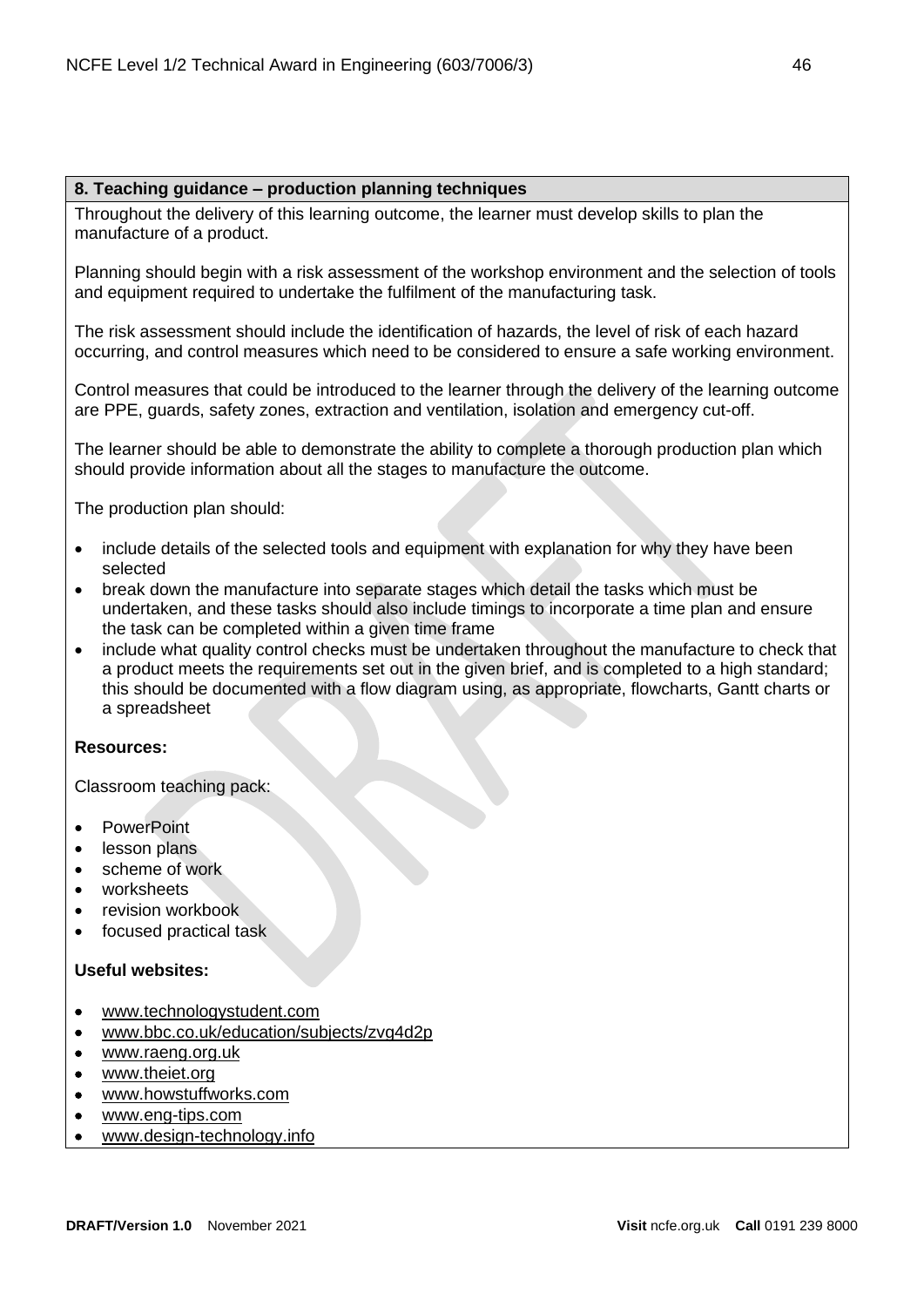## **8. Teaching guidance – production planning techniques**

Throughout the delivery of this learning outcome, the learner must develop skills to plan the manufacture of a product.

Planning should begin with a risk assessment of the workshop environment and the selection of tools and equipment required to undertake the fulfilment of the manufacturing task.

The risk assessment should include the identification of hazards, the level of risk of each hazard occurring, and control measures which need to be considered to ensure a safe working environment.

Control measures that could be introduced to the learner through the delivery of the learning outcome are PPE, guards, safety zones, extraction and ventilation, isolation and emergency cut-off.

The learner should be able to demonstrate the ability to complete a thorough production plan which should provide information about all the stages to manufacture the outcome.

The production plan should:

- include details of the selected tools and equipment with explanation for why they have been selected
- break down the manufacture into separate stages which detail the tasks which must be undertaken, and these tasks should also include timings to incorporate a time plan and ensure the task can be completed within a given time frame
- include what quality control checks must be undertaken throughout the manufacture to check that a product meets the requirements set out in the given brief, and is completed to a high standard; this should be documented with a flow diagram using, as appropriate, flowcharts, Gantt charts or a spreadsheet

# **Resources:**

Classroom teaching pack:

- **PowerPoint**
- lesson plans
- scheme of work
- worksheets
- revision workbook
- focused practical task

- [www.technologystudent.com](http://www.technologystudent.com/)
- [www.bbc.co.uk/education/subjects/zvg4d2p](http://www.bbc.co.uk/education/subjects/zvg4d2p)
- [www.raeng.org.uk](http://www.raeng.org.uk/)
- [www.theiet.org](http://www.theiet.org/?origin=globalBar)
- [www.howstuffworks.com](http://www.howstuffworks.com/)
- [www.eng-tips.com](http://www.eng-tips.com/)
- [www.design-technology.info](http://www.design-technology.info/)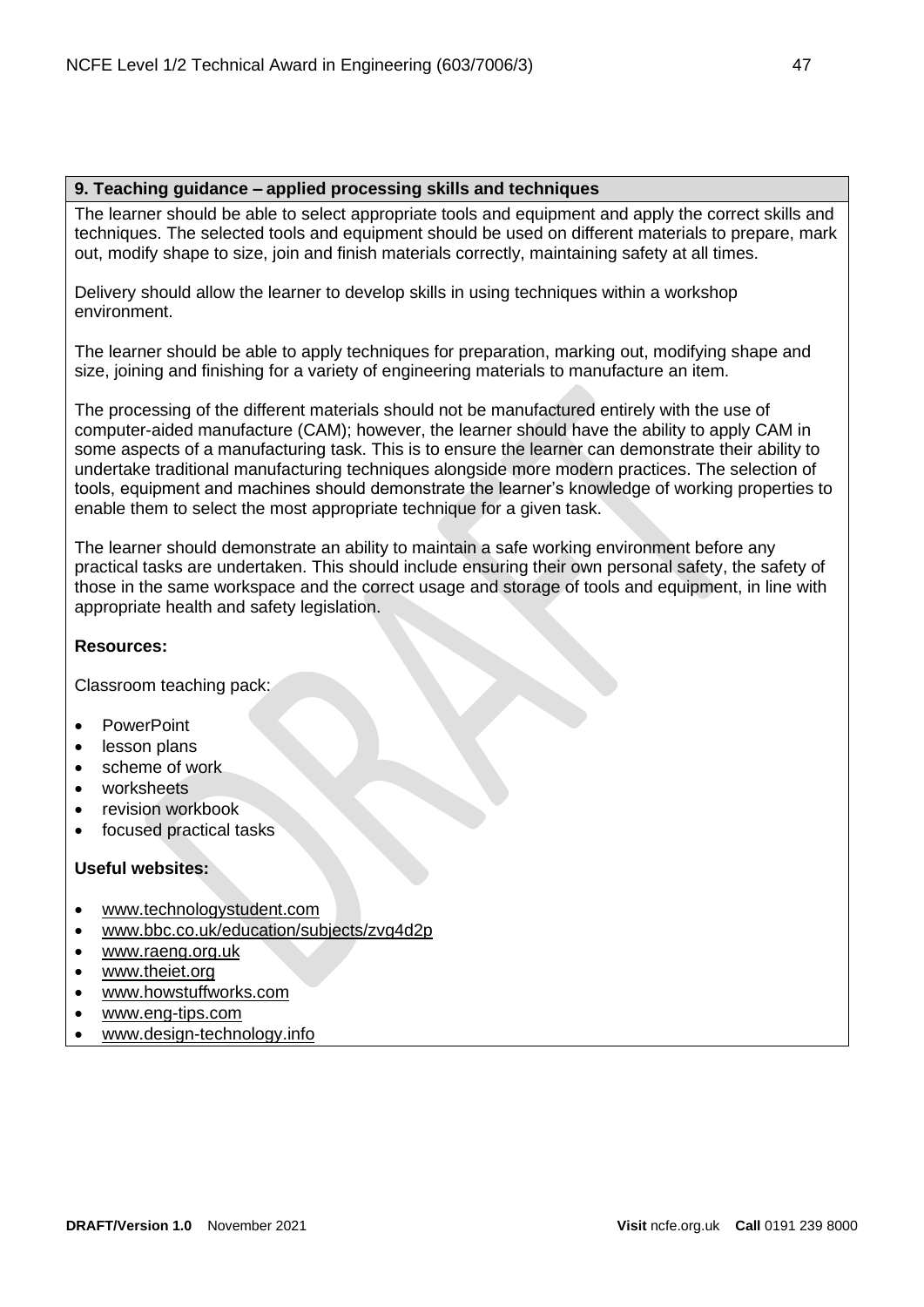## **9. Teaching guidance – applied processing skills and techniques**

The learner should be able to select appropriate tools and equipment and apply the correct skills and techniques. The selected tools and equipment should be used on different materials to prepare, mark out, modify shape to size, join and finish materials correctly, maintaining safety at all times.

Delivery should allow the learner to develop skills in using techniques within a workshop environment.

The learner should be able to apply techniques for preparation, marking out, modifying shape and size, joining and finishing for a variety of engineering materials to manufacture an item.

The processing of the different materials should not be manufactured entirely with the use of computer-aided manufacture (CAM); however, the learner should have the ability to apply CAM in some aspects of a manufacturing task. This is to ensure the learner can demonstrate their ability to undertake traditional manufacturing techniques alongside more modern practices. The selection of tools, equipment and machines should demonstrate the learner's knowledge of working properties to enable them to select the most appropriate technique for a given task.

The learner should demonstrate an ability to maintain a safe working environment before any practical tasks are undertaken. This should include ensuring their own personal safety, the safety of those in the same workspace and the correct usage and storage of tools and equipment, in line with appropriate health and safety legislation.

# **Resources:**

Classroom teaching pack:

- PowerPoint
- lesson plans
- scheme of work
- worksheets
- revision workbook
- focused practical tasks

- [www.technologystudent.com](http://www.technologystudent.com/)
- [www.bbc.co.uk/education/subjects/zvg4d2p](http://www.bbc.co.uk/education/subjects/zvg4d2p)
- [www.raeng.org.uk](http://www.raeng.org.uk/)
- [www.theiet.org](http://www.theiet.org/)
- [www.howstuffworks.com](http://www.howstuffworks.com/)
- [www.eng-tips.com](http://www.eng-tips.com/)
- [www.design-technology.info](http://www.design-technology.info/home.htm)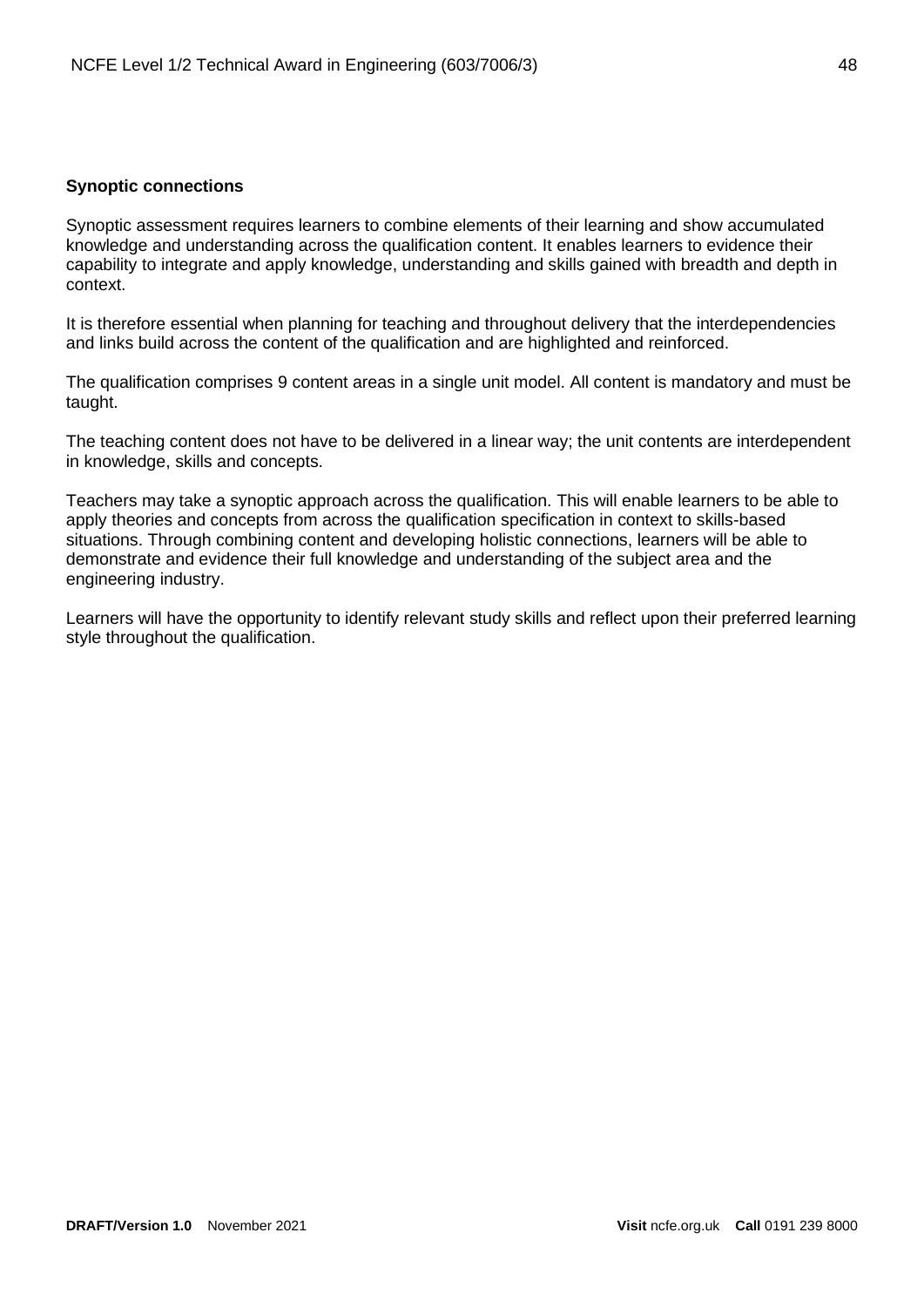## <span id="page-47-0"></span>**Synoptic connections**

Synoptic assessment requires learners to combine elements of their learning and show accumulated knowledge and understanding across the qualification content. It enables learners to evidence their capability to integrate and apply knowledge, understanding and skills gained with breadth and depth in context.

It is therefore essential when planning for teaching and throughout delivery that the interdependencies and links build across the content of the qualification and are highlighted and reinforced.

The qualification comprises 9 content areas in a single unit model. All content is mandatory and must be taught.

The teaching content does not have to be delivered in a linear way; the unit contents are interdependent in knowledge, skills and concepts.

Teachers may take a synoptic approach across the qualification. This will enable learners to be able to apply theories and concepts from across the qualification specification in context to skills-based situations. Through combining content and developing holistic connections, learners will be able to demonstrate and evidence their full knowledge and understanding of the subject area and the engineering industry.

Learners will have the opportunity to identify relevant study skills and reflect upon their preferred learning style throughout the qualification.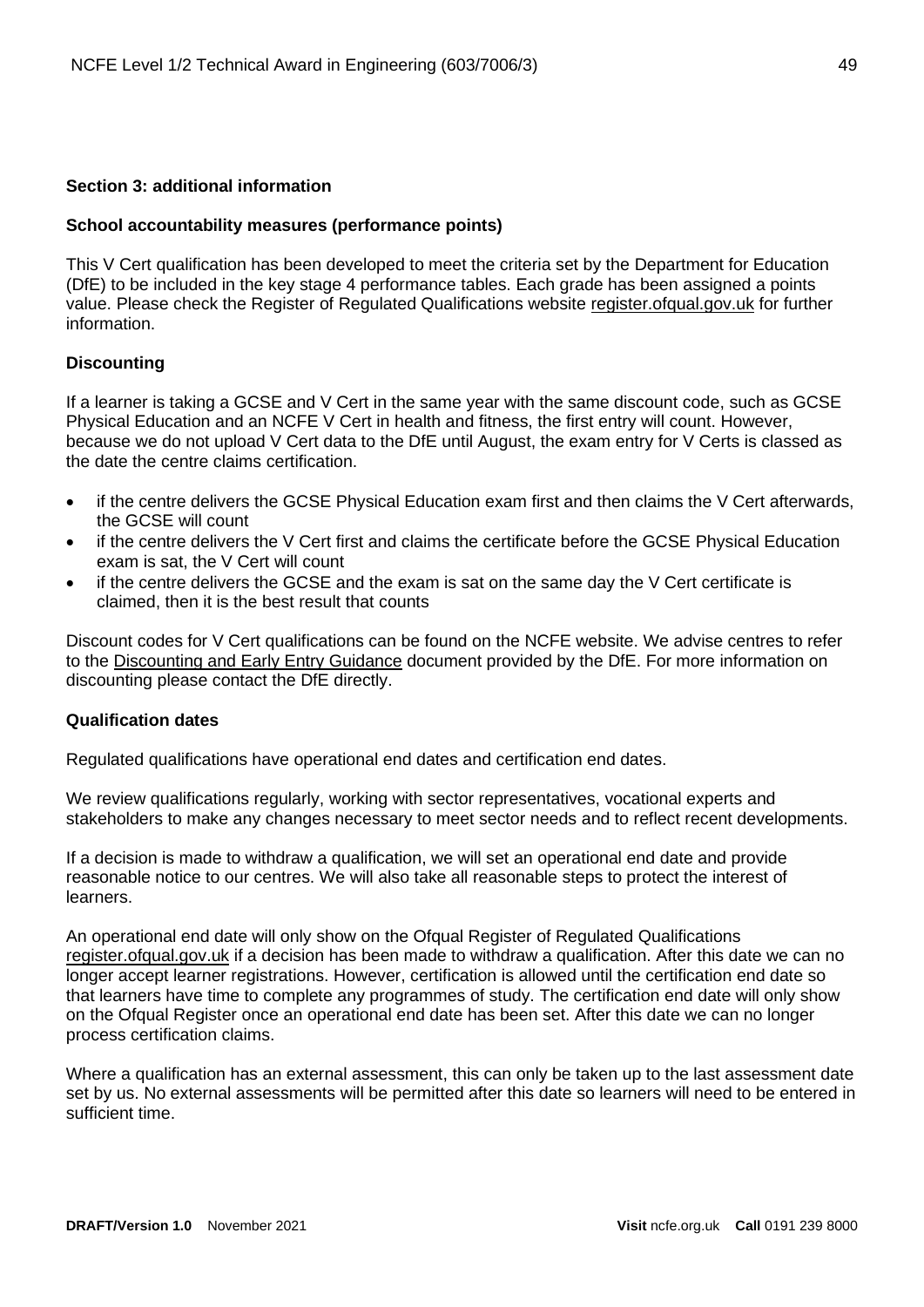#### <span id="page-48-0"></span>**Section 3: additional information**

#### <span id="page-48-1"></span>**School accountability measures (performance points)**

This V Cert qualification has been developed to meet the criteria set by the Department for Education (DfE) to be included in the key stage 4 performance tables. Each grade has been assigned a points value. Please check the Register of Regulated Qualifications website [register.ofqual.gov.uk](http://register.ofqual.gov.uk/) for further information.

#### <span id="page-48-2"></span>**Discounting**

If a learner is taking a GCSE and V Cert in the same year with the same discount code, such as GCSE Physical Education and an NCFE V Cert in health and fitness, the first entry will count. However, because we do not upload V Cert data to the DfE until August, the exam entry for V Certs is classed as the date the centre claims certification.

- if the centre delivers the GCSE Physical Education exam first and then claims the V Cert afterwards, the GCSE will count
- if the centre delivers the V Cert first and claims the certificate before the GCSE Physical Education exam is sat, the V Cert will count
- if the centre delivers the GCSE and the exam is sat on the same day the V Cert certificate is claimed, then it is the best result that counts

Discount codes for V Cert qualifications can be found on the NCFE website. We advise centres to refer to the [Discounting and Early Entry Guidance](https://www.gov.uk/government/uploads/system/uploads/attachment_data/file/651207/Key_stage_4_discounting_and_early_entry_guidance_2017.pdf) document provided by the DfE. For more information on discounting please contact the DfE directly.

#### <span id="page-48-3"></span>**Qualification dates**

Regulated qualifications have operational end dates and certification end dates.

We review qualifications regularly, working with sector representatives, vocational experts and stakeholders to make any changes necessary to meet sector needs and to reflect recent developments.

If a decision is made to withdraw a qualification, we will set an operational end date and provide reasonable notice to our centres. We will also take all reasonable steps to protect the interest of learners.

An operational end date will only show on the Ofqual Register of Regulated Qualifications [register.ofqual.gov.uk](https://register.ofqual.gov.uk/) if a decision has been made to withdraw a qualification. After this date we can no longer accept learner registrations. However, certification is allowed until the certification end date so that learners have time to complete any programmes of study. The certification end date will only show on the Ofqual Register once an operational end date has been set. After this date we can no longer process certification claims.

Where a qualification has an external assessment, this can only be taken up to the last assessment date set by us. No external assessments will be permitted after this date so learners will need to be entered in sufficient time.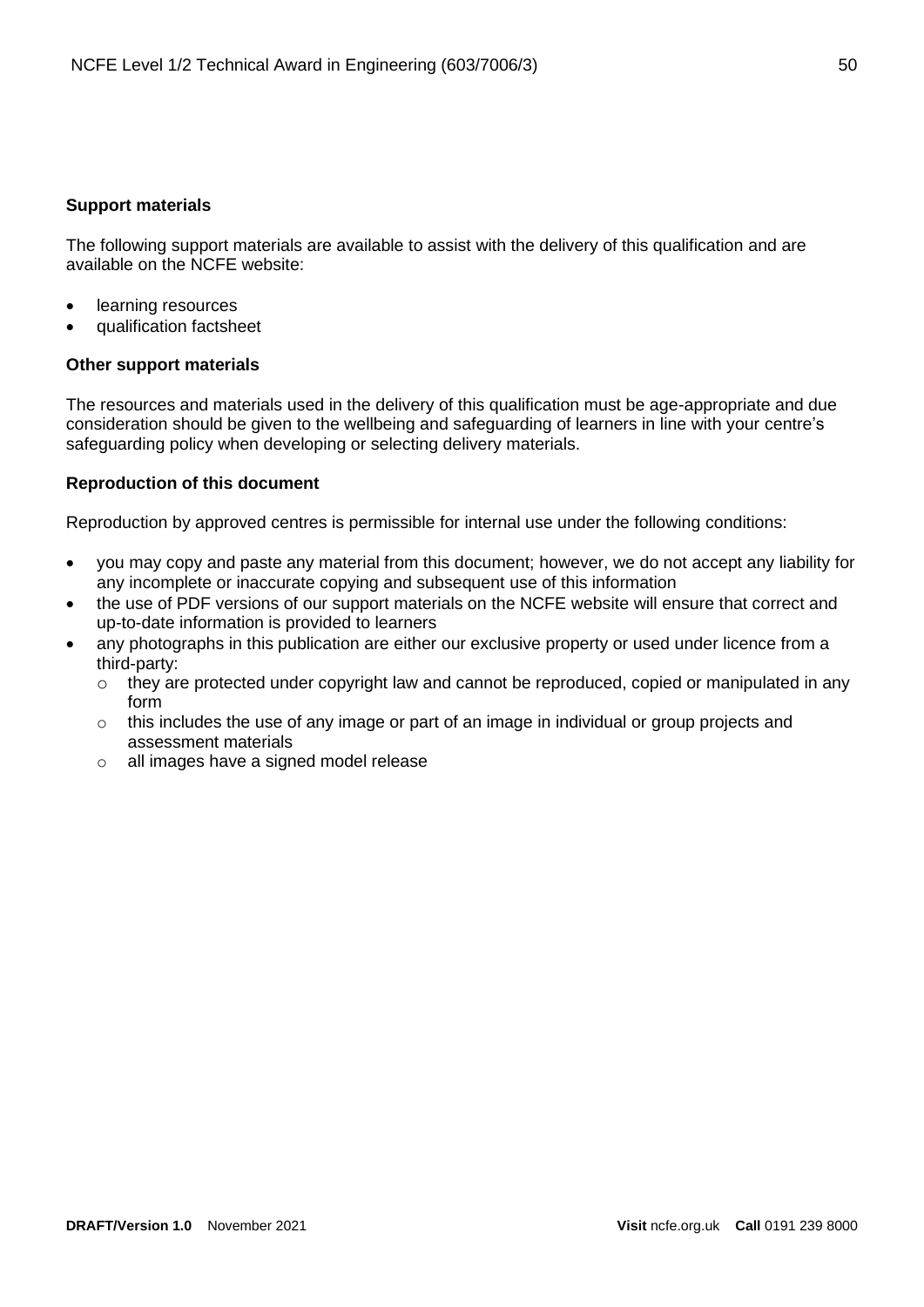## <span id="page-49-0"></span>**Support materials**

The following support materials are available to assist with the delivery of this qualification and are available on the NCFE website:

- learning resources
- qualification factsheet

## **Other support materials**

The resources and materials used in the delivery of this qualification must be age-appropriate and due consideration should be given to the wellbeing and safeguarding of learners in line with your centre's safeguarding policy when developing or selecting delivery materials.

## <span id="page-49-1"></span>**Reproduction of this document**

Reproduction by approved centres is permissible for internal use under the following conditions:

- you may copy and paste any material from this document; however, we do not accept any liability for any incomplete or inaccurate copying and subsequent use of this information
- the use of PDF versions of our support materials on the NCFE website will ensure that correct and up-to-date information is provided to learners
- any photographs in this publication are either our exclusive property or used under licence from a third-party:
	- $\circ$  they are protected under copyright law and cannot be reproduced, copied or manipulated in any form
	- $\circ$  this includes the use of any image or part of an image in individual or group projects and assessment materials
	- o all images have a signed model release